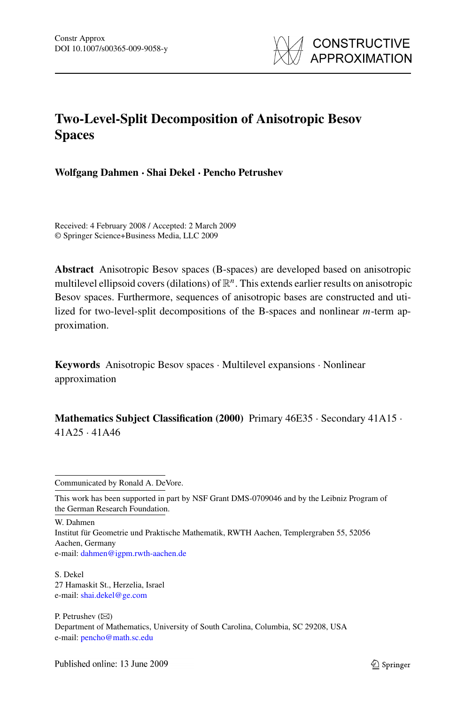

# **Two-Level-Split Decomposition of Anisotropic Besov Spaces**

**Wolfgang Dahmen · Shai Dekel · Pencho Petrushev**

Received: 4 February 2008 / Accepted: 2 March 2009 © Springer Science+Business Media, LLC 2009

**Abstract** Anisotropic Besov spaces (B-spaces) are developed based on anisotropic multilevel ellipsoid covers (dilations) of R*n*. This extends earlier results on anisotropic Besov spaces. Furthermore, sequences of anisotropic bases are constructed and utilized for two-level-split decompositions of the B-spaces and nonlinear *m*-term approximation.

**Keywords** Anisotropic Besov spaces · Multilevel expansions · Nonlinear approximation

**Mathematics Subject Classification (2000)** Primary 46E35 · Secondary 41A15 · 41A25 · 41A46

W. Dahmen

Institut für Geometrie und Praktische Mathematik, RWTH Aachen, Templergraben 55, 52056 Aachen, Germany e-mail: [dahmen@igpm.rwth-aachen.de](mailto:dahmen@igpm.rwth-aachen.de)

S. Dekel 27 Hamaskit St., Herzelia, Israel e-mail: [shai.dekel@ge.com](mailto:shai.dekel@ge.com)

P. Petrushev  $(\boxtimes)$ Department of Mathematics, University of South Carolina, Columbia, SC 29208, USA e-mail: [pencho@math.sc.edu](mailto:pencho@math.sc.edu)

Communicated by Ronald A. DeVore.

This work has been supported in part by NSF Grant DMS-0709046 and by the Leibniz Program of the German Research Foundation.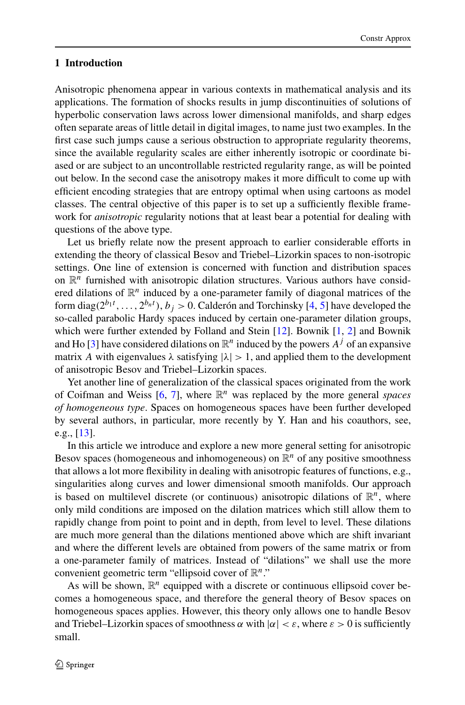## **1 Introduction**

Anisotropic phenomena appear in various contexts in mathematical analysis and its applications. The formation of shocks results in jump discontinuities of solutions of hyperbolic conservation laws across lower dimensional manifolds, and sharp edges often separate areas of little detail in digital images, to name just two examples. In the first case such jumps cause a serious obstruction to appropriate regularity theorems, since the available regularity scales are either inherently isotropic or coordinate biased or are subject to an uncontrollable restricted regularity range, as will be pointed out below. In the second case the anisotropy makes it more difficult to come up with efficient encoding strategies that are entropy optimal when using cartoons as model classes. The central objective of this paper is to set up a sufficiently flexible framework for *anisotropic* regularity notions that at least bear a potential for dealing with questions of the above type.

Let us briefly relate now the present approach to earlier considerable efforts in extending the theory of classical Besov and Triebel–Lizorkin spaces to non-isotropic settings. One line of extension is concerned with function and distribution spaces on  $\mathbb{R}^n$  furnished with anisotropic dilation structures. Various authors have considered dilations of  $\mathbb{R}^n$  induced by a one-parameter family of diagonal matrices of the form diag( $2^{b_1t}, \ldots, 2^{b_nt}$ ),  $b_j > 0$ . Calderón and Torchinsky [[4,](#page-44-0) [5](#page-44-0)] have developed the so-called parabolic Hardy spaces induced by certain one-parameter dilation groups, which were further extended by Folland and Stein [\[12](#page-45-0)]. Bownik [[1,](#page-44-0) [2](#page-44-0)] and Bownik and Ho [[3\]](#page-44-0) have considered dilations on  $\mathbb{R}^n$  induced by the powers  $A^j$  of an expansive matrix *A* with eigenvalues  $\lambda$  satisfying  $|\lambda| > 1$ , and applied them to the development of anisotropic Besov and Triebel–Lizorkin spaces.

Yet another line of generalization of the classical spaces originated from the work of Coifman and Weiss [[6,](#page-44-0) [7\]](#page-44-0), where R*<sup>n</sup>* was replaced by the more general *spaces of homogeneous type*. Spaces on homogeneous spaces have been further developed by several authors, in particular, more recently by Y. Han and his coauthors, see, e.g., [\[13](#page-45-0)].

In this article we introduce and explore a new more general setting for anisotropic Besov spaces (homogeneous and inhomogeneous) on  $\mathbb{R}^n$  of any positive smoothness that allows a lot more flexibility in dealing with anisotropic features of functions, e.g., singularities along curves and lower dimensional smooth manifolds. Our approach is based on multilevel discrete (or continuous) anisotropic dilations of  $\mathbb{R}^n$ , where only mild conditions are imposed on the dilation matrices which still allow them to rapidly change from point to point and in depth, from level to level. These dilations are much more general than the dilations mentioned above which are shift invariant and where the different levels are obtained from powers of the same matrix or from a one-parameter family of matrices. Instead of "dilations" we shall use the more convenient geometric term "ellipsoid cover of R*n*."

As will be shown,  $\mathbb{R}^n$  equipped with a discrete or continuous ellipsoid cover becomes a homogeneous space, and therefore the general theory of Besov spaces on homogeneous spaces applies. However, this theory only allows one to handle Besov and Triebel–Lizorkin spaces of smoothness  $\alpha$  with  $|\alpha| < \varepsilon$ , where  $\varepsilon > 0$  is sufficiently small.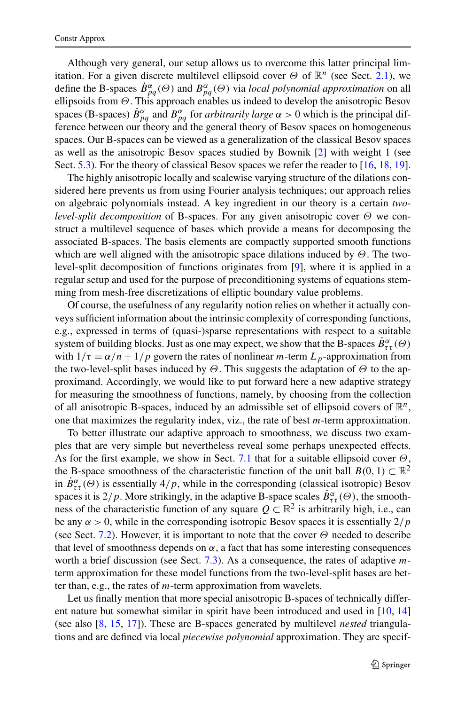Although very general, our setup allows us to overcome this latter principal limitation. For a given discrete multilevel ellipsoid cover  $\Theta$  of  $\mathbb{R}^n$  (see Sect. [2.1\)](#page-4-0), we define the B-spaces  $\dot{B}^{\alpha}_{pq}(\Theta)$  and  $B^{\alpha}_{pq}(\Theta)$  via *local polynomial approximation* on all ellipsoids from *Θ*. This approach enables us indeed to develop the anisotropic Besov spaces (B-spaces)  $\dot{B}^{\alpha}_{pq}$  and  $B^{\alpha}_{pq}$  for *arbitrarily large*  $\alpha > 0$  which is the principal difference between our theory and the general theory of Besov spaces on homogeneous spaces. Our B-spaces can be viewed as a generalization of the classical Besov spaces as well as the anisotropic Besov spaces studied by Bownik [[2\]](#page-44-0) with weight 1 (see Sect. [5.3](#page-32-0)). For the theory of classical Besov spaces we refer the reader to [\[16](#page-45-0), [18](#page-45-0), [19\]](#page-45-0).

The highly anisotropic locally and scalewise varying structure of the dilations considered here prevents us from using Fourier analysis techniques; our approach relies on algebraic polynomials instead. A key ingredient in our theory is a certain *twolevel-split decomposition* of B-spaces. For any given anisotropic cover *Θ* we construct a multilevel sequence of bases which provide a means for decomposing the associated B-spaces. The basis elements are compactly supported smooth functions which are well aligned with the anisotropic space dilations induced by *Θ*. The twolevel-split decomposition of functions originates from [\[9](#page-44-0)], where it is applied in a regular setup and used for the purpose of preconditioning systems of equations stemming from mesh-free discretizations of elliptic boundary value problems.

Of course, the usefulness of any regularity notion relies on whether it actually conveys sufficient information about the intrinsic complexity of corresponding functions, e.g., expressed in terms of (quasi-)sparse representations with respect to a suitable system of building blocks. Just as one may expect, we show that the B-spaces  $\dot{B}^{\alpha}_{\tau\tau}(\Theta)$ with  $1/\tau = \alpha/n + 1/p$  govern the rates of nonlinear *m*-term  $L_p$ -approximation from the two-level-split bases induced by *Θ*. This suggests the adaptation of *Θ* to the approximand. Accordingly, we would like to put forward here a new adaptive strategy for measuring the smoothness of functions, namely, by choosing from the collection of all anisotropic B-spaces, induced by an admissible set of ellipsoid covers of  $\mathbb{R}^n$ , one that maximizes the regularity index, viz., the rate of best *m*-term approximation.

To better illustrate our adaptive approach to smoothness, we discuss two examples that are very simple but nevertheless reveal some perhaps unexpected effects. As for the first example, we show in Sect. [7.1](#page-35-0) that for a suitable ellipsoid cover *Θ*, the B-space smoothness of the characteristic function of the unit ball  $B(0, 1) \subset \mathbb{R}^2$ in  $\dot{B}^{\alpha}_{\tau\tau}(\Theta)$  is essentially  $4/p$ , while in the corresponding (classical isotropic) Besov spaces it is 2/p. More strikingly, in the adaptive B-space scales  $\dot{B}^{\alpha}_{\tau\tau}(\Theta)$ , the smoothness of the characteristic function of any square  $Q \subset \mathbb{R}^2$  is arbitrarily high, i.e., can be any  $\alpha > 0$ , while in the corresponding isotropic Besov spaces it is essentially  $2/p$ (see Sect. [7.2\)](#page-38-0). However, it is important to note that the cover *Θ* needed to describe that level of smoothness depends on  $\alpha$ , a fact that has some interesting consequences worth a brief discussion (see Sect. [7.3\)](#page-41-0). As a consequence, the rates of adaptive *m*term approximation for these model functions from the two-level-split bases are better than, e.g., the rates of *m*-term approximation from wavelets.

Let us finally mention that more special anisotropic B-spaces of technically different nature but somewhat similar in spirit have been introduced and used in [\[10](#page-45-0), [14](#page-45-0)] (see also [\[8](#page-44-0), [15](#page-45-0), [17\]](#page-45-0)). These are B-spaces generated by multilevel *nested* triangulations and are defined via local *piecewise polynomial* approximation. They are specif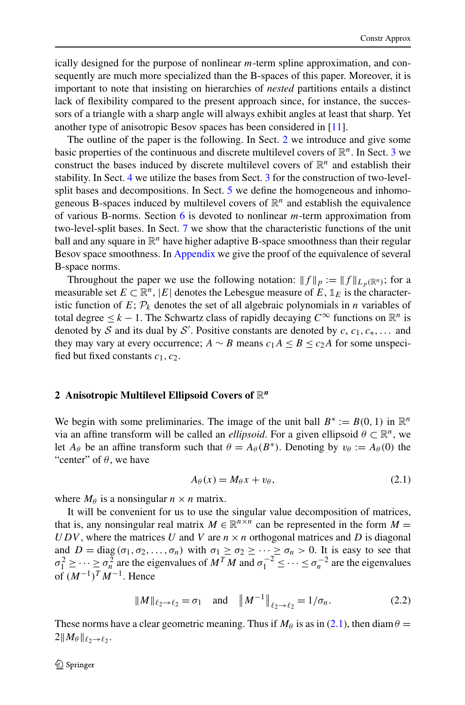<span id="page-3-0"></span>ically designed for the purpose of nonlinear *m*-term spline approximation, and consequently are much more specialized than the B-spaces of this paper. Moreover, it is important to note that insisting on hierarchies of *nested* partitions entails a distinct lack of flexibility compared to the present approach since, for instance, the successors of a triangle with a sharp angle will always exhibit angles at least that sharp. Yet another type of anisotropic Besov spaces has been considered in [\[11](#page-45-0)].

The outline of the paper is the following. In Sect. 2 we introduce and give some basic properties of the continuous and discrete multilevel covers of  $\mathbb{R}^n$ . In Sect. [3](#page-11-0) we construct the bases induced by discrete multilevel covers of  $\mathbb{R}^n$  and establish their stability. In Sect. [4](#page-20-0) we utilize the bases from Sect. [3](#page-11-0) for the construction of two-level-split bases and decompositions. In Sect. [5](#page-22-0) we define the homogeneous and inhomogeneous B-spaces induced by multilevel covers of  $\mathbb{R}^n$  and establish the equivalence of various B-norms. Section [6](#page-33-0) is devoted to nonlinear *m*-term approximation from two-level-split bases. In Sect. [7](#page-35-0) we show that the characteristic functions of the unit ball and any square in  $\mathbb{R}^n$  have higher adaptive B-space smoothness than their regular Besov space smoothness. In [Appendix](#page-41-0) we give the proof of the equivalence of several B-space norms.

Throughout the paper we use the following notation:  $||f||_p := ||f||_{L_p(\mathbb{R}^n)}$ ; for a measurable set  $E \subset \mathbb{R}^n$ , |*E*| denotes the Lebesgue measure of  $E$ ,  $\mathbb{1}_E$  is the characteristic function of  $E$ ;  $\mathcal{P}_k$  denotes the set of all algebraic polynomials in *n* variables of total degree  $\leq k - 1$ . The Schwartz class of rapidly decaying  $C^\infty$  functions on  $\mathbb{R}^n$  is denoted by S and its dual by S'. Positive constants are denoted by  $c, c_1, c_*, \ldots$  and they may vary at every occurrence; *A* ∼ *B* means  $c_1 A \le B \le c_2 A$  for some unspecified but fixed constants *c*1*,c*2.

# **2 Anisotropic Multilevel Ellipsoid Covers of** R*<sup>n</sup>*

We begin with some preliminaries. The image of the unit ball  $B^* := B(0, 1)$  in  $\mathbb{R}^n$ via an affine transform will be called an *ellipsoid*. For a given ellipsoid  $\theta \subset \mathbb{R}^n$ , we let  $A_{\theta}$  be an affine transform such that  $\theta = A_{\theta}(B^*)$ . Denoting by  $v_{\theta} := A_{\theta}(0)$  the "center" of  $\theta$ , we have

$$
A_{\theta}(x) = M_{\theta}x + v_{\theta}, \qquad (2.1)
$$

where  $M_\theta$  is a nonsingular  $n \times n$  matrix.

It will be convenient for us to use the singular value decomposition of matrices, that is, any nonsingular real matrix  $M \in \mathbb{R}^{n \times n}$  can be represented in the form  $M =$ *UDV*, where the matrices *U* and *V* are  $n \times n$  orthogonal matrices and *D* is diagonal and  $D = \text{diag}(\sigma_1, \sigma_2, \dots, \sigma_n)$  with  $\sigma_1 \geq \sigma_2 \geq \dots \geq \sigma_n > 0$ . It is easy to see that  $\sigma_1^2 \geq \cdots \geq \sigma_n^2$  are the eigenvalues of  $M^T M$  and  $\sigma_1^{-2} \leq \cdots \leq \sigma_n^{-2}$  are the eigenvalues  $\int_0^1 (M^{-1})^T M^{-1}$ . Hence

$$
\|M\|_{\ell_2 \to \ell_2} = \sigma_1 \quad \text{and} \quad \|M^{-1}\|_{\ell_2 \to \ell_2} = 1/\sigma_n. \tag{2.2}
$$

These norms have a clear geometric meaning. Thus if  $M_\theta$  is as in (2.1), then diam  $\theta =$  $2||M_{\theta}||_{\ell_2 \to \ell_2}$ .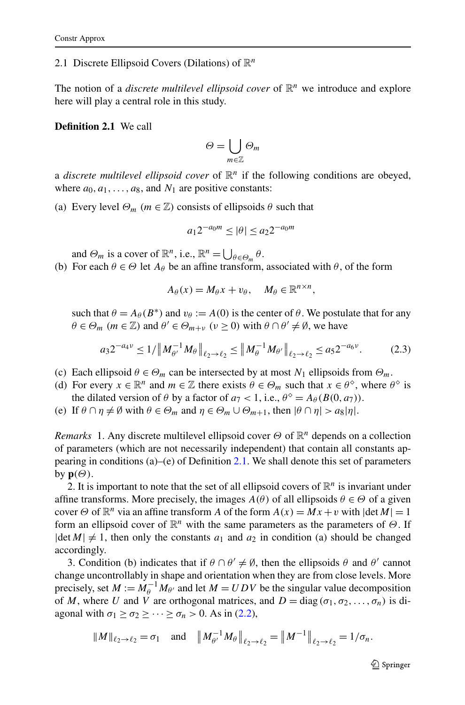## <span id="page-4-0"></span>2.1 Discrete Ellipsoid Covers (Dilations) of R*<sup>n</sup>*

The notion of a *discrete multilevel ellipsoid cover* of  $\mathbb{R}^n$  we introduce and explore here will play a central role in this study.

## **Definition 2.1** We call

$$
\Theta = \bigcup_{m \in \mathbb{Z}} \Theta_m
$$

a *discrete multilevel ellipsoid cover* of  $\mathbb{R}^n$  if the following conditions are obeyed, where  $a_0, a_1, \ldots, a_8$ , and  $N_1$  are positive constants:

(a) Every level  $\Theta_m$  ( $m \in \mathbb{Z}$ ) consists of ellipsoids  $\theta$  such that

$$
a_1 2^{-a_0 m} \le |\theta| \le a_2 2^{-a_0 m}
$$

and  $\Theta_m$  is a cover of  $\mathbb{R}^n$ , i.e.,  $\mathbb{R}^n = \bigcup_{\theta \in \Theta_m} \theta$ .

(b) For each  $\theta \in \Theta$  let  $A_{\theta}$  be an affine transform, associated with  $\theta$ , of the form

$$
A_{\theta}(x) = M_{\theta}x + v_{\theta}, \quad M_{\theta} \in \mathbb{R}^{n \times n},
$$

such that  $\theta = A_{\theta}(B^*)$  and  $v_{\theta} := A(0)$  is the center of  $\theta$ . We postulate that for any  $\theta \in \Theta_m$  (*m*  $\in \mathbb{Z}$ ) and  $\theta' \in \Theta_{m+v}$  ( $v \ge 0$ ) with  $\theta \cap \theta' \ne \emptyset$ , we have

$$
a_3 2^{-a_4 \nu} \le 1 / \| M_{\theta'}^{-1} M_{\theta} \|_{\ell_2 \to \ell_2} \le \| M_{\theta}^{-1} M_{\theta'} \|_{\ell_2 \to \ell_2} \le a_5 2^{-a_6 \nu}.
$$
 (2.3)

- (c) Each ellipsoid  $\theta \in \Theta_m$  can be intersected by at most  $N_1$  ellipsoids from  $\Theta_m$ .
- (d) For every  $x \in \mathbb{R}^n$  and  $m \in \mathbb{Z}$  there exists  $\theta \in \Theta_m$  such that  $x \in \theta^{\diamond}$ , where  $\theta^{\diamond}$  is the dilated version of  $\theta$  by a factor of  $a_7 < 1$ , i.e.,  $\theta^{\circ} = A_{\theta}(B(0, a_7))$ .
- (e) If  $\theta \cap \eta \neq \emptyset$  with  $\theta \in \Theta_m$  and  $\eta \in \Theta_m \cup \Theta_{m+1}$ , then  $|\theta \cap \eta| > a_8|\eta|$ .

*Remarks* 1. Any discrete multilevel ellipsoid cover *Θ* of  $\mathbb{R}^n$  depends on a collection of parameters (which are not necessarily independent) that contain all constants appearing in conditions  $(a)$ –(e) of Definition 2.1. We shall denote this set of parameters by  $p(\Theta)$ .

2. It is important to note that the set of all ellipsoid covers of  $\mathbb{R}^n$  is invariant under affine transforms. More precisely, the images  $A(\theta)$  of all ellipsoids  $\theta \in \Theta$  of a given cover  $\Theta$  of  $\mathbb{R}^n$  via an affine transform *A* of the form  $A(x) = Mx + v$  with  $|\det M| = 1$ form an ellipsoid cover of R*<sup>n</sup>* with the same parameters as the parameters of *Θ*. If  $|\det M| \neq 1$ , then only the constants  $a_1$  and  $a_2$  in condition (a) should be changed accordingly.

3. Condition (b) indicates that if  $\theta \cap \theta' \neq \emptyset$ , then the ellipsoids  $\theta$  and  $\theta'$  cannot change uncontrollably in shape and orientation when they are from close levels. More precisely, set  $M := M_{\theta}^{-1} M_{\theta'}$  and let  $M = U D V$  be the singular value decomposition of *M*, where *U* and *V* are orthogonal matrices, and  $D = \text{diag}(\sigma_1, \sigma_2, \dots, \sigma_n)$  is diagonal with  $\sigma_1 \geq \sigma_2 \geq \cdots \geq \sigma_n > 0$ . As in [\(2.2\)](#page-3-0),

$$
||M||_{\ell_2 \to \ell_2} = \sigma_1
$$
 and  $||M_{\theta'}^{-1} M_{\theta}||_{\ell_2 \to \ell_2} = ||M^{-1}||_{\ell_2 \to \ell_2} = 1/\sigma_n$ .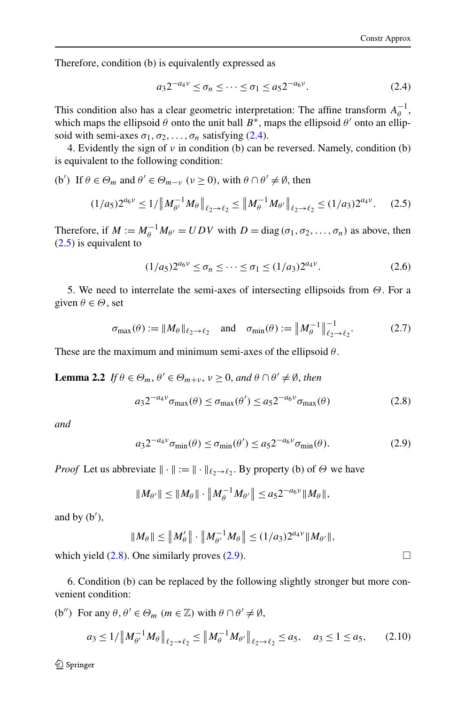<span id="page-5-0"></span>Therefore, condition (b) is equivalently expressed as

$$
a_3 2^{-a_4 \nu} \le \sigma_n \le \dots \le \sigma_1 \le a_5 2^{-a_6 \nu}.
$$
 (2.4)

This condition also has a clear geometric interpretation: The affine transform  $A_{\theta}^{-1}$ , which maps the ellipsoid  $\theta$  onto the unit ball  $B^*$ , maps the ellipsoid  $\theta'$  onto an ellipsoid with semi-axes  $\sigma_1, \sigma_2, \ldots, \sigma_n$  satisfying (2.4).

4. Evidently the sign of *ν* in condition (b) can be reversed. Namely, condition (b) is equivalent to the following condition:

(b') If  $\theta \in \Theta_m$  and  $\theta' \in \Theta_{m-\nu}$  ( $\nu \ge 0$ ), with  $\theta \cap \theta' \ne \emptyset$ , then

$$
(1/a_5)2^{a_6\nu} \le 1/\left\|M_{\theta'}^{-1}M_{\theta}\right\|_{\ell_2 \to \ell_2} \le \left\|M_{\theta'}^{-1}M_{\theta'}\right\|_{\ell_2 \to \ell_2} \le (1/a_3)2^{a_4\nu}.\tag{2.5}
$$

Therefore, if  $M := M_{\theta}^{-1} M_{\theta'} = U D V$  with  $D = \text{diag}(\sigma_1, \sigma_2, \dots, \sigma_n)$  as above, then (2.5) is equivalent to

$$
(1/a_5)2^{a_6\nu} \le \sigma_n \le \dots \le \sigma_1 \le (1/a_3)2^{a_4\nu}.\tag{2.6}
$$

5. We need to interrelate the semi-axes of intersecting ellipsoids from *Θ*. For a given  $\theta \in \Theta$ , set

$$
\sigma_{\max}(\theta) := \|M_{\theta}\|_{\ell_2 \to \ell_2} \quad \text{and} \quad \sigma_{\min}(\theta) := \|M_{\theta}^{-1}\|_{\ell_2 \to \ell_2}^{-1}.
$$
 (2.7)

These are the maximum and minimum semi-axes of the ellipsoid *θ* .

**Lemma 2.2** *If*  $\theta \in \Theta_m$ ,  $\theta' \in \Theta_{m+v}$ ,  $v \ge 0$ , and  $\theta \cap \theta' \ne \emptyset$ , then

$$
a_3 2^{-a_4 \nu} \sigma_{\text{max}}(\theta) \le \sigma_{\text{max}}(\theta') \le a_5 2^{-a_6 \nu} \sigma_{\text{max}}(\theta)
$$
 (2.8)

*and*

$$
a_3 2^{-a_4 \nu} \sigma_{\min}(\theta) \le \sigma_{\min}(\theta') \le a_5 2^{-a_6 \nu} \sigma_{\min}(\theta). \tag{2.9}
$$

*Proof* Let us abbreviate  $\|\cdot\| := \|\cdot\|_{\ell_2 \to \ell_2}$ . By property (b) of  $\Theta$  we have

$$
||M_{\theta'}|| \leq ||M_{\theta}|| \cdot ||M_{\theta}^{-1} M_{\theta'}|| \leq a_5 2^{-a_6 \nu} ||M_{\theta}||,
$$

and by (b ),

$$
||M_{\theta}|| \leq ||M_{\theta}'|| \cdot ||M_{\theta'}^{-1} M_{\theta}|| \leq (1/a_3)2^{a_4 v} ||M_{\theta'}||,
$$

which yield  $(2.8)$ . One similarly proves  $(2.9)$ .

6. Condition (b) can be replaced by the following slightly stronger but more convenient condition:

(b'') For any  $\theta, \theta' \in \Theta_m$   $(m \in \mathbb{Z})$  with  $\theta \cap \theta' \neq \emptyset$ ,

$$
a_3 \le 1/\left\|M_{\theta'}^{-1} M_\theta\right\|_{\ell_2 \to \ell_2} \le \left\|M_{\theta}^{-1} M_{\theta'}\right\|_{\ell_2 \to \ell_2} \le a_5, \quad a_3 \le 1 \le a_5,\tag{2.10}
$$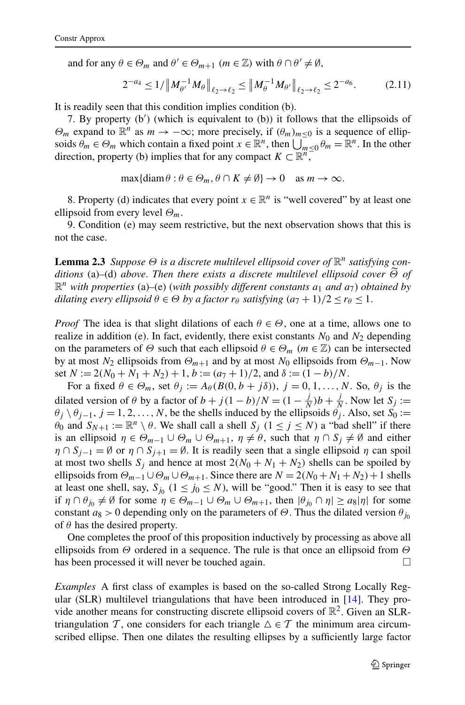<span id="page-6-0"></span>and for any  $\theta \in \Theta_m$  and  $\theta' \in \Theta_{m+1}$   $(m \in \mathbb{Z})$  with  $\theta \cap \theta' \neq \emptyset$ ,

$$
2^{-a_4} \le 1/\left\|M_{\theta'}^{-1} M_\theta\right\|_{\ell_2 \to \ell_2} \le \left\|M_{\theta}^{-1} M_{\theta'}\right\|_{\ell_2 \to \ell_2} \le 2^{-a_6}.\tag{2.11}
$$

It is readily seen that this condition implies condition (b).

7. By property (b ) (which is equivalent to (b)) it follows that the ellipsoids of *Θ<sub>m</sub>* expand to  $\mathbb{R}^n$  as  $m \to -\infty$ ; more precisely, if  $(θ_m)_{m \leq 0}$  is a sequence of ellipsoids  $\theta_m \in \Theta_m$  which contain a fixed point  $x \in \mathbb{R}^n$ , then  $\bigcup_{m \leq 0} \theta_m = \mathbb{R}^n$ . In the other direction, property (b) implies that for any compact  $K \subset \mathbb{R}^n$ ,

$$
\max\{\text{diam}\,\theta : \theta \in \Theta_m, \theta \cap K \neq \emptyset\} \to 0 \quad \text{as } m \to \infty.
$$

8. Property (d) indicates that every point  $x \in \mathbb{R}^n$  is "well covered" by at least one ellipsoid from every level *Θm*.

9. Condition (e) may seem restrictive, but the next observation shows that this is not the case.

**Lemma 2.3** *Suppose*  $\Theta$  *is a discrete multilevel ellipsoid cover of*  $\mathbb{R}^n$  *satisfying conditions* (a)*–*(d) *above*. *Then there exists a discrete multilevel ellipsoid cover <sup>Θ</sup> of*  $\mathbb{R}^n$  *with properties* (a)–(e) (*with possibly different constants*  $a_1$  *and*  $a_7$ *) obtained by dilating every ellipsoid*  $\theta \in \Theta$  *by a factor*  $r_{\theta}$  *satisfying*  $(a_7 + 1)/2 \le r_{\theta} \le 1$ .

*Proof* The idea is that slight dilations of each  $\theta \in \Theta$ , one at a time, allows one to realize in addition (e). In fact, evidently, there exist constants  $N_0$  and  $N_2$  depending on the parameters of  $\Theta$  such that each ellipsoid  $\theta \in \Theta_m$  ( $m \in \mathbb{Z}$ ) can be intersected by at most  $N_2$  ellipsoids from  $\Theta_{m+1}$  and by at most  $N_0$  ellipsoids from  $\Theta_{m-1}$ . Now set  $N := 2(N_0 + N_1 + N_2) + 1$ ,  $b := (a_7 + 1)/2$ , and  $\delta := (1 - b)/N$ .

For a fixed  $\theta \in \Theta_m$ , set  $\theta_j := A_\theta(B(0, b + j\delta))$ ,  $j = 0, 1, ..., N$ . So,  $\theta_j$  is the dilated version of *θ* by a factor of  $b + j(1 - b)/N = (1 - \frac{j}{N})b + \frac{j}{N}$ . Now let  $S_j$  :=  $\theta_j \setminus \theta_{j-1}, j = 1, 2, \ldots, N$ , be the shells induced by the ellipsoids  $\theta_j$ . Also, set  $S_0 :=$ *θ*<sub>0</sub> and  $S_{N+1} := \mathbb{R}^n \setminus \theta$ . We shall call a shell  $S_i$  ( $1 \leq j \leq N$ ) a "bad shell" if there is an ellipsoid  $\eta \in \Theta_{m-1} \cup \Theta_m \cup \Theta_{m+1}, \eta \neq \theta$ , such that  $\eta \cap S_i \neq \emptyset$  and either  $\eta \cap S_{i-1} = \emptyset$  or  $\eta \cap S_{i+1} = \emptyset$ . It is readily seen that a single ellipsoid  $\eta$  can spoil at most two shells  $S_j$  and hence at most  $2(N_0 + N_1 + N_2)$  shells can be spoiled by ellipsoids from  $\Theta_{m-1} \cup \Theta_m \cup \Theta_{m+1}$ . Since there are  $N = 2(N_0 + N_1 + N_2) + 1$  shells at least one shell, say,  $S_{j_0}$  ( $1 \le j_0 \le N$ ), will be "good." Then it is easy to see that if  $\eta \cap \theta_{j_0} \neq \emptyset$  for some  $\eta \in \Theta_{m-1} \cup \Theta_m \cup \Theta_{m+1}$ , then  $|\theta_{j_0} \cap \eta| \geq a_8 |\eta|$  for some constant  $a_8 > 0$  depending only on the parameters of  $\Theta$ . Thus the dilated version  $\theta_{j_0}$ of *θ* has the desired property.

One completes the proof of this proposition inductively by processing as above all ellipsoids from *Θ* ordered in a sequence. The rule is that once an ellipsoid from *Θ* has been processed it will never be touched again. ⊔

*Examples* A first class of examples is based on the so-called Strong Locally Regular (SLR) multilevel triangulations that have been introduced in [\[14](#page-45-0)]. They provide another means for constructing discrete ellipsoid covers of  $\mathbb{R}^2$ . Given an SLRtriangulation T, one considers for each triangle  $\Delta \in \mathcal{T}$  the minimum area circumscribed ellipse. Then one dilates the resulting ellipses by a sufficiently large factor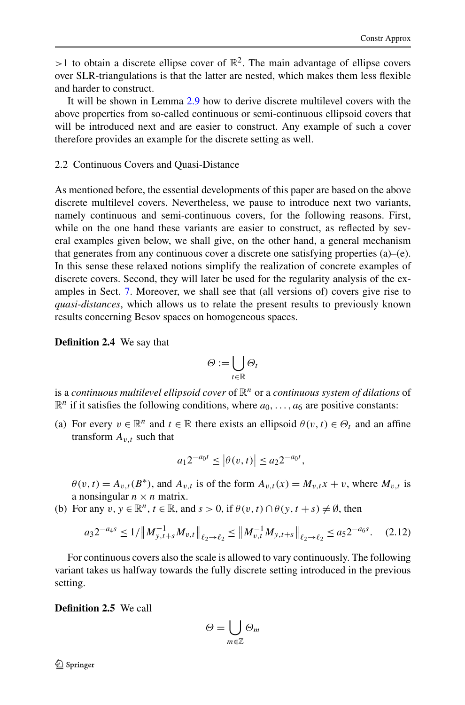<span id="page-7-0"></span> $>1$  to obtain a discrete ellipse cover of  $\mathbb{R}^2$ . The main advantage of ellipse covers over SLR-triangulations is that the latter are nested, which makes them less flexible and harder to construct.

It will be shown in Lemma [2.9](#page-10-0) how to derive discrete multilevel covers with the above properties from so-called continuous or semi-continuous ellipsoid covers that will be introduced next and are easier to construct. Any example of such a cover therefore provides an example for the discrete setting as well.

## 2.2 Continuous Covers and Quasi-Distance

As mentioned before, the essential developments of this paper are based on the above discrete multilevel covers. Nevertheless, we pause to introduce next two variants, namely continuous and semi-continuous covers, for the following reasons. First, while on the one hand these variants are easier to construct, as reflected by several examples given below, we shall give, on the other hand, a general mechanism that generates from any continuous cover a discrete one satisfying properties (a)–(e). In this sense these relaxed notions simplify the realization of concrete examples of discrete covers. Second, they will later be used for the regularity analysis of the examples in Sect. [7.](#page-35-0) Moreover, we shall see that (all versions of) covers give rise to *quasi-distances*, which allows us to relate the present results to previously known results concerning Besov spaces on homogeneous spaces.

**Definition 2.4** We say that

$$
\varTheta:=\bigcup_{t\in\mathbb{R}}\varTheta_t
$$

is a *continuous multilevel ellipsoid cover* of R*<sup>n</sup>* or a *continuous system of dilations* of  $\mathbb{R}^n$  if it satisfies the following conditions, where  $a_0, \ldots, a_6$  are positive constants:

(a) For every  $v \in \mathbb{R}^n$  and  $t \in \mathbb{R}$  there exists an ellipsoid  $\theta(v, t) \in \Theta_t$  and an affine transform  $A_{v,t}$  such that

$$
a_1 2^{-a_0 t} \le |\theta(v, t)| \le a_2 2^{-a_0 t},
$$

 $\theta(v, t) = A_{v,t}(B^*)$ , and  $A_{v,t}$  is of the form  $A_{v,t}(x) = M_{v,t}x + v$ , where  $M_{v,t}$  is a nonsingular  $n \times n$  matrix.

(b) For any  $v, y \in \mathbb{R}^n$ ,  $t \in \mathbb{R}$ , and  $s > 0$ , if  $\theta(v, t) \cap \theta(y, t + s) \neq \emptyset$ , then

$$
a_3 2^{-a_4 s} \le 1/\left\|M_{y,t+s}^{-1} M_{v,t}\right\|_{\ell_2 \to \ell_2} \le \left\|M_{v,t}^{-1} M_{y,t+s}\right\|_{\ell_2 \to \ell_2} \le a_5 2^{-a_6 s}.\tag{2.12}
$$

For continuous covers also the scale is allowed to vary continuously. The following variant takes us halfway towards the fully discrete setting introduced in the previous setting.

**Definition 2.5** We call

$$
\varTheta=\bigcup_{m\in\mathbb{Z}}\varTheta_m
$$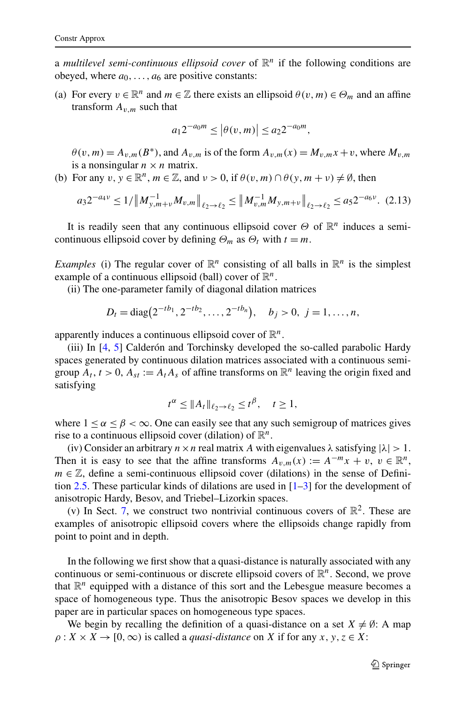a *multilevel semi-continuous ellipsoid cover* of  $\mathbb{R}^n$  if the following conditions are obeyed, where  $a_0, \ldots, a_6$  are positive constants:

(a) For every  $v \in \mathbb{R}^n$  and  $m \in \mathbb{Z}$  there exists an ellipsoid  $\theta(v, m) \in \Theta_m$  and an affine transform  $A_{v,m}$  such that

$$
a_1 2^{-a_0 m} \le |\theta(v, m)| \le a_2 2^{-a_0 m},
$$

 $\theta(v,m) = A_{v,m}(B^*)$ , and  $A_{v,m}$  is of the form  $A_{v,m}(x) = M_{v,m}x + v$ , where  $M_{v,m}$ is a nonsingular  $n \times n$  matrix.

(b) For any  $v, y \in \mathbb{R}^n$ ,  $m \in \mathbb{Z}$ , and  $v > 0$ , if  $\theta(v, m) \cap \theta(v, m + v) \neq \emptyset$ , then

$$
a_3 2^{-a_4 \nu} \le 1/\left\|M_{y,m+\nu}^{-1} M_{v,m}\right\|_{\ell_2 \to \ell_2} \le \left\|M_{v,m}^{-1} M_{y,m+\nu}\right\|_{\ell_2 \to \ell_2} \le a_5 2^{-a_6 \nu}.
$$
 (2.13)

It is readily seen that any continuous ellipsoid cover *Θ* of R*<sup>n</sup>* induces a semicontinuous ellipsoid cover by defining  $\Theta_m$  as  $\Theta_t$  with  $t = m$ .

*Examples* (i) The regular cover of  $\mathbb{R}^n$  consisting of all balls in  $\mathbb{R}^n$  is the simplest example of a continuous ellipsoid (ball) cover of  $\mathbb{R}^n$ .

(ii) The one-parameter family of diagonal dilation matrices

$$
D_t = \text{diag}(2^{-tb_1}, 2^{-tb_2}, \dots, 2^{-tb_n}), \quad b_j > 0, \ j = 1, \dots, n,
$$

apparently induces a continuous ellipsoid cover of R*n*.

(iii) In [[4,](#page-44-0) [5\]](#page-44-0) Calderón and Torchinsky developed the so-called parabolic Hardy spaces generated by continuous dilation matrices associated with a continuous semigroup  $A_t$ ,  $t > 0$ ,  $A_{st} := A_t A_s$  of affine transforms on  $\mathbb{R}^n$  leaving the origin fixed and satisfying

$$
t^{\alpha} \leq \|A_t\|_{\ell_2 \to \ell_2} \leq t^{\beta}, \quad t \geq 1,
$$

where  $1 \le \alpha \le \beta < \infty$ . One can easily see that any such semigroup of matrices gives rise to a continuous ellipsoid cover (dilation) of  $\mathbb{R}^n$ .

(iv) Consider an arbitrary  $n \times n$  real matrix A with eigenvalues  $\lambda$  satisfying  $|\lambda| > 1$ . Then it is easy to see that the affine transforms  $A_{v,m}(x) := A^{-m}x + v, v \in \mathbb{R}^n$ ,  $m \in \mathbb{Z}$ , define a semi-continuous ellipsoid cover (dilations) in the sense of Definition [2.5](#page-7-0). These particular kinds of dilations are used in [\[1–3](#page-44-0)] for the development of anisotropic Hardy, Besov, and Triebel–Lizorkin spaces.

(v) In Sect. [7](#page-35-0), we construct two nontrivial continuous covers of  $\mathbb{R}^2$ . These are examples of anisotropic ellipsoid covers where the ellipsoids change rapidly from point to point and in depth.

In the following we first show that a quasi-distance is naturally associated with any continuous or semi-continuous or discrete ellipsoid covers of R*n*. Second, we prove that  $\mathbb{R}^n$  equipped with a distance of this sort and the Lebesgue measure becomes a space of homogeneous type. Thus the anisotropic Besov spaces we develop in this paper are in particular spaces on homogeneous type spaces.

We begin by recalling the definition of a quasi-distance on a set  $X \neq \emptyset$ : A map  $\rho$  :  $X \times X \rightarrow [0, \infty)$  is called a *quasi-distance* on *X* if for any *x*, *y*, *z*  $\in X$ :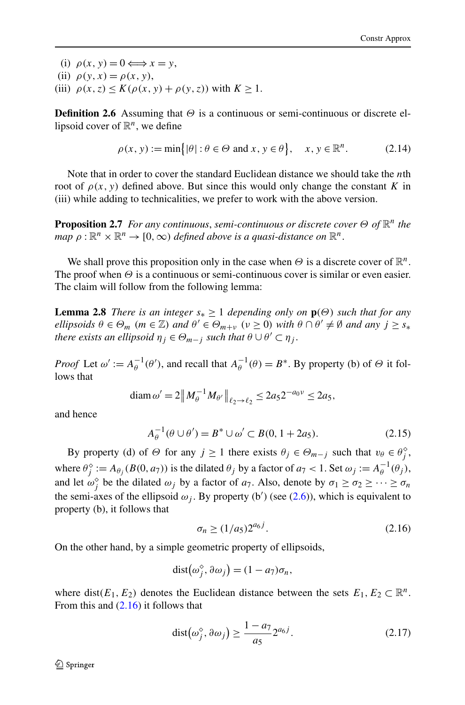<span id="page-9-0"></span>(i)  $\rho(x, y) = 0 \Longleftrightarrow x = y$ , (ii)  $\rho(y, x) = \rho(x, y)$ , (iii)  $\rho(x, z) \le K(\rho(x, y) + \rho(y, z))$  with  $K \ge 1$ .

**Definition 2.6** Assuming that *Θ* is a continuous or semi-continuous or discrete ellipsoid cover of  $\mathbb{R}^n$ , we define

$$
\rho(x, y) := \min\{|\theta| : \theta \in \Theta \text{ and } x, y \in \theta\}, \quad x, y \in \mathbb{R}^n. \tag{2.14}
$$

Note that in order to cover the standard Euclidean distance we should take the *n*th root of  $ρ(x, y)$  defined above. But since this would only change the constant *K* in (iii) while adding to technicalities, we prefer to work with the above version.

**Proposition 2.7** *For any continuous*, *semi-continuous or discrete cover Θ of* R*<sup>n</sup> the map*  $\rho : \mathbb{R}^n \times \mathbb{R}^n \to [0, \infty)$  *defined above is a quasi-distance on*  $\mathbb{R}^n$ .

We shall prove this proposition only in the case when  $\Theta$  is a discrete cover of  $\mathbb{R}^n$ . The proof when *Θ* is a continuous or semi-continuous cover is similar or even easier. The claim will follow from the following lemma:

**Lemma 2.8** *There is an integer*  $s_* \geq 1$  *depending only on*  $\mathbf{p}(\Theta)$  *such that for any ellipsoids*  $\theta \in \Theta_m$  ( $m \in \mathbb{Z}$ ) *and*  $\theta' \in \Theta_{m+v}$  ( $v \ge 0$ ) *with*  $\theta \cap \theta' \ne \emptyset$  *and any*  $j \ge s_*$ *there exists an ellipsoid*  $\eta_j \in \Theta_{m-j}$  *such that*  $\theta \cup \theta' \subset \eta_j$ .

*Proof* Let  $\omega' := A_{\theta}^{-1}(\theta')$ , and recall that  $A_{\theta}^{-1}(\theta) = B^*$ . By property (b) of  $\Theta$  it follows that

$$
\text{diam}\,\omega' = 2\big\|M_{\theta}^{-1}M_{\theta'}\big\|_{\ell_2 \to \ell_2} \le 2a_5 2^{-a_0 \nu} \le 2a_5,
$$

and hence

$$
A_{\theta}^{-1}(\theta \cup \theta') = B^* \cup \omega' \subset B(0, 1 + 2a_5). \tag{2.15}
$$

By property (d) of  $\Theta$  for any  $j \ge 1$  there exists  $\theta_j \in \Theta_{m-j}$  such that  $v_{\theta} \in \theta_j^{\diamond}$ , where  $\theta_j^{\diamond} := A_{\theta_j}(B(0, a_7))$  is the dilated  $\theta_j$  by a factor of  $a_7 < 1$ . Set  $\omega_j := A_{\theta_j}^{-1}(\theta_j)$ , and let  $\omega_j^{\diamond}$  be the dilated  $\omega_j$  by a factor of  $a_7$ . Also, denote by  $\sigma_1 \ge \sigma_2 \ge \cdots \ge \sigma_n$ the semi-axes of the ellipsoid  $\omega_j$ . By property (b') (see ([2.6](#page-5-0))), which is equivalent to property (b), it follows that

$$
\sigma_n \ge (1/a_5)2^{a_6 j}.\tag{2.16}
$$

On the other hand, by a simple geometric property of ellipsoids,

$$
dist(\omega_j^{\diamond}, \partial \omega_j) = (1 - a_7)\sigma_n,
$$

where dist( $E_1, E_2$ ) denotes the Euclidean distance between the sets  $E_1, E_2 \subset \mathbb{R}^n$ . From this and  $(2.16)$  it follows that

$$
dist(\omega_j^{\diamond}, \partial \omega_j) \ge \frac{1 - a_7}{a_5} 2^{a_6 j}.
$$
 (2.17)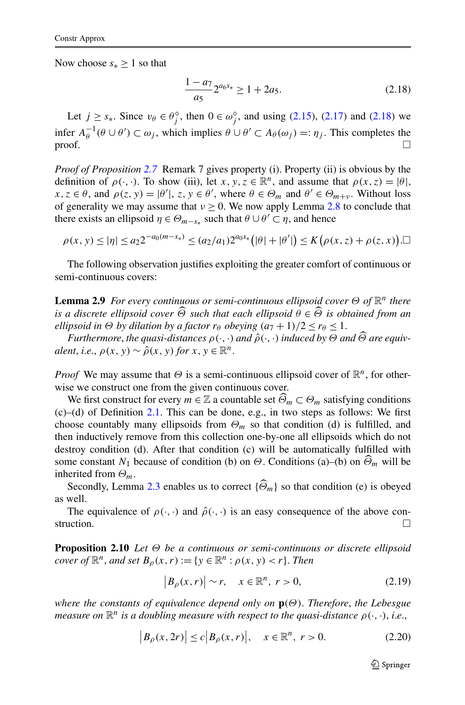<span id="page-10-0"></span>Now choose  $s_* \geq 1$  so that

$$
\frac{1 - a_7}{a_5} 2^{a_6 s_*} \ge 1 + 2a_5. \tag{2.18}
$$

Let  $j \geq s_*$ . Since  $v_\theta \in \theta_j^\diamond$ , then  $0 \in \omega_j^\diamond$ , and using [\(2.15\)](#page-9-0), [\(2.17\)](#page-9-0) and (2.18) we infer  $A_{\theta}^{-1}(\theta \cup \theta') \subset \omega_j$ , which implies  $\theta \cup \theta' \subset A_{\theta}(\omega_j) =: \eta_j$ . This completes the  $\Box$ 

*Proof of Proposition [2.7](#page-9-0)* Remark 7 gives property (i). Property (ii) is obvious by the definition of  $\rho(\cdot, \cdot)$ . To show (iii), let *x*, *y*, *z*  $\in \mathbb{R}^n$ , and assume that  $\rho(x, z) = |\theta|$ ,  $x, z \in \theta$ , and  $\rho(z, y) = |\theta'|$ ,  $z, y \in \theta'$ , where  $\theta \in \Theta_m$  and  $\theta' \in \Theta_{m+v}$ . Without loss of generality we may assume that  $v \ge 0$ . We now apply Lemma [2.8](#page-9-0) to conclude that there exists an ellipsoid  $\eta \in \Theta_{m-s}$  such that  $\theta \cup \theta' \subset \eta$ , and hence

$$
\rho(x, y) \le |\eta| \le a_2 2^{-a_0(m-s_*)} \le (a_2/a_1) 2^{a_0 s_*} \big( |\theta| + |\theta'| \big) \le K \big( \rho(x, z) + \rho(z, x) \big).
$$

The following observation justifies exploiting the greater comfort of continuous or semi-continuous covers:

**Lemma 2.9** *For every continuous or semi-continuous ellipsoid cover Θ of* R*<sup>n</sup> there is a discrete ellipsoid cover <sup>Θ</sup> such that each ellipsoid <sup>θ</sup>* <sup>∈</sup> *<sup>Θ</sup> is obtained from an ellipsoid in*  $\Theta$  *by dilation by a factor*  $r_\theta$  *obeying*  $(a_7 + 1)/2 \le r_\theta \le 1$ .

*Furthermore, the quasi-distances*  $\rho(\cdot, \cdot)$  *and*  $\hat{\rho}(\cdot, \cdot)$  *induced by*  $\Theta$  *and*  $\widehat{\Theta}$  *are equivalent, i.e.,*  $\rho(x, y) \sim \hat{\rho}(x, y)$  *for*  $x, y \in \mathbb{R}^n$ .

*Proof* We may assume that  $\Theta$  is a semi-continuous ellipsoid cover of  $\mathbb{R}^n$ , for otherwise we construct one from the given continuous cover.

We first construct for every  $m \in \mathbb{Z}$  a countable set  $\widehat{\Theta}_m \subset \Theta_m$  satisfying conditions  $(c)$ –(d) of Definition [2.1](#page-4-0). This can be done, e.g., in two steps as follows: We first choose countably many ellipsoids from  $\Theta_m$  so that condition (d) is fulfilled, and then inductively remove from this collection one-by-one all ellipsoids which do not destroy condition (d). After that condition (c) will be automatically fulfilled with some constant  $N_1$  because of condition (b) on  $\Theta$ . Conditions (a)–(b) on  $\Theta_m$  will be inherited from *Θm*.

Secondly, Lemma [2.3](#page-6-0) enables us to correct  $\{\widehat{\Theta}_m\}$  so that condition (e) is obeyed as well.

The equivalence of  $\rho(\cdot, \cdot)$  and  $\hat{\rho}(\cdot, \cdot)$  is an easy consequence of the above construction.  $\Box$ 

**Proposition 2.10** *Let Θ be a continuous or semi-continuous or discrete ellipsoid cover of*  $\mathbb{R}^n$ *, and set*  $B_\rho(x,r) := \{y \in \mathbb{R}^n : \rho(x,y) < r\}$ *. Then* 

$$
\left|B_{\rho}(x,r)\right| \sim r, \quad x \in \mathbb{R}^n, \ r > 0,
$$
\n
$$
(2.19)
$$

*where the constants of equivalence depend only on* **p***(Θ)*. *Therefore*, *the Lebesgue measure on*  $\mathbb{R}^n$  *is a doubling measure with respect to the quasi-distance*  $\rho(\cdot, \cdot)$ *, i.e.,* 

$$
|B_{\rho}(x, 2r)| \le c |B_{\rho}(x, r)|, \quad x \in \mathbb{R}^n, r > 0.
$$
 (2.20)

 $\mathcal{D}$  Springer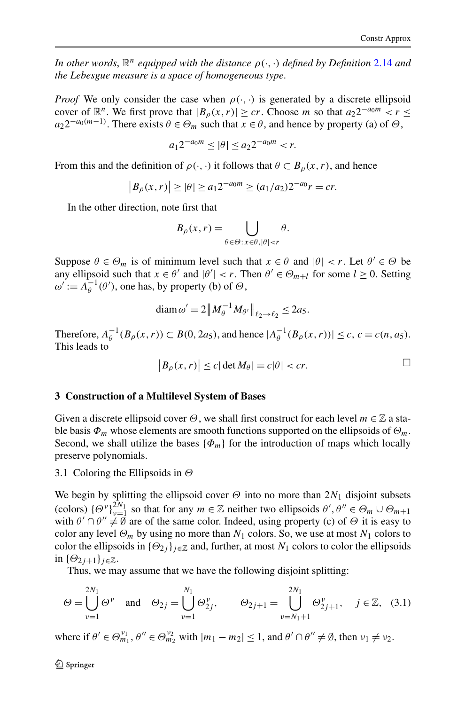<span id="page-11-0"></span>*In other words*,  $\mathbb{R}^n$  *equipped with the distance*  $\rho(\cdot, \cdot)$  *defined by Definition* [2.14](#page-9-0) *and the Lebesgue measure is a space of homogeneous type*.

*Proof* We only consider the case when  $\rho(\cdot, \cdot)$  is generated by a discrete ellipsoid cover of  $\mathbb{R}^n$ . We first prove that  $|B_\rho(x,r)| \geq cr$ . Choose *m* so that  $a_2 2^{-a_0 m} < r \leq$  $a_2 2^{-a_0(m-1)}$ . There exists  $\theta \in \Theta_m$  such that  $x \in \theta$ , and hence by property (a) of  $\Theta$ ,

$$
a_1 2^{-a_0 m} \le |\theta| \le a_2 2^{-a_0 m} < r.
$$

From this and the definition of  $\rho(\cdot, \cdot)$  it follows that  $\theta \subset B_{\rho}(x, r)$ , and hence

$$
|B_{\rho}(x,r)| \ge |\theta| \ge a_1 2^{-a_0 m} \ge (a_1/a_2) 2^{-a_0} r = cr.
$$

In the other direction, note first that

$$
B_{\rho}(x,r) = \bigcup_{\theta \in \Theta: x \in \theta, |\theta| < r} \theta.
$$

Suppose  $\theta \in \Theta_m$  is of minimum level such that  $x \in \theta$  and  $|\theta| < r$ . Let  $\theta' \in \Theta$  be any ellipsoid such that  $x \in \theta'$  and  $|\theta'| < r$ . Then  $\theta' \in \Theta_{m+l}$  for some  $l \ge 0$ . Setting  $\omega' := A_{\theta}^{-1}(\theta')$ , one has, by property (b) of  $\Theta$ ,

$$
\operatorname{diam} \omega' = 2 \|M_{\theta}^{-1} M_{\theta'}\|_{\ell_2 \to \ell_2} \le 2a_5.
$$

Therefore,  $A_{\theta}^{-1}(B_{\rho}(x,r))$  ⊂  $B(0, 2a_5)$ , and hence  $|A_{\theta}^{-1}(B_{\rho}(x,r))|$  ≤ *c*, *c* = *c*(*n*, *a*<sub>5</sub>). This leads to

$$
|B_{\rho}(x,r)| \le c |\det M_{\theta}| = c |\theta| < cr.
$$

## **3 Construction of a Multilevel System of Bases**

Given a discrete ellipsoid cover *Θ*, we shall first construct for each level *m* ∈ Z a stable basis  $\Phi_m$  whose elements are smooth functions supported on the ellipsoids of  $\Theta_m$ . Second, we shall utilize the bases  ${\phi_m}$  for the introduction of maps which locally preserve polynomials.

## 3.1 Coloring the Ellipsoids in *Θ*

We begin by splitting the ellipsoid cover  $\Theta$  into no more than  $2N_1$  disjoint subsets (colors)  $\{\Theta_v^v\}_{v=1}^{2N_1}$  so that for any  $m \in \mathbb{Z}$  neither two ellipsoids  $\theta', \theta'' \in \Theta_m \cup \Theta_{m+1}$ with  $\theta' \cap \theta'' \neq \emptyset$  are of the same color. Indeed, using property (c) of  $\Theta$  it is easy to color any level  $\Theta_m$  by using no more than  $N_1$  colors. So, we use at most  $N_1$  colors to color the ellipsoids in  $\{\Theta_2\}$  *j*<sub> $\in \mathbb{Z}$ </sub> and, further, at most  $N_1$  colors to color the ellipsoids in  ${\{\Theta_2\}}_{j+1}$ *j*∈Z.

Thus, we may assume that we have the following disjoint splitting:

$$
\Theta = \bigcup_{\nu=1}^{2N_1} \Theta^{\nu} \quad \text{and} \quad \Theta_{2j} = \bigcup_{\nu=1}^{N_1} \Theta_{2j}^{\nu}, \qquad \Theta_{2j+1} = \bigcup_{\nu=N_1+1}^{2N_1} \Theta_{2j+1}^{\nu}, \quad j \in \mathbb{Z}, \tag{3.1}
$$

where if  $\theta' \in \Theta_{m_1}^{\nu_1}, \theta'' \in \Theta_{m_2}^{\nu_2}$  with  $|m_1 - m_2| \le 1$ , and  $\theta' \cap \theta'' \ne \emptyset$ , then  $\nu_1 \ne \nu_2$ .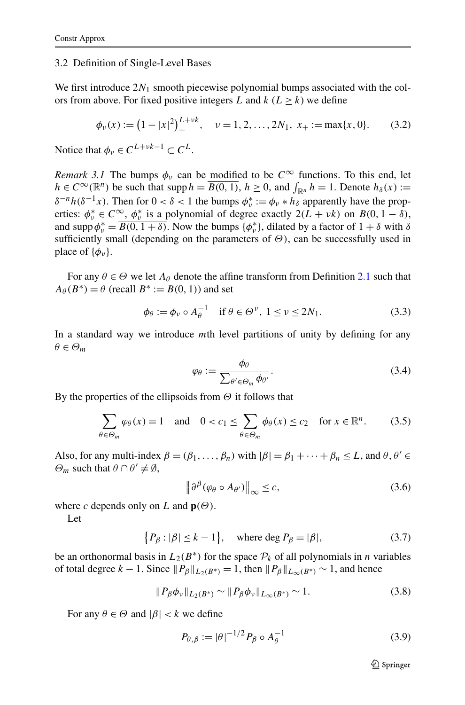#### <span id="page-12-0"></span>3.2 Definition of Single-Level Bases

We first introduce 2*N*<sup>1</sup> smooth piecewise polynomial bumps associated with the colors from above. For fixed positive integers *L* and  $k$  ( $L > k$ ) we define

$$
\phi_{\nu}(x) := \left(1 - |x|^2\right)_{+}^{L + \nu k}, \quad \nu = 1, 2, \dots, 2N_1, \ x_+ := \max\{x, 0\}. \tag{3.2}
$$

Notice that  $\phi_{\nu} \in C^{L+\nu k-1} \subset C^L$ .

*Remark 3.1* The bumps  $\phi_{\nu}$  can be modified to be  $C^{\infty}$  functions. To this end, let  $h \in C^{\infty}(\mathbb{R}^n)$  be such that supp  $h = \overline{B(0, 1)}$ ,  $h \ge 0$ , and  $\int_{\mathbb{R}^n} h = 1$ . Denote  $h_\delta(x) :=$  $\delta^{-n}h(\delta^{-1}x)$ . Then for  $0 < \delta < 1$  the bumps  $\phi^*_{\nu} := \phi_{\nu} * h_{\delta}$  apparently have the properties:  $\phi_v^* \in C^\infty$ ,  $\phi_v^*$  is a polynomial of degree exactly  $2(L + vk)$  on  $B(0, 1 - \delta)$ , and supp  $\phi_{\nu}^* = \overline{B(0, 1 + \delta)}$ . Now the bumps  $\{\phi_{\nu}^*\}\$ , dilated by a factor of  $1 + \delta$  with  $\delta$ sufficiently small (depending on the parameters of *Θ)*, can be successfully used in place of  $\{\phi_v\}$ .

For any  $\theta \in \Theta$  we let  $A_{\theta}$  denote the affine transform from Definition [2.1](#page-4-0) such that  $A_{\theta}(B^*) = \theta$  (recall  $B^* := B(0, 1)$ ) and set

$$
\phi_{\theta} := \phi_{\nu} \circ A_{\theta}^{-1} \quad \text{if } \theta \in \Theta^{\nu}, \ 1 \le \nu \le 2N_1. \tag{3.3}
$$

In a standard way we introduce *m*th level partitions of unity by defining for any  $\theta \in \Theta_m$ 

$$
\varphi_{\theta} := \frac{\phi_{\theta}}{\sum_{\theta' \in \Theta_m} \phi_{\theta'}}.
$$
\n(3.4)

By the properties of the ellipsoids from *Θ* it follows that

$$
\sum_{\theta \in \Theta_m} \varphi_{\theta}(x) = 1 \quad \text{and} \quad 0 < c_1 \le \sum_{\theta \in \Theta_m} \phi_{\theta}(x) \le c_2 \quad \text{for } x \in \mathbb{R}^n. \tag{3.5}
$$

Also, for any multi-index  $\beta = (\beta_1, \ldots, \beta_n)$  with  $|\beta| = \beta_1 + \cdots + \beta_n \le L$ , and  $\theta, \theta' \in$  $\Theta_m$  such that  $\theta \cap \theta' \neq \emptyset$ ,

$$
\left\|\partial^{\beta}(\varphi_{\theta}\circ A_{\theta'})\right\|_{\infty}\leq c,\tag{3.6}
$$

where *c* depends only on *L* and  $p(\Theta)$ .

Let

 $\{P_{\beta} : |\beta| \le k - 1\}, \text{ where } \deg P_{\beta} = |\beta|,$  (3.7)

be an orthonormal basis in  $L_2(B^*)$  for the space  $\mathcal{P}_k$  of all polynomials in *n* variables of total degree  $k - 1$ . Since  $||P_\beta||_{L_2(B^*)} = 1$ , then  $||P_\beta||_{L_\infty(B^*)} \sim 1$ , and hence

$$
||P_{\beta}\phi_{\nu}||_{L_2(B^*)} \sim ||P_{\beta}\phi_{\nu}||_{L_{\infty}(B^*)} \sim 1.
$$
 (3.8)

For any  $\theta \in \Theta$  and  $|\beta| < k$  we define

$$
P_{\theta,\beta} := |\theta|^{-1/2} P_{\beta} \circ A_{\theta}^{-1}
$$
 (3.9)

 $\bigcirc$  Springer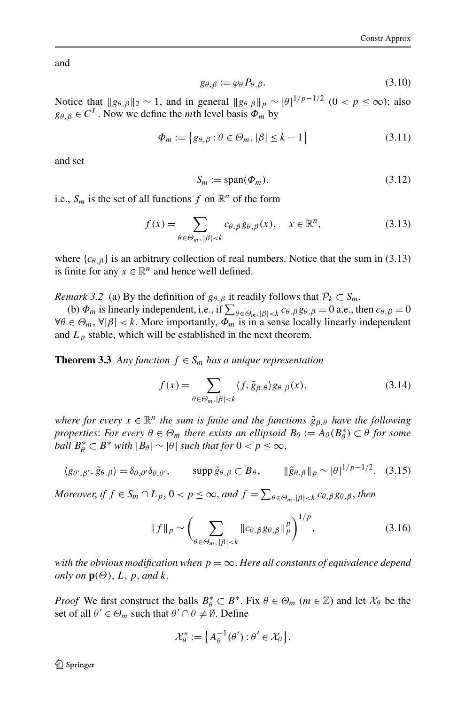<span id="page-13-0"></span>and

$$
g_{\theta,\beta} := \varphi_{\theta} P_{\theta,\beta}.
$$
\n(3.10)

Notice that  $||g_{\theta,\beta}||_2 \sim 1$ , and in general  $||g_{\theta,\beta}||_p \sim |\theta|^{1/p-1/2}$  (0 <  $p \le \infty$ ); also  $g_{\theta, \beta} \in C^L$ . Now we define the *m*th level basis  $\Phi_m$  by

$$
\Phi_m := \{ g_{\theta,\beta} : \theta \in \Theta_m, |\beta| \le k - 1 \}
$$
\n(3.11)

and set

$$
S_m := \text{span}(\Phi_m),\tag{3.12}
$$

i.e.,  $S_m$  is the set of all functions  $f$  on  $\mathbb{R}^n$  of the form

$$
f(x) = \sum_{\theta \in \Theta_m, |\beta| < k} c_{\theta, \beta} g_{\theta, \beta}(x), \quad x \in \mathbb{R}^n,\tag{3.13}
$$

where  ${c_{\theta, \beta}}$  is an arbitrary collection of real numbers. Notice that the sum in (3.13) is finite for any  $x \in \mathbb{R}^n$  and hence well defined.

*Remark 3.2* (a) By the definition of  $g_{\theta, \beta}$  it readily follows that  $\mathcal{P}_k \subset S_m$ .

(b)  $\Phi_m$  is linearly independent, i.e., if  $\sum_{\theta \in \Theta_m, |\beta| < k} c_{\theta, \beta} g_{\theta, \beta} = 0$  a.e., then  $c_{\theta, \beta} = 0$  $\forall \theta \in \Theta_m$ ,  $\forall |\beta| < k$ . More importantly,  $\Phi_m$  is in a sense locally linearly independent and  $L_p$  stable, which will be established in the next theorem.

**Theorem 3.3** *Any function*  $f \in S_m$  *has a unique representation* 

$$
f(x) = \sum_{\theta \in \Theta_m, |\beta| < k} \langle f, \tilde{g}_{\beta,\theta} \rangle g_{\theta,\beta}(x),\tag{3.14}
$$

*where for every*  $x \in \mathbb{R}^n$  *the sum is finite and the functions*  $\tilde{g}_{\beta,\theta}$  *have the following properties: For every*  $\theta \in \Theta_m$  *there exists an ellipsoid*  $B_{\theta} := A_{\theta}(B_{\theta}^*) \subset \theta$  *for some ball*  $B^*_{\theta} \subset B^*$  *with*  $|B_{\theta}| \sim |\theta|$  *such that for*  $0 < p \leq \infty$ ,

$$
\langle g_{\theta',\beta'}, \tilde{g}_{\theta,\beta} \rangle = \delta_{\theta,\theta'} \delta_{\theta,\theta'}, \qquad \text{supp } \tilde{g}_{\theta,\beta} \subset \overline{B}_{\theta}, \qquad \|\tilde{g}_{\theta,\beta}\|_p \sim |\theta|^{1/p - 1/2}. \tag{3.15}
$$

*Moreover, if*  $f \in S_m \cap L_p$ ,  $0 < p \le \infty$ , and  $f = \sum_{\theta \in \Theta_m, |\beta| < k} c_{\theta, \beta} g_{\theta, \beta}$ , then

$$
||f||_p \sim \left(\sum_{\theta \in \Theta_m, \, |\beta| < k} ||c_{\theta, \beta} g_{\theta, \beta}||_p^p\right)^{1/p},\tag{3.16}
$$

*with the obvious modification when*  $p = \infty$ . *Here all constants of equivalence depend only on*  $\mathbf{p}(\Theta)$ ,  $L$ ,  $p$ , and  $k$ .

*Proof* We first construct the balls  $B^*_{\theta} \subset B^*$ . Fix  $\theta \in \Theta_m$  ( $m \in \mathbb{Z}$ ) and let  $X_{\theta}$  be the set of all  $\theta' \in \Theta_m$  such that  $\theta' \cap \theta \neq \emptyset$ . Define

$$
\mathcal{X}_{\theta}^* := \left\{ A_{\theta}^{-1}(\theta') : \theta' \in \mathcal{X}_{\theta} \right\}.
$$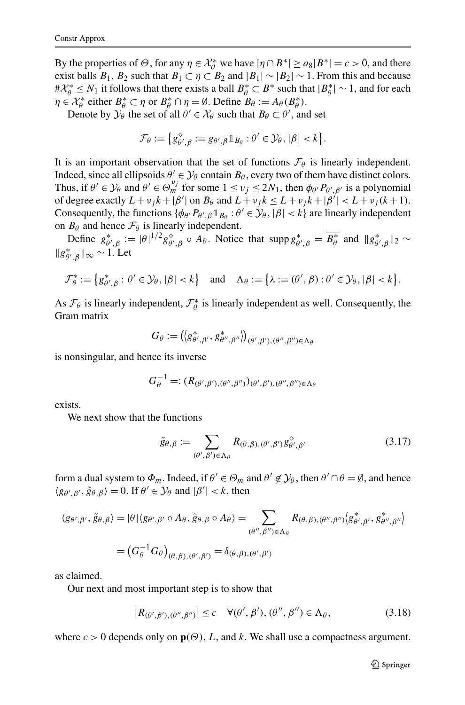<span id="page-14-0"></span>By the properties of  $\Theta$ , for any  $\eta \in \mathcal{X}_{\theta}^{*}$  we have  $|\eta \cap B^{*}| \ge a_{8}|B^{*}| = c > 0$ , and there exist balls  $B_1$ ,  $B_2$  such that  $B_1 \subset \eta \subset B_2$  and  $|B_1| \sim |B_2| \sim 1$ . From this and because  $#X_{\theta}^*$  ≤ *N*<sub>1</sub> it follows that there exists a ball  $B_{\theta}^*$  ⊂  $B^*$  such that  $|B_{\theta}^*|$  ~ 1, and for each  $\eta \in \mathcal{X}_{\theta}^{*}$  either  $B_{\theta}^{*} \subset \eta$  or  $B_{\theta}^{*} \cap \eta = \emptyset$ . Define  $B_{\theta} := A_{\theta}(B_{\theta}^{*})$ .

Denote by  $\mathcal{Y}_{\theta}$  the set of all  $\theta' \in \mathcal{X}_{\theta}$  such that  $B_{\theta} \subset \theta'$ , and set

$$
\mathcal{F}_{\theta} := \big\{ g_{\theta',\beta}^{\diamond} := g_{\theta',\beta} \mathbb{1}_{B_{\theta}} : \theta' \in \mathcal{Y}_{\theta}, |\beta| < k \big\}.
$$

It is an important observation that the set of functions  $\mathcal{F}_{\theta}$  is linearly independent. Indeed, since all ellipsoids  $\theta' \in \mathcal{Y}_{\theta}$  contain  $B_{\theta}$ , every two of them have distinct colors. Thus, if  $\theta' \in \mathcal{Y}_{\theta}$  and  $\theta' \in \Theta_m^{v_j}$  for some  $1 \le v_j \le 2N_1$ , then  $\phi_{\theta'}P_{\theta',\beta'}$  is a polynomial of degree exactly  $L + v_j k + |\beta'|$  on  $B_\theta$  and  $L + v_j k \le L + v_j k + |\beta'| < L + v_j (k+1)$ . Consequently, the functions  $\{\phi_{\theta}, P_{\theta', \beta} \mathbb{1}_{B_{\theta}} : \theta' \in \mathcal{Y}_{\theta}, |\beta| < k\}$  are linearly independent on  $B_\theta$  and hence  $\mathcal{F}_\theta$  is linearly independent.

Define  $g_{\theta',\beta}^* := |\theta|^{1/2} g_{\theta',\beta}^{\diamond} \circ A_\theta$ . Notice that  $\text{supp } g_{\theta',\beta}^* = \overline{B_\theta^*}$  and  $||g_{\theta',\beta}^*||_2 \sim$  $||g_{\theta',\beta}^*||_{\infty}$  ∼ 1. Let

$$
\mathcal{F}_{\theta}^* := \left\{ g_{\theta',\beta}^* : \theta' \in \mathcal{Y}_{\theta}, |\beta| < k \right\} \quad \text{and} \quad \Lambda_{\theta} := \left\{ \lambda := (\theta',\beta) : \theta' \in \mathcal{Y}_{\theta}, |\beta| < k \right\}.
$$

As  $\mathcal{F}_{\theta}$  is linearly independent,  $\mathcal{F}_{\theta}^*$  is linearly independent as well. Consequently, the Gram matrix

$$
G_{\theta} := ( \langle g_{\theta',\beta'}^*, g_{\theta'',\beta''}^* \rangle )_{(\theta',\beta'),(\theta'',\beta'') \in \Lambda_{\theta}}
$$

is nonsingular, and hence its inverse

$$
G_{\theta}^{-1} =: (R_{(\theta',\beta'),(\theta'',\beta'')})_{(\theta',\beta'),(\theta'',\beta'') \in \Lambda_{\theta}}
$$

exists.

We next show that the functions

$$
\tilde{g}_{\theta,\beta} := \sum_{(\theta',\beta') \in \Lambda_{\theta}} R_{(\theta,\beta),(\theta',\beta')} g_{\theta',\beta'}^{\diamond} \tag{3.17}
$$

form a dual system to  $\Phi_m$ . Indeed, if  $\theta' \in \Theta_m$  and  $\theta' \notin \mathcal{Y}_\theta$ , then  $\theta' \cap \theta = \emptyset$ , and hence  $\langle g_{\theta', \beta'}, \tilde{g}_{\theta, \beta} \rangle = 0$ . If  $\theta' \in \mathcal{Y}_{\theta}$  and  $|\beta'| < k$ , then

$$
\langle g_{\theta',\beta'}, \tilde{g}_{\theta,\beta} \rangle = |\theta| \langle g_{\theta',\beta'} \circ A_{\theta}, \tilde{g}_{\theta,\beta} \circ A_{\theta} \rangle = \sum_{(\theta'',\beta'') \in \Lambda_{\theta}} R_{(\theta,\beta),(\theta'',\beta'')} \langle g_{\theta',\beta'}^*, g_{\theta'',\beta''}^* \rangle
$$

$$
= (G_{\theta}^{-1} G_{\theta})_{(\theta,\beta),(\theta',\beta')} = \delta_{(\theta,\beta),(\theta',\beta')}
$$

as claimed.

Our next and most important step is to show that

$$
|R_{(\theta',\beta'),(\theta'',\beta'')}| \leq c \quad \forall (\theta',\beta'), (\theta'',\beta'') \in \Lambda_{\theta},\tag{3.18}
$$

where  $c > 0$  depends only on  $\mathbf{p}(\Theta)$ , *L*, and *k*. We shall use a compactness argument.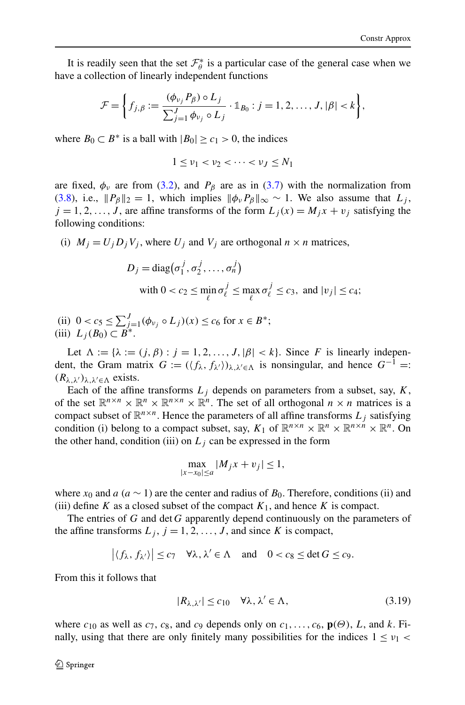<span id="page-15-0"></span>It is readily seen that the set  $\mathcal{F}_{\theta}^{*}$  is a particular case of the general case when we have a collection of linearly independent functions

$$
\mathcal{F} = \left\{ f_{j,\beta} := \frac{(\phi_{\nu_j} P_{\beta}) \circ L_j}{\sum_{j=1}^J \phi_{\nu_j} \circ L_j} \cdot \mathbb{1}_{B_0} : j = 1, 2, \ldots, J, |\beta| < k \right\},\
$$

where  $B_0 \subset B^*$  is a ball with  $|B_0| \ge c_1 > 0$ , the indices

$$
1 \leq \nu_1 < \nu_2 < \cdots < \nu_J \leq N_1
$$

are fixed,  $\phi_{\nu}$  are from ([3.2](#page-12-0)), and  $P_{\beta}$  are as in [\(3.7](#page-12-0)) with the normalization from [\(3.8\)](#page-12-0), i.e.,  $||P_\beta||_2 = 1$ , which implies  $||\phi_\nu P_\beta||_\infty \sim 1$ . We also assume that  $L_i$ ,  $j = 1, 2, \ldots, J$ , are affine transforms of the form  $L_j(x) = M_j x + v_j$  satisfying the following conditions:

(i)  $M_i = U_i D_i V_i$ , where  $U_i$  and  $V_i$  are orthogonal  $n \times n$  matrices,

$$
D_j = \text{diag}(\sigma_1^j, \sigma_2^j, \dots, \sigma_n^j)
$$
  
with  $0 < c_2 \le \min_{\ell} \sigma_\ell^j \le \max_{\ell} \sigma_\ell^j \le c_3$ , and  $|v_j| \le c_4$ ;

(ii)  $0 < c_5 \le \sum_{j=1}^J (\phi_{\nu_j} \circ L_j)(x) \le c_6$  for  $x \in B^*$ ; (iii)  $L_j(B_0) \subset B^*$ .

Let  $\Lambda := \{ \lambda := (j, \beta) : j = 1, 2, \ldots, J, |\beta| < k \}$ . Since *F* is linearly independent, the Gram matrix  $G := (\langle f_{\lambda}, f_{\lambda'} \rangle)_{\lambda, \lambda' \in \Lambda}$  is nonsingular, and hence  $G^{-1} =$ :  $(R_{\lambda,\lambda})_{\lambda,\lambda'\in\Lambda}$  exists.

Each of the affine transforms  $L_j$  depends on parameters from a subset, say,  $K$ , of the set  $\mathbb{R}^{n \times n} \times \mathbb{R}^{n} \times \mathbb{R}^{n \times n} \times \mathbb{R}^{n}$ . The set of all orthogonal  $n \times n$  matrices is a compact subset of  $\mathbb{R}^{n \times n}$ . Hence the parameters of all affine transforms  $L_j$  satisfying condition (i) belong to a compact subset, say,  $K_1$  of  $\mathbb{R}^{n \times n} \times \mathbb{R}^n \times \mathbb{R}^{n \times n} \times \mathbb{R}^n$ . On the other hand, condition (iii) on  $L_i$  can be expressed in the form

$$
\max_{|x-x_0| \le a} |M_j x + v_j| \le 1,
$$

where  $x_0$  and  $a$  ( $a \sim 1$ ) are the center and radius of  $B_0$ . Therefore, conditions (ii) and (iii) define *K* as a closed subset of the compact  $K_1$ , and hence *K* is compact.

The entries of *G* and det *G* apparently depend continuously on the parameters of the affine transforms  $L_j$ ,  $j = 1, 2, ..., J$ , and since K is compact,

$$
|\langle f_{\lambda}, f_{\lambda'} \rangle| \le c_7 \quad \forall \lambda, \lambda' \in \Lambda \quad \text{and} \quad 0 < c_8 \le \det G \le c_9.
$$

From this it follows that

$$
|R_{\lambda,\lambda'}| \le c_{10} \quad \forall \lambda,\lambda' \in \Lambda,\tag{3.19}
$$

where  $c_{10}$  as well as  $c_7$ ,  $c_8$ , and  $c_9$  depends only on  $c_1, \ldots, c_6$ ,  $\mathbf{p}(\Theta)$ , *L*, and *k*. Finally, using that there are only finitely many possibilities for the indices  $1 \leq v_1$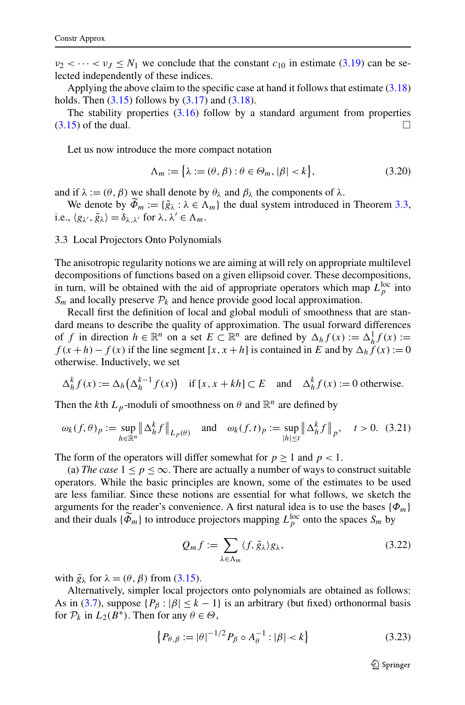<span id="page-16-0"></span> $\nu_2 < \cdots < \nu_J \leq N_1$  we conclude that the constant  $c_{10}$  in estimate ([3.19](#page-15-0)) can be selected independently of these indices.

Applying the above claim to the specific case at hand it follows that estimate ([3.18](#page-14-0)) holds. Then  $(3.15)$  $(3.15)$  $(3.15)$  follows by  $(3.17)$  $(3.17)$  $(3.17)$  and  $(3.18)$ .

The stability properties  $(3.16)$  follow by a standard argument from properties  $(3.15)$  of the dual.

Let us now introduce the more compact notation

$$
\Lambda_m := \left\{ \lambda := (\theta, \beta) : \theta \in \Theta_m, |\beta| < k \right\},\tag{3.20}
$$

and if  $\lambda := (\theta, \beta)$  we shall denote by  $\theta_{\lambda}$  and  $\beta_{\lambda}$  the components of  $\lambda$ .

We denote by  $\widetilde{\Phi}_m := {\{\widetilde{g}_\lambda : \lambda \in \Lambda_m\}}$  the dual system introduced in Theorem [3.3](#page-13-0), i.e.,  $\langle g_{\lambda}, \tilde{g}_{\lambda} \rangle = \delta_{\lambda, \lambda'}$  for  $\lambda, \lambda' \in \Lambda_m$ .

3.3 Local Projectors Onto Polynomials

The anisotropic regularity notions we are aiming at will rely on appropriate multilevel decompositions of functions based on a given ellipsoid cover. These decompositions, in turn, will be obtained with the aid of appropriate operators which map  $L_p^{\text{loc}}$  into  $S_m$  and locally preserve  $\mathcal{P}_k$  and hence provide good local approximation.

Recall first the definition of local and global moduli of smoothness that are standard means to describe the quality of approximation. The usual forward differences of *f* in direction  $h \in \mathbb{R}^n$  on a set  $E \subset \mathbb{R}^n$  are defined by  $\Delta_h f(x) := \Delta_h^1 f(x)$ :=  $f(x+h) - f(x)$  if the line segment [*x, x* + *h*] is contained in *E* and by  $\Delta_h f(x) := 0$ otherwise. Inductively, we set

$$
\Delta_h^k f(x) := \Delta_h \left( \Delta_h^{k-1} f(x) \right) \quad \text{if } [x, x + kh] \subset E \quad \text{and} \quad \Delta_h^k f(x) := 0 \text{ otherwise.}
$$

Then the *k*th  $L_p$ -moduli of smoothness on  $\theta$  and  $\mathbb{R}^n$  are defined by

$$
\omega_k(f,\theta)_p := \sup_{h \in \mathbb{R}^n} \left\| \Delta_h^k f \right\|_{L_p(\theta)} \quad \text{and} \quad \omega_k(f,t)_p := \sup_{|h| \le t} \left\| \Delta_h^k f \right\|_p, \quad t > 0. \tag{3.21}
$$

The form of the operators will differ somewhat for  $p \ge 1$  and  $p < 1$ .

(a) *The case*  $1 \leq p \leq \infty$ . There are actually a number of ways to construct suitable operators. While the basic principles are known, some of the estimates to be used are less familiar. Since these notions are essential for what follows, we sketch the arguments for the reader's convenience. A first natural idea is to use the bases  $\{\Phi_m\}$ and their duals  $\{\tilde{\Phi}_m\}$  to introduce projectors mapping  $L_p^{\text{loc}}$  onto the spaces  $S_m$  by

$$
Q_m f := \sum_{\lambda \in \Lambda_m} \langle f, \tilde{g}_{\lambda} \rangle g_{\lambda}, \tag{3.22}
$$

with  $\tilde{g}_{\lambda}$  for  $\lambda = (\theta, \beta)$  from ([3.15\)](#page-13-0).

Alternatively, simpler local projectors onto polynomials are obtained as follows: As in ([3.7](#page-12-0)), suppose  $\{P_\beta : |\beta| \le k - 1\}$  is an arbitrary (but fixed) orthonormal basis for  $P_k$  in  $L_2(B^*)$ . Then for any  $\theta \in \Theta$ ,

$$
\left\{ P_{\theta,\beta} := |\theta|^{-1/2} P_{\beta} \circ A_{\theta}^{-1} : |\beta| < k \right\} \tag{3.23}
$$

 $\mathcal{D}$  Springer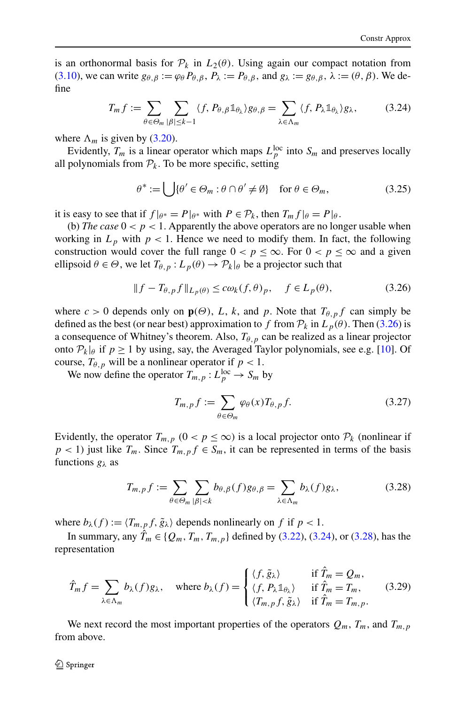<span id="page-17-0"></span>is an orthonormal basis for  $\mathcal{P}_k$  in  $L_2(\theta)$ . Using again our compact notation from [\(3.10\)](#page-13-0), we can write  $g_{\theta,\beta} := \varphi_{\theta} P_{\theta,\beta}, P_{\lambda} := P_{\theta,\beta}$ , and  $g_{\lambda} := g_{\theta,\beta}, \lambda := (\theta, \beta)$ . We define

$$
T_m f := \sum_{\theta \in \Theta_m} \sum_{|\beta| \le k-1} \langle f, P_{\theta, \beta} \mathbb{1}_{\theta_\lambda} \rangle g_{\theta, \beta} = \sum_{\lambda \in \Lambda_m} \langle f, P_{\lambda} \mathbb{1}_{\theta_\lambda} \rangle g_{\lambda}, \tag{3.24}
$$

where  $\Lambda_m$  is given by ([3.20](#page-16-0)).

Evidently,  $T_m$  is a linear operator which maps  $L_p^{\text{loc}}$  into  $S_m$  and preserves locally all polynomials from  $P_k$ . To be more specific, setting

$$
\theta^* := \bigcup \{ \theta' \in \Theta_m : \theta \cap \theta' \neq \emptyset \} \quad \text{for } \theta \in \Theta_m,
$$
 (3.25)

it is easy to see that if  $f|_{\theta^*} = P|_{\theta^*}$  with  $P \in \mathcal{P}_k$ , then  $T_m f|_{\theta} = P|_{\theta}$ .

(b) *The case*  $0 < p < 1$ . Apparently the above operators are no longer usable when working in  $L_p$  with  $p < 1$ . Hence we need to modify them. In fact, the following construction would cover the full range  $0 < p \leq \infty$ . For  $0 < p \leq \infty$  and a given ellipsoid  $\theta \in \Theta$ , we let  $T_{\theta, p}: L_p(\theta) \to \mathcal{P}_k|_{\theta}$  be a projector such that

$$
|| f - T_{\theta, p} f ||_{L_p(\theta)} \le c \omega_k(f, \theta)_p, \quad f \in L_p(\theta), \tag{3.26}
$$

where  $c > 0$  depends only on  $\mathbf{p}(\Theta)$ , *L*, *k*, and *p*. Note that  $T_{\theta,p}f$  can simply be defined as the best (or near best) approximation to *f* from  $P_k$  in  $L_p(\theta)$ . Then (3.26) is a consequence of Whitney's theorem. Also,  $T_{\theta,p}$  can be realized as a linear projector onto  $P_k|\theta$  if  $p \ge 1$  by using, say, the Averaged Taylor polynomials, see e.g. [[10\]](#page-45-0). Of course,  $T_{\theta, p}$  will be a nonlinear operator if  $p < 1$ .

We now define the operator  $T_{m,p}: L_p^{\text{loc}} \to S_m$  by

$$
T_{m,p}f := \sum_{\theta \in \Theta_m} \varphi_{\theta}(x) T_{\theta,p}f. \tag{3.27}
$$

Evidently, the operator  $T_{m,p}$   $(0 < p \leq \infty)$  is a local projector onto  $\mathcal{P}_k$  (nonlinear if  $p < 1$ ) just like  $T_m$ . Since  $T_{m,p} f \in S_m$ , it can be represented in terms of the basis functions *gλ* as

$$
T_{m,p}f := \sum_{\theta \in \Theta_m} \sum_{|\beta| < k} b_{\theta,\beta}(f) g_{\theta,\beta} = \sum_{\lambda \in \Lambda_m} b_{\lambda}(f) g_{\lambda},\tag{3.28}
$$

where  $b_{\lambda}(f) := \langle T_{m,p} f, \tilde{g}_{\lambda} \rangle$  depends nonlinearly on f if  $p < 1$ .

In summary, any  $\hat{T}_m \in \{Q_m, T_m, T_{m,p}\}\)$  defined by ([3.22](#page-16-0)), (3.24), or (3.28), has the representation

$$
\hat{T}_m f = \sum_{\lambda \in \Lambda_m} b_{\lambda}(f) g_{\lambda}, \quad \text{where } b_{\lambda}(f) = \begin{cases} \langle f, \tilde{g}_{\lambda} \rangle & \text{if } \hat{T}_m = Q_m, \\ \langle f, P_{\lambda} \mathbb{1}_{\theta_{\lambda}} \rangle & \text{if } \hat{T}_m = T_m, \\ \langle T_{m,p} f, \tilde{g}_{\lambda} \rangle & \text{if } \hat{T}_m = T_{m,p}. \end{cases}
$$
(3.29)

We next record the most important properties of the operators  $Q_m$ ,  $T_m$ , and  $T_{m,p}$ from above.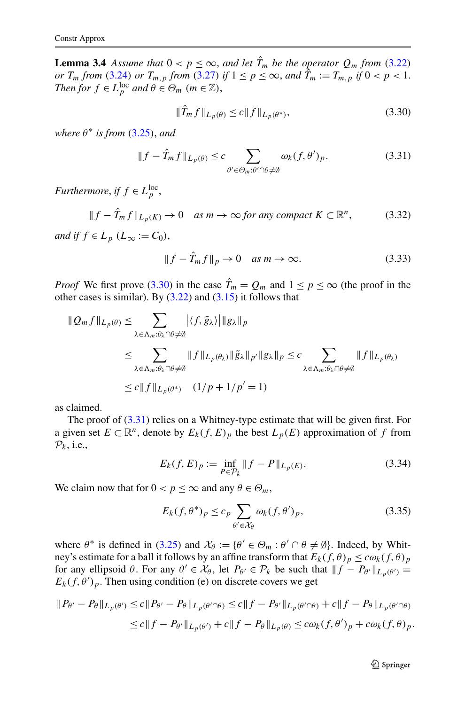<span id="page-18-0"></span>**Lemma 3.4** Assume that  $0 < p \le \infty$ , and let  $\hat{T}_m$  be the operator  $Q_m$  from ([3.22](#page-16-0)) *or*  $T_m$  *from* ([3.24](#page-17-0)) *or*  $T_{m,p}$  *from* ([3.27](#page-17-0)) *if*  $1 \le p \le \infty$ , *and*  $\hat{T}_m := T_{m,p}$  *if*  $0 < p < 1$ . *Then for*  $f \in L_p^{\text{loc}}$  *and*  $\theta \in \Theta_m$   $(m \in \mathbb{Z})$ ,

$$
\|\hat{T}_m f\|_{L_p(\theta)} \le c \|f\|_{L_p(\theta^*)},\tag{3.30}
$$

*where*  $\theta^*$  *is from* ([3.25](#page-17-0)), *and* 

$$
||f - \hat{T}_m f||_{L_p(\theta)} \le c \sum_{\theta' \in \Theta_m : \theta' \cap \theta \ne \emptyset} \omega_k(f, \theta')_p.
$$
 (3.31)

*Furthermore*, *if*  $f \in L_p^{\text{loc}}$ ,

$$
||f - \hat{T}_m f||_{L_p(K)} \to 0 \quad \text{as } m \to \infty \text{ for any compact } K \subset \mathbb{R}^n, \tag{3.32}
$$

*and if*  $f \in L_p$   $(L_\infty := C_0)$ ,

$$
||f - \hat{T}_m f||_p \to 0 \quad \text{as } m \to \infty. \tag{3.33}
$$

*Proof* We first prove (3.30) in the case  $\hat{T}_m = Q_m$  and  $1 \le p \le \infty$  (the proof in the other cases is similar). By  $(3.22)$  $(3.22)$  $(3.22)$  and  $(3.15)$  it follows that

$$
\|Q_m f\|_{L_p(\theta)} \leq \sum_{\lambda \in \Lambda_m : \theta_{\lambda} \cap \theta \neq \emptyset} |\langle f, \tilde{g}_{\lambda} \rangle| \|g_{\lambda}\|_p
$$
  
\n
$$
\leq \sum_{\lambda \in \Lambda_m : \theta_{\lambda} \cap \theta \neq \emptyset} \|f\|_{L_p(\theta_{\lambda})} \|\tilde{g}_{\lambda}\|_{p'} \|g_{\lambda}\|_p \leq c \sum_{\lambda \in \Lambda_m : \theta_{\lambda} \cap \theta \neq \emptyset} \|f\|_{L_p(\theta_{\lambda})}
$$
  
\n
$$
\leq c \|f\|_{L_p(\theta^*)} (1/p + 1/p' = 1)
$$

as claimed.

The proof of  $(3.31)$  relies on a Whitney-type estimate that will be given first. For a given set  $E \subset \mathbb{R}^n$ , denote by  $E_k(f, E)_p$  the best  $L_p(E)$  approximation of f from  $\mathcal{P}_k$ , i.e.,

$$
E_k(f, E)_p := \inf_{P \in \mathcal{P}_k} \|f - P\|_{L_p(E)}.
$$
\n(3.34)

We claim now that for  $0 < p \leq \infty$  and any  $\theta \in \Theta_m$ ,

$$
E_k(f, \theta^*)_p \le c_p \sum_{\theta' \in \mathcal{X}_{\theta}} \omega_k(f, \theta')_p, \tag{3.35}
$$

where  $\theta^*$  is defined in ([3.25](#page-17-0)) and  $\mathcal{X}_{\theta} := {\theta' \in \Theta_m : \theta' \cap \theta \neq \emptyset}$ . Indeed, by Whitney's estimate for a ball it follows by an affine transform that  $E_k(f, \theta)_p \leq c\omega_k(f, \theta)_p$ for any ellipsoid  $\theta$ . For any  $\theta' \in \mathcal{X}_{\theta}$ , let  $P_{\theta'} \in \mathcal{P}_k$  be such that  $||f - P_{\theta'}||_{L_p(\theta')} =$  $E_k(f, \theta')_p$ . Then using condition (e) on discrete covers we get

$$
\begin{aligned} \|P_{\theta'} - P_{\theta}\|_{L_p(\theta')} &\leq c \|P_{\theta'} - P_{\theta}\|_{L_p(\theta'\cap\theta)} \leq c \|f - P_{\theta'}\|_{L_p(\theta'\cap\theta)} + c \|f - P_{\theta}\|_{L_p(\theta'\cap\theta)} \\ &\leq c \|f - P_{\theta'}\|_{L_p(\theta')} + c \|f - P_{\theta}\|_{L_p(\theta)} \leq c\omega_k(f, \theta')_p + c\omega_k(f, \theta)_p. \end{aligned}
$$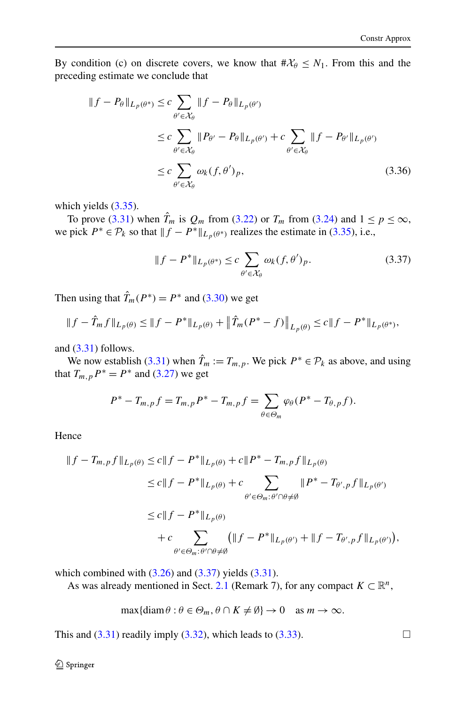By condition (c) on discrete covers, we know that  $\#\mathcal{X}_{\theta} \leq N_1$ . From this and the preceding estimate we conclude that

$$
||f - P_{\theta}||_{L_p(\theta^*)} \le c \sum_{\theta' \in \mathcal{X}_{\theta}} ||f - P_{\theta}||_{L_p(\theta')}
$$
  
\n
$$
\le c \sum_{\theta' \in \mathcal{X}_{\theta}} ||P_{\theta'} - P_{\theta}||_{L_p(\theta')} + c \sum_{\theta' \in \mathcal{X}_{\theta}} ||f - P_{\theta'}||_{L_p(\theta')}
$$
  
\n
$$
\le c \sum_{\theta' \in \mathcal{X}_{\theta}} \omega_k(f, \theta')_p,
$$
\n(3.36)

which yields  $(3.35)$ .

To prove ([3.31](#page-18-0)) when  $\hat{T}_m$  is  $Q_m$  from ([3.22](#page-16-0)) or  $T_m$  from ([3.24\)](#page-17-0) and  $1 \le p \le \infty$ , we pick  $P^* \in \mathcal{P}_k$  so that  $||f - P^*||_{L_p(\theta^*)}$  realizes the estimate in ([3.35](#page-18-0)), i.e.,

$$
||f - P^*||_{L_p(\theta^*)} \leq c \sum_{\theta' \in \mathcal{X}_{\theta}} \omega_k(f, \theta')_p.
$$
 (3.37)

Then using that  $\hat{T}_m(P^*) = P^*$  and ([3.30](#page-18-0)) we get

$$
||f - \hat{T}_m f||_{L_p(\theta)} \le ||f - P^*||_{L_p(\theta)} + ||\hat{T}_m(P^* - f)||_{L_p(\theta)} \le c||f - P^*||_{L_p(\theta^*)},
$$

and  $(3.31)$  $(3.31)$  follows.

We now establish ([3.31](#page-18-0)) when  $\hat{T}_m := T_{m,p}$ . We pick  $P^* \in \mathcal{P}_k$  as above, and using that  $T_{m,p}P^* = P^*$  and ([3.27](#page-17-0)) we get

$$
P^* - T_{m,p}f = T_{m,p}P^* - T_{m,p}f = \sum_{\theta \in \Theta_m} \varphi_{\theta}(P^* - T_{\theta,p}f).
$$

Hence

$$
||f - T_{m,p}f||_{L_p(\theta)} \le c||f - P^*||_{L_p(\theta)} + c||P^* - T_{m,p}f||_{L_p(\theta)}
$$
  
\n
$$
\le c||f - P^*||_{L_p(\theta)} + c \sum_{\theta' \in \Theta_m : \theta' \cap \theta \neq \emptyset} ||P^* - T_{\theta',p}f||_{L_p(\theta')}
$$
  
\n
$$
\le c||f - P^*||_{L_p(\theta)}
$$
  
\n
$$
+ c \sum_{\theta' \in \Theta_m : \theta' \cap \theta \neq \emptyset} (||f - P^*||_{L_p(\theta')} + ||f - T_{\theta',p}f||_{L_p(\theta)}),
$$

which combined with  $(3.26)$  $(3.26)$  $(3.26)$  and  $(3.37)$  yields  $(3.31)$ .

As was already mentioned in Sect. [2.1](#page-4-0) (Remark 7), for any compact  $K \subset \mathbb{R}^n$ ,

$$
\max\{\text{diam}\,\theta : \theta \in \Theta_m, \theta \cap K \neq \emptyset\} \to 0 \quad \text{as } m \to \infty.
$$

This and  $(3.31)$  readily imply  $(3.32)$  $(3.32)$  $(3.32)$ , which leads to  $(3.33)$  $(3.33)$  $(3.33)$ .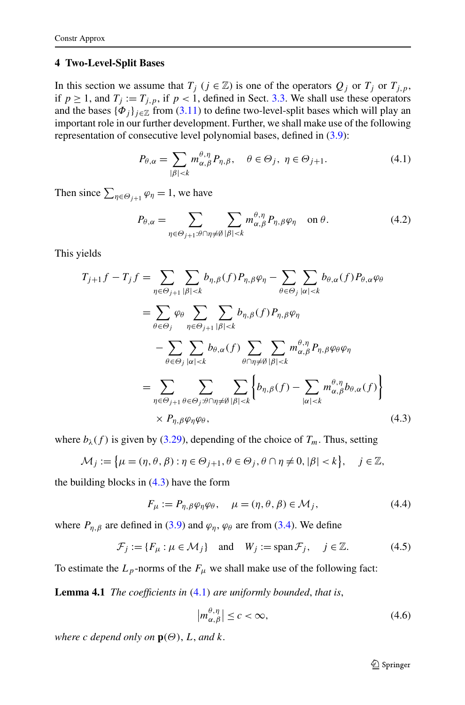#### <span id="page-20-0"></span>**4 Two-Level-Split Bases**

In this section we assume that  $T_j$  ( $j \in \mathbb{Z}$ ) is one of the operators  $Q_j$  or  $T_j$  or  $T_{j,p}$ , if  $p \ge 1$ , and  $T_j := T_{j,p}$ , if  $p < 1$ , defined in Sect. [3.3.](#page-16-0) We shall use these operators and the bases  $\{\Phi_i\}_{i\in\mathbb{Z}}$  from ([3.11](#page-13-0)) to define two-level-split bases which will play an important role in our further development. Further, we shall make use of the following representation of consecutive level polynomial bases, defined in ([3.9](#page-12-0)):

$$
P_{\theta,\alpha} = \sum_{|\beta| < k} m_{\alpha,\beta}^{\theta,\eta} P_{\eta,\beta}, \quad \theta \in \Theta_j, \ \eta \in \Theta_{j+1}.\tag{4.1}
$$

Then since  $\sum_{\eta \in \Theta_{j+1}} \varphi_{\eta} = 1$ , we have

$$
P_{\theta,\alpha} = \sum_{\eta \in \Theta_{j+1} : \theta \cap \eta \neq \emptyset} \sum_{|\beta| < k} m_{\alpha,\beta}^{\theta,\eta} P_{\eta,\beta} \varphi_{\eta} \quad \text{on } \theta. \tag{4.2}
$$

This yields

$$
T_{j+1}f - T_j f = \sum_{\eta \in \Theta_{j+1}} \sum_{|\beta| < k} b_{\eta,\beta}(f) P_{\eta,\beta} \varphi_{\eta} - \sum_{\theta \in \Theta_j} \sum_{|\alpha| < k} b_{\theta,\alpha}(f) P_{\theta,\alpha} \varphi_{\theta}
$$
  
\n
$$
= \sum_{\theta \in \Theta_j} \varphi_{\theta} \sum_{\eta \in \Theta_{j+1}} \sum_{|\beta| < k} b_{\eta,\beta}(f) P_{\eta,\beta} \varphi_{\eta}
$$
  
\n
$$
- \sum_{\theta \in \Theta_j} \sum_{|\alpha| < k} b_{\theta,\alpha}(f) \sum_{\theta \cap \eta \neq \emptyset} \sum_{|\beta| < k} m_{\alpha,\beta}^{\theta,\eta} P_{\eta,\beta} \varphi_{\theta} \varphi_{\eta}
$$
  
\n
$$
= \sum_{\eta \in \Theta_{j+1}} \sum_{\theta \in \Theta_j: \theta \cap \eta \neq \emptyset} \sum_{|\beta| < k} \left\{ b_{\eta,\beta}(f) - \sum_{|\alpha| < k} m_{\alpha,\beta}^{\theta,\eta} b_{\theta,\alpha}(f) \right\}
$$
  
\n
$$
\times P_{\eta,\beta} \varphi_{\eta} \varphi_{\theta}, \qquad (4.3)
$$

where  $b_{\lambda}(f)$  is given by ([3.29\)](#page-17-0), depending of the choice of  $T_m$ . Thus, setting

$$
\mathcal{M}_j := \left\{ \mu = (\eta, \theta, \beta) : \eta \in \Theta_{j+1}, \theta \in \Theta_j, \theta \cap \eta \neq 0, |\beta| < k \right\}, \quad j \in \mathbb{Z},
$$

the building blocks in  $(4.3)$  have the form

$$
F_{\mu} := P_{\eta, \beta} \varphi_{\eta} \varphi_{\theta}, \quad \mu = (\eta, \theta, \beta) \in \mathcal{M}_{j}, \tag{4.4}
$$

where  $P_{\eta,\beta}$  are defined in ([3.9\)](#page-12-0) and  $\varphi_{\eta}$ ,  $\varphi_{\theta}$  are from ([3.4](#page-12-0)). We define

$$
\mathcal{F}_j := \{ F_\mu : \mu \in \mathcal{M}_j \} \quad \text{and} \quad W_j := \text{span}\,\mathcal{F}_j, \quad j \in \mathbb{Z}.\tag{4.5}
$$

To estimate the  $L_p$ -norms of the  $F_\mu$  we shall make use of the following fact:

**Lemma 4.1** *The coefficients in (*4.1*) are uniformly bounded*, *that is*,

$$
\left| m_{\alpha,\beta}^{\theta,\eta} \right| \le c < \infty,\tag{4.6}
$$

*where c depend only on*  $\mathbf{p}(\Theta)$ , *L*, *and k*.

 $\mathcal{D}$  Springer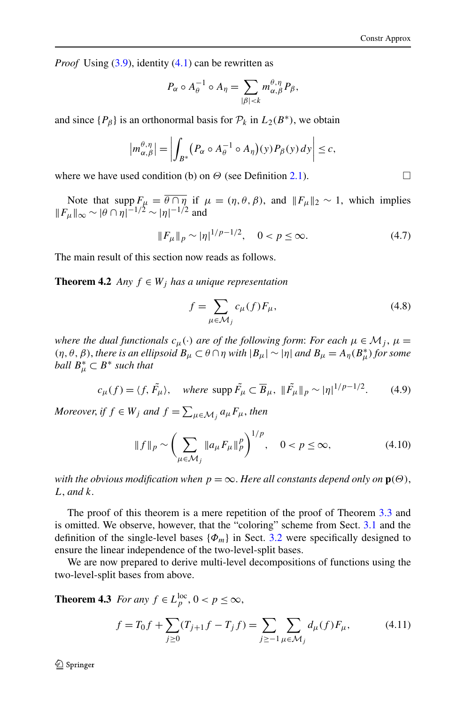<span id="page-21-0"></span>*Proof* Using ([3.9](#page-12-0)), identity ([4.1](#page-20-0)) can be rewritten as

$$
P_{\alpha} \circ A_{\theta}^{-1} \circ A_{\eta} = \sum_{|\beta| < k} m_{\alpha,\beta}^{\theta,\eta} P_{\beta},
$$

and since  ${P_\beta}$  is an orthonormal basis for  $P_k$  in  $L_2(B^*)$ , we obtain

$$
\left|m_{\alpha,\beta}^{\theta,\eta}\right|=\left|\int_{B^*}\left(P_\alpha\circ A_\theta^{-1}\circ A_\eta\right)(y)P_\beta(y)\,dy\right|\leq c,
$$

where we have used condition (b) on  $\Theta$  (see Definition [2.1](#page-4-0)).

Note that  $\text{supp } F_{\mu} = \theta \cap \eta$  if  $\mu = (\eta, \theta, \beta)$ , and  $||F_{\mu}||_2 \sim 1$ , which implies  $||F_{\mu}||_{\infty} \sim |\theta \cap \eta|^{-1/2} \sim |\eta|^{-1/2}$  and

$$
||F_{\mu}||_{p} \sim |\eta|^{1/p - 1/2}, \quad 0 < p \le \infty. \tag{4.7}
$$

The main result of this section now reads as follows.

**Theorem 4.2** *Any*  $f \in W_i$  *has a unique representation* 

$$
f = \sum_{\mu \in \mathcal{M}_j} c_{\mu}(f) F_{\mu}, \tag{4.8}
$$

*where the dual functionals*  $c_{\mu}(\cdot)$  *are of the following form: For each*  $\mu \in \mathcal{M}_j$ ,  $\mu =$ *(η,θ, β), there is an ellipsoid*  $B<sub>μ</sub> ⊂ θ ∩ η$  *with*  $|B<sub>μ</sub>| ∼ |η|$  *and*  $B<sub>μ</sub> = A<sub>η</sub>(B<sup>*</sup><sub>μ</sub>)$  *for some ball*  $B^*_{\mu} \subset B^*$  *such that* 

$$
c_{\mu}(f) = \langle f, \tilde{F}_{\mu} \rangle, \quad \text{where } \text{supp } \tilde{F}_{\mu} \subset \overline{B}_{\mu}, \ \|\tilde{F}_{\mu}\|_{p} \sim |\eta|^{1/p - 1/2}.
$$
 (4.9)

*Moreover, if*  $f \in W_j$  *and*  $f = \sum_{\mu \in \mathcal{M}_j} a_{\mu} F_{\mu}$ *, then* 

$$
||f||_p \sim \left(\sum_{\mu \in \mathcal{M}_j} ||a_{\mu} F_{\mu}||_p^p\right)^{1/p}, \quad 0 < p \le \infty,\tag{4.10}
$$

*with the obvious modification when*  $p = \infty$ . *Here all constants depend only on*  $p(\Theta)$ , *L*, *and k*.

The proof of this theorem is a mere repetition of the proof of Theorem [3.3](#page-13-0) and is omitted. We observe, however, that the "coloring" scheme from Sect. [3.1](#page-11-0) and the definition of the single-level bases  $\{\Phi_m\}$  in Sect. [3.2](#page-12-0) were specifically designed to ensure the linear independence of the two-level-split bases.

We are now prepared to derive multi-level decompositions of functions using the two-level-split bases from above.

**Theorem 4.3** *For any*  $f \in L_p^{\text{loc}}, 0 < p \leq \infty$ ,

$$
f = T_0 f + \sum_{j \ge 0} (T_{j+1} f - T_j f) = \sum_{j \ge -1} \sum_{\mu \in \mathcal{M}_j} d_{\mu}(f) F_{\mu},
$$
(4.11)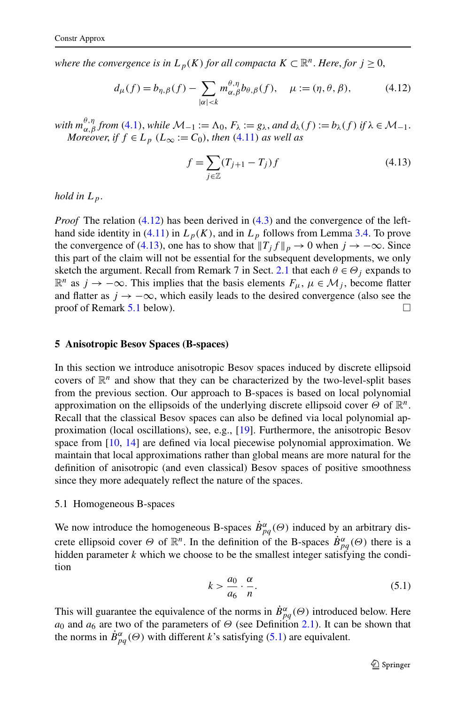<span id="page-22-0"></span>*where the convergence is in*  $L_p(K)$  *for all compacta*  $K \subset \mathbb{R}^n$ . *Here, for*  $j \geq 0$ ,

$$
d_{\mu}(f) = b_{\eta,\beta}(f) - \sum_{|\alpha| < k} m_{\alpha,\beta}^{\theta,\eta} b_{\theta,\beta}(f), \quad \mu := (\eta,\theta,\beta),\tag{4.12}
$$

*with*  $m_{\alpha,\beta}^{\theta,\eta}$  *from* ([4.1](#page-20-0)), *while*  $\mathcal{M}_{-1} := \Lambda_0$ ,  $F_{\lambda} := g_{\lambda}$ , and  $d_{\lambda}(f) := b_{\lambda}(f)$  if  $\lambda \in \mathcal{M}_{-1}$ . *Moreover, if*  $f \in L_p$  ( $L_\infty := C_0$ ), *then* ([4.11](#page-21-0)) *as well as* 

$$
f = \sum_{j \in \mathbb{Z}} (T_{j+1} - T_j) f
$$
 (4.13)

*hold in*  $L_p$ .

*Proof* The relation (4.12) has been derived in [\(4.3\)](#page-20-0) and the convergence of the lefthand side identity in  $(4.11)$  $(4.11)$  in  $L_p(K)$ , and in  $L_p$  follows from Lemma [3.4](#page-18-0). To prove the convergence of (4.13), one has to show that  $||T_j f||_p \to 0$  when  $j \to -\infty$ . Since this part of the claim will not be essential for the subsequent developments, we only sketch the argument. Recall from Remark 7 in Sect. [2.1](#page-4-0) that each  $\theta \in \Theta_i$  expands to  $\mathbb{R}^n$  as *j* → −∞. This implies that the basis elements  $F_\mu$ ,  $\mu \in \mathcal{M}_j$ , become flatter and flatter as  $j \to -\infty$ , which easily leads to the desired convergence (also see the proof of Remark [5.1](#page-23-0) below).  $\Box$ 

#### **5 Anisotropic Besov Spaces (B-spaces)**

In this section we introduce anisotropic Besov spaces induced by discrete ellipsoid covers of  $\mathbb{R}^n$  and show that they can be characterized by the two-level-split bases from the previous section. Our approach to B-spaces is based on local polynomial approximation on the ellipsoids of the underlying discrete ellipsoid cover *Θ* of R*n*. Recall that the classical Besov spaces can also be defined via local polynomial approximation (local oscillations), see, e.g., [\[19](#page-45-0)]. Furthermore, the anisotropic Besov space from [\[10,](#page-45-0) [14\]](#page-45-0) are defined via local piecewise polynomial approximation. We maintain that local approximations rather than global means are more natural for the definition of anisotropic (and even classical) Besov spaces of positive smoothness since they more adequately reflect the nature of the spaces.

#### 5.1 Homogeneous B-spaces

We now introduce the homogeneous B-spaces  $\dot{B}^{\alpha}_{pq}(\Theta)$  induced by an arbitrary discrete ellipsoid cover  $\Theta$  of  $\mathbb{R}^n$ . In the definition of the B-spaces  $\dot{B}^{\alpha}_{pq}(\Theta)$  there is a hidden parameter *k* which we choose to be the smallest integer satisfying the condition

$$
k > \frac{a_0}{a_6} \cdot \frac{\alpha}{n}.\tag{5.1}
$$

This will guarantee the equivalence of the norms in  $\dot{B}^{\alpha}_{pq}(\Theta)$  introduced below. Here *a*<sub>0</sub> and  $a_6$  are two of the parameters of  $\Theta$  (see Definition [2.1\)](#page-4-0). It can be shown that the norms in  $\dot{B}^{\alpha}_{pq}(\Theta)$  with different *k*'s satisfying (5.1) are equivalent.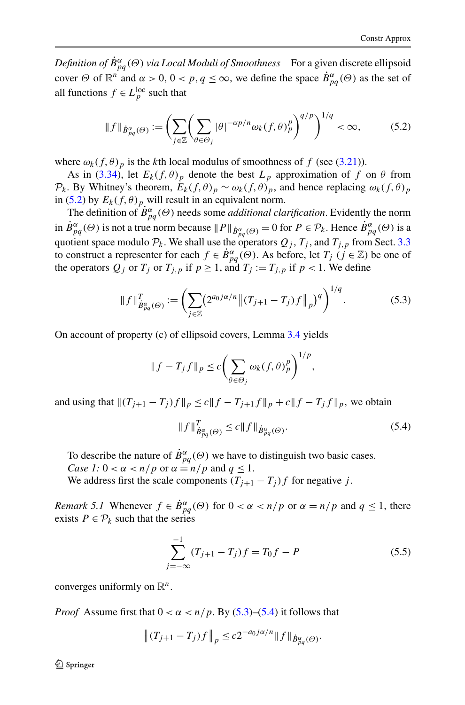<span id="page-23-0"></span>*Definition of*  $\dot{B}^{\alpha}_{pq}(\Theta)$  *via Local Moduli of Smoothness* For a given discrete ellipsoid cover  $\Theta$  of  $\mathbb{R}^n$  and  $\alpha > 0$ ,  $0 < p$ ,  $q \leq \infty$ , we define the space  $\dot{B}^{\alpha}_{pq}(\Theta)$  as the set of all functions  $f \in L_p^{\text{loc}}$  such that

$$
\|f\|_{\dot{B}^{\alpha}_{pq}(\Theta)} := \left(\sum_{j\in\mathbb{Z}} \left(\sum_{\theta\in\Theta_j} |\theta|^{-\alpha p/n} \omega_k(f,\theta)_p^p\right)^{q/p}\right)^{1/q} < \infty,
$$
 (5.2)

where  $\omega_k(f, \theta)_p$  is the *k*th local modulus of smoothness of f (see ([3.21](#page-16-0))).

As in ([3.34\)](#page-18-0), let  $E_k(f, \theta)_p$  denote the best  $L_p$  approximation of f on  $\theta$  from  $\mathcal{P}_k$ . By Whitney's theorem,  $E_k(f, \theta)_p \sim \omega_k(f, \theta)_p$ , and hence replacing  $\omega_k(f, \theta)_p$ in (5.2) by  $E_k(f, \theta)_p$  will result in an equivalent norm.

The definition of  $\dot{B}^{\alpha}_{pq}(\Theta)$  needs some *additional clarification*. Evidently the norm in  $\dot{B}^{\alpha}_{pq}(\Theta)$  is not a true norm because  $||P||_{\dot{B}^{\alpha}_{pq}(\Theta)} = 0$  for  $P \in \mathcal{P}_k$ . Hence  $\dot{B}^{\alpha}_{pq}(\Theta)$  is a quotient space modulo  $\mathcal{P}_k$ . We shall use the operators  $Q_j$ ,  $T_j$ , and  $T_{j,p}$  from Sect. [3.3](#page-16-0) to construct a representer for each  $f \in \dot{B}^{\alpha}_{pq}(\Theta)$ . As before, let  $T_j$  ( $j \in \mathbb{Z}$ ) be one of the operators  $Q_j$  or  $T_j$  or  $T_{j,p}$  if  $p \ge 1$ , and  $T_j := T_{j,p}$  if  $p < 1$ . We define

$$
\|f\|_{\dot{B}^{\alpha}_{pq}(\Theta)}^T := \left(\sum_{j\in\mathbb{Z}} (2^{a_0j\alpha/n} \left\| (T_{j+1} - T_j)f \right\|_p)^q\right)^{1/q}.\tag{5.3}
$$

On account of property (c) of ellipsoid covers, Lemma [3.4](#page-18-0) yields

$$
||f - T_j f||_p \le c \bigg(\sum_{\theta \in \Theta_j} \omega_k(f, \theta)_p^p\bigg)^{1/p},
$$

and using that  $\|(T_{j+1} - T_j)f\|_p \le c \|f - T_{j+1}f\|_p + c \|f - T_jf\|_p$ , we obtain

$$
||f||_{\dot{B}^{\alpha}_{pq}(\Theta)}^T \le c||f||_{\dot{B}^{\alpha}_{pq}(\Theta)}.
$$
\n(5.4)

To describe the nature of  $\dot{B}^{\alpha}_{pq}(\Theta)$  we have to distinguish two basic cases.

*Case 1:*  $0 < \alpha < n/p$  or  $\alpha = n/p$  and  $q \le 1$ .

We address first the scale components  $(T_{i+1} - T_i)f$  for negative *j*.

*Remark 5.1* Whenever  $f \in \dot{B}_{pq}^{\alpha}(\Theta)$  for  $0 < \alpha < n/p$  or  $\alpha = n/p$  and  $q \leq 1$ , there exists  $P \in \mathcal{P}_k$  such that the series

$$
\sum_{j=-\infty}^{-1} (T_{j+1} - T_j) f = T_0 f - P \tag{5.5}
$$

converges uniformly on R*n*.

*Proof* Assume first that  $0 < \alpha < n/p$ . By (5.3)–(5.4) it follows that

$$
\|(T_{j+1} - T_j)f\|_p \le c2^{-a_0 j\alpha/n} \|f\|_{\dot{B}^{\alpha}_{pq}(\Theta)}.
$$

 $\mathcal{D}$  Springer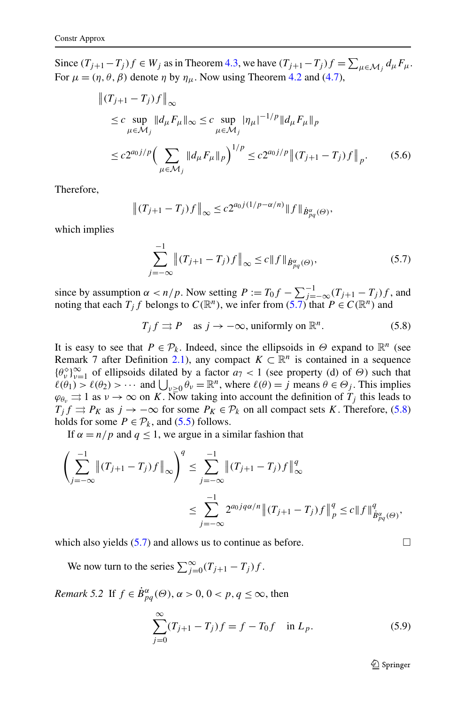<span id="page-24-0"></span>Since  $(T_{j+1}-T_j)f \in W_j$  as in Theorem [4.3](#page-21-0), we have  $(T_{j+1}-T_j)f = \sum_{\mu \in \mathcal{M}_j} d_{\mu}F_{\mu}$ . For  $\mu = (\eta, \theta, \beta)$  denote  $\eta$  by  $\eta_{\mu}$ . Now using Theorem [4.2](#page-21-0) and [\(4.7\)](#page-21-0),

$$
\| (T_{j+1} - T_j) f \|_{\infty} \n\leq c \sup_{\mu \in \mathcal{M}_j} \| d_{\mu} F_{\mu} \|_{\infty} \leq c \sup_{\mu \in \mathcal{M}_j} |\eta_{\mu}|^{-1/p} \| d_{\mu} F_{\mu} \|_{p} \n\leq c 2^{a_0 j/p} \Big( \sum_{\mu \in \mathcal{M}_j} \| d_{\mu} F_{\mu} \|_{p} \Big)^{1/p} \leq c 2^{a_0 j/p} \big( \| (T_{j+1} - T_j) f \|_{p}.
$$
\n(5.6)

Therefore,

$$
\|(T_{j+1} - T_j)f\|_{\infty} \le c2^{a_0 j (1/p - \alpha/n)} \|f\|_{\dot{B}^{\alpha}_{pq}(\Theta)},
$$

which implies

$$
\sum_{j=-\infty}^{-1} \|(T_{j+1} - T_j)f\|_{\infty} \le c \|f\|_{\dot{B}^{\alpha}_{pq}(\Theta)},
$$
\n(5.7)

since by assumption  $\alpha < n/p$ . Now setting  $P := T_0 f - \sum_{j=-\infty}^{-1} (T_{j+1} - T_j) f$ , and noting that each  $T_j f$  belongs to  $C(\mathbb{R}^n)$ , we infer from  $(5.7)$  that  $P \in C(\mathbb{R}^n)$  and

 $T_i f \rightrightarrows P$  as  $j \to -\infty$ , uniformly on  $\mathbb{R}^n$ . (5.8)

It is easy to see that  $P \in \mathcal{P}_k$ . Indeed, since the ellipsoids in  $\Theta$  expand to  $\mathbb{R}^n$  (see Remark 7 after Definition [2.1](#page-4-0)), any compact  $K \subset \mathbb{R}^n$  is contained in a sequence  ${{\theta_v \atop v}}_{v=1}^{\infty}$  of ellipsoids dilated by a factor *a*<sub>7</sub> < 1 (see property (d) of *Θ*) such that  $\ell(\theta_1) > \ell(\theta_2) > \cdots$  and  $\bigcup_{\nu \geq 0} \theta_{\nu} = \mathbb{R}^n$ , where  $\ell(\theta) = j$  means  $\theta \in \Theta_j$ . This implies  $\varphi_{\theta_v} \rightrightarrows 1$  as  $v \to \infty$  on *K*. Now taking into account the definition of  $T_j$  this leads to  $T_j f \rightrightarrows P_K$  as  $j \to -\infty$  for some  $P_K \in \mathcal{P}_k$  on all compact sets *K*. Therefore, (5.8) holds for some  $P \in \mathcal{P}_k$ , and [\(5.5\)](#page-23-0) follows.

If  $\alpha = n/p$  and  $q \le 1$ , we argue in a similar fashion that

$$
\left(\sum_{j=-\infty}^{-1} \|(T_{j+1} - T_j)f\|_{\infty}\right)^q \le \sum_{j=-\infty}^{-1} \|(T_{j+1} - T_j)f\|_{\infty}^q
$$
  

$$
\le \sum_{j=-\infty}^{-1} 2^{a_0 j q \alpha/n} \|(T_{j+1} - T_j)f\|_{p}^q \le c \|f\|_{\dot{B}^{\alpha}_{pq}(\Theta)}^q,
$$

which also yields  $(5.7)$  and allows us to continue as before.

We now turn to the series  $\sum_{j=0}^{\infty} (T_{j+1} - T_j) f$ .

*Remark 5.2* If  $f \in \dot{B}^{\alpha}_{pq}(\Theta)$ ,  $\alpha > 0$ ,  $0 < p, q \leq \infty$ , then

$$
\sum_{j=0}^{\infty} (T_{j+1} - T_j) f = f - T_0 f \quad \text{in } L_p.
$$
 (5.9)

 $\mathcal{D}$  Springer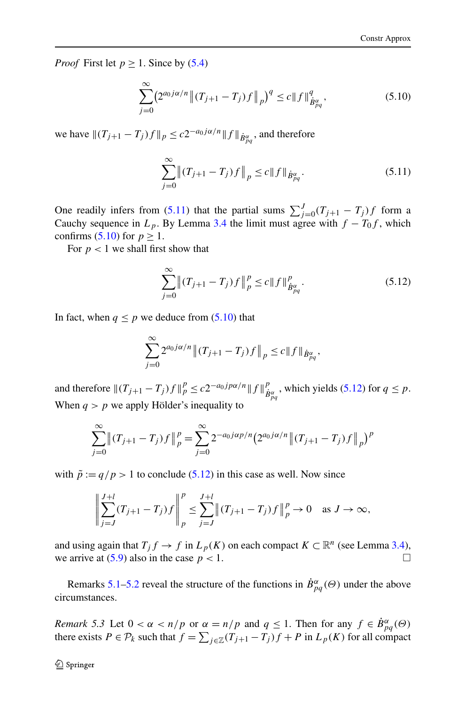<span id="page-25-0"></span>*Proof* First let  $p \ge 1$ . Since by ([5.4](#page-23-0))

$$
\sum_{j=0}^{\infty} \left( 2^{a_0 j \alpha/n} \left( |T_{j+1} - T_j| \right) f \right|_{p} \right)^{q} \leq c \| f \|_{\dot{B}^{\alpha}_{pq}}^{q},\tag{5.10}
$$

we have  $\|(T_{j+1} - T_j)f\|_p \le c2^{-a_0j\alpha/n} \|f\|_{\dot{B}^{\alpha}_{pq}}$ , and therefore

$$
\sum_{j=0}^{\infty} \left( (T_{j+1} - T_j) f \right) \Big|_{p} \le c \| f \|_{\dot{B}^{\alpha}_{pq}}.
$$
\n(5.11)

One readily infers from (5.11) that the partial sums  $\sum_{j=0}^{J} (T_{j+1} - T_j) f$  form a Cauchy sequence in  $L_p$ . By Lemma [3.4](#page-18-0) the limit must agree with  $f - T_0 f$ , which confirms (5.10) for  $p \geq 1$ .

For  $p < 1$  we shall first show that

$$
\sum_{j=0}^{\infty} \left( (T_{j+1} - T_j) f \right) \Big|_{p}^{p} \le c \| f \|_{\dot{B}^{\alpha}_{pq}}^{p}.
$$
\n(5.12)

In fact, when  $q \leq p$  we deduce from  $(5.10)$  that

$$
\sum_{j=0}^{\infty} 2^{a_0 j \alpha/n} \|(T_{j+1} - T_j) f\|_p \le c \|f\|_{\dot{B}^{\alpha}_{pq}},
$$

and therefore  $||(T_{j+1} - T_j)f||_p^p \le c2^{-a_0j p\alpha/n}||f||_p^p$  $\frac{p}{\dot{B}_{pq}}$ , which yields (5.12) for  $q \leq p$ . When  $q > p$  we apply Hölder's inequality to

$$
\sum_{j=0}^{\infty} \left( (T_{j+1} - T_j) f \right) \Big|_{p}^{p} = \sum_{j=0}^{\infty} 2^{-a_0 j \alpha p/n} \left( 2^{a_0 j \alpha/n} \left( (T_{j+1} - T_j) f \right) \right) \Big|_{p}^{p}
$$

with  $\tilde{p} := q/p > 1$  to conclude (5.12) in this case as well. Now since

$$
\left\| \sum_{j=J}^{J+l} (T_{j+1} - T_j) f \right\|_p^p \le \sum_{j=J}^{J+l} \left\| (T_{j+1} - T_j) f \right\|_p^p \to 0 \quad \text{as } J \to \infty,
$$

and using again that  $T_j f \to f$  in  $L_p(K)$  on each compact  $K \subset \mathbb{R}^n$  (see Lemma [3.4\)](#page-18-0), we arrive at  $(5.9)$  also in the case  $p < 1$ .

Remarks [5.1](#page-23-0)[–5.2](#page-24-0) reveal the structure of the functions in  $\dot{B}^{\alpha}_{pq}(\Theta)$  under the above circumstances.

*Remark* 5.3 Let  $0 < \alpha < n/p$  or  $\alpha = n/p$  and  $q \le 1$ . Then for any  $f \in \dot{B}^{\alpha}_{pq}(\Theta)$ there exists  $P \in \mathcal{P}_k$  such that  $f = \sum_{j \in \mathbb{Z}} (T_{j+1} - T_j)f + P$  in  $L_p(K)$  for all compact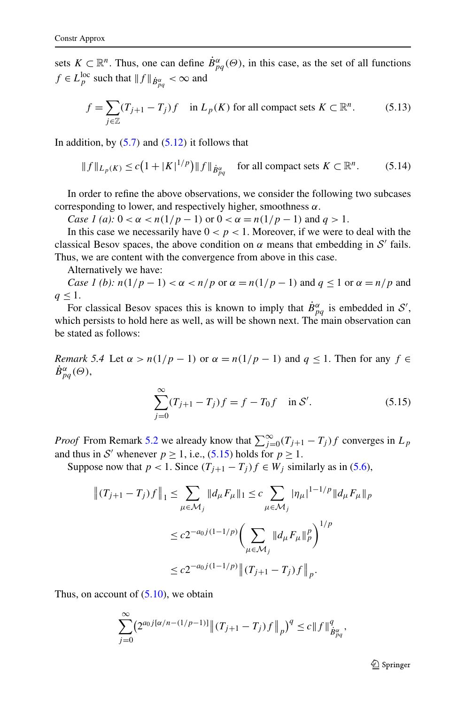<span id="page-26-0"></span>sets  $K \subset \mathbb{R}^n$ . Thus, one can define  $\dot{B}^{\alpha}_{pq}(\Theta)$ , in this case, as the set of all functions  $f \in L_p^{\text{loc}}$  such that  $|| f ||_{\dot{B}_{pq}^{\alpha}} < \infty$  and

$$
f = \sum_{j \in \mathbb{Z}} (T_{j+1} - T_j) f \quad \text{in } L_p(K) \text{ for all compact sets } K \subset \mathbb{R}^n. \tag{5.13}
$$

In addition, by *(*[5.7](#page-24-0)*)* and *(*[5.12](#page-25-0)*)* it follows that

$$
||f||_{L_p(K)} \le c\left(1+|K|^{1/p}\right) ||f||_{\dot{B}_{pq}^{\alpha}} \quad \text{for all compact sets } K \subset \mathbb{R}^n. \tag{5.14}
$$

In order to refine the above observations, we consider the following two subcases corresponding to lower, and respectively higher, smoothness *α*.

*Case 1 (a):*  $0 < \alpha < n(1/p - 1)$  or  $0 < \alpha = n(1/p - 1)$  and  $q > 1$ .

In this case we necessarily have  $0 < p < 1$ . Moreover, if we were to deal with the classical Besov spaces, the above condition on  $\alpha$  means that embedding in S' fails. Thus, we are content with the convergence from above in this case.

Alternatively we have:

*Case 1 (b):*  $n(1/p-1) < \alpha < n/p$  or  $\alpha = n(1/p-1)$  and  $q \le 1$  or  $\alpha = n/p$  and  $q \leq 1$ .

For classical Besov spaces this is known to imply that  $\dot{B}_{pq}^{\alpha}$  is embedded in  $\mathcal{S}'$ , which persists to hold here as well, as will be shown next. The main observation can be stated as follows:

*Remark 5.4* Let  $\alpha > n(1/p - 1)$  or  $\alpha = n(1/p - 1)$  and  $q \le 1$ . Then for any  $f \in$  $\dot{B}^{\alpha}_{pq}(\Theta)$ ,

$$
\sum_{j=0}^{\infty} (T_{j+1} - T_j) f = f - T_0 f \quad \text{in } \mathcal{S}'. \tag{5.15}
$$

*Proof* From Remark [5.2](#page-24-0) we already know that  $\sum_{j=0}^{\infty} (T_{j+1} - T_j) f$  converges in  $L_p$ and thus in S' whenever  $p \ge 1$ , i.e., (5.15) holds for  $p \ge 1$ .

Suppose now that  $p < 1$ . Since  $(T_{j+1} - T_j)f \in W_j$  similarly as in [\(5.6\)](#page-24-0),

$$
|| (T_{j+1} - T_j) f ||_1 \le \sum_{\mu \in \mathcal{M}_j} ||d_{\mu} F_{\mu}||_1 \le c \sum_{\mu \in \mathcal{M}_j} |\eta_{\mu}|^{1 - 1/p} ||d_{\mu} F_{\mu}||_p
$$
  

$$
\le c 2^{-a_0 j (1 - 1/p)} \Biggl( \sum_{\mu \in \mathcal{M}_j} ||d_{\mu} F_{\mu}||_p^p \Biggr)^{1/p}
$$
  

$$
\le c 2^{-a_0 j (1 - 1/p)} || (T_{j+1} - T_j) f ||_p.
$$

Thus, on account of  $(5.10)$  $(5.10)$  $(5.10)$ , we obtain

$$
\sum_{j=0}^{\infty} \left( 2^{a_0 j [\alpha/n - (1/p-1)]} \left( |T_{j+1} - T_j| f \|_{p} \right)^{q} \leq c \| f \|_{\dot{B}^{\alpha}_{pq}}^{q},
$$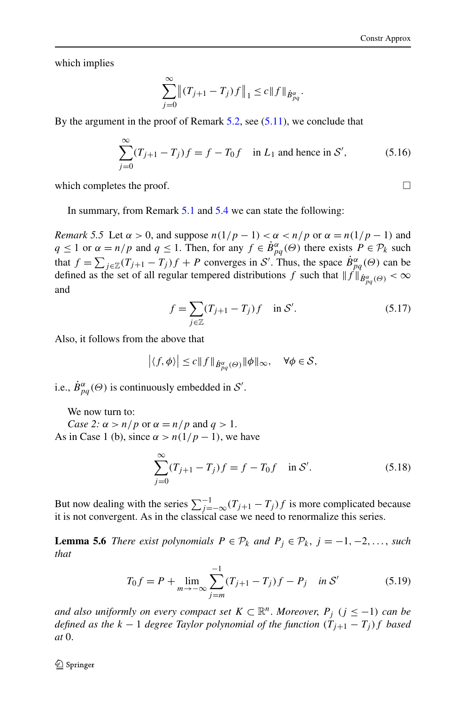<span id="page-27-0"></span>which implies

$$
\sum_{j=0}^{\infty} \left\| (T_{j+1} - T_j) f \right\|_1 \leq c \|f\|_{\dot{B}^{\alpha}_{pq}}.
$$

By the argument in the proof of Remark  $5.2$ , see  $(5.11)$ , we conclude that

$$
\sum_{j=0}^{\infty} (T_{j+1} - T_j) f = f - T_0 f \text{ in } L_1 \text{ and hence in } S',
$$
 (5.16)

which completes the proof.  $\Box$ 

In summary, from Remark [5.1](#page-23-0) and [5.4](#page-26-0) we can state the following:

*Remark 5.5* Let  $\alpha > 0$ , and suppose  $n(1/p - 1) < \alpha < n/p$  or  $\alpha = n(1/p - 1)$  and *q* ≤ 1 or  $\alpha = n/p$  and  $q \le 1$ . Then, for any  $f \in \dot{B}^{\alpha}_{pq}(\Theta)$  there exists  $P \in \mathcal{P}_k$  such that  $f = \sum_{j \in \mathbb{Z}} (T_{j+1} - T_j)f + P$  converges in S'. Thus, the space  $\dot{B}^{\alpha}_{pq}(\Theta)$  can be defined as the set of all regular tempered distributions *f* such that  $||f||_{\dot{B}^{\alpha}_{pq}(\Theta)} < \infty$ and

$$
f = \sum_{j \in \mathbb{Z}} (T_{j+1} - T_j) f \quad \text{in } \mathcal{S}'. \tag{5.17}
$$

Also, it follows from the above that

$$
\left| \langle f, \phi \rangle \right| \le c \|f\|_{\dot{B}^{\alpha}_{pq}(\Theta)} \|\phi\|_{\infty}, \quad \forall \phi \in \mathcal{S},
$$

i.e.,  $\dot{B}^{\alpha}_{pq}(\Theta)$  is continuously embedded in S'.

We now turn to:

*Case 2:*  $\alpha > n/p$  or  $\alpha = n/p$  and  $q > 1$ . As in Case 1 (b), since  $\alpha > n(1/p - 1)$ , we have

$$
\sum_{j=0}^{\infty} (T_{j+1} - T_j) f = f - T_0 f \quad \text{in } \mathcal{S}'. \tag{5.18}
$$

But now dealing with the series  $\sum_{j=-\infty}^{-1} (T_{j+1} - T_j) f$  is more complicated because it is not convergent. As in the classical case we need to renormalize this series.

**Lemma 5.6** *There exist polynomials*  $P \in \mathcal{P}_k$  *and*  $P_j \in \mathcal{P}_k$ ,  $j = -1, -2, \ldots$ , *such that*

$$
T_0 f = P + \lim_{m \to -\infty} \sum_{j=m}^{-1} (T_{j+1} - T_j) f - P_j \quad \text{in } \mathcal{S}' \tag{5.19}
$$

*and also uniformly on every compact set*  $K \subset \mathbb{R}^n$ . *Moreover*,  $P_i$  ( $j \leq -1$ ) *can be defined as the*  $k - 1$  *degree Taylor polynomial of the function*  $(T_{j+1} - T_j)f$  *based at* 0.

 $\bigcirc$  Springer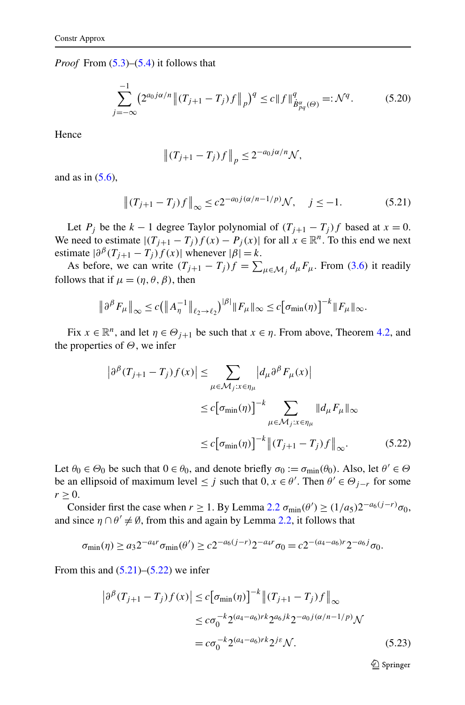<span id="page-28-0"></span>*Proof* From  $(5.3)$ – $(5.4)$  it follows that

$$
\sum_{j=-\infty}^{-1} \left( 2^{a_0 j \alpha/n} \left( |T_{j+1} - T_j| \right) f \right|_{p} \big)^{q} \le c \| f \|_{\dot{B}^{\alpha}_{pq}(\Theta)}^{q} =: \mathcal{N}^{q}.
$$
 (5.20)

Hence

$$
\left\|(T_{j+1}-T_j)f\right\|_p \le 2^{-a_0j\alpha/n}\mathcal{N},
$$

and as in  $(5.6)$  $(5.6)$ ,

$$
\|(T_{j+1} - T_j)f\|_{\infty} \le c2^{-a_0 j(\alpha/n - 1/p)} \mathcal{N}, \quad j \le -1.
$$
 (5.21)

Let  $P_j$  be the  $k - 1$  degree Taylor polynomial of  $(T_{j+1} - T_j)f$  based at  $x = 0$ . We need to estimate  $|(T_{i+1} - T_i)f(x) - P_i(x)|$  for all  $x \in \mathbb{R}^n$ . To this end we next estimate  $|\partial^{i} (T_{j+1} - T_j) f(x)|$  whenever  $|\beta| = k$ .

As before, we can write  $(T_{j+1} - T_j)f = \sum_{\mu \in \mathcal{M}_j} d_{\mu} F_{\mu}$ . From ([3.6](#page-12-0)) it readily follows that if  $\mu = (\eta, \theta, \beta)$ , then

$$
\left\|\partial^{\beta} F_{\mu}\right\|_{\infty} \le c \left(\left\|A_{\eta}^{-1}\right\|_{\ell_2 \to \ell_2}\right)^{|\beta|} \|F_{\mu}\|_{\infty} \le c \left[\sigma_{\min}(\eta)\right]^{-k} \|F_{\mu}\|_{\infty}.
$$

Fix  $x \in \mathbb{R}^n$ , and let  $\eta \in \Theta_{i+1}$  be such that  $x \in \eta$ . From above, Theorem [4.2,](#page-21-0) and the properties of *Θ*, we infer

$$
\left|\partial^{\beta}(T_{j+1} - T_j)f(x)\right| \leq \sum_{\mu \in \mathcal{M}_j: x \in \eta_{\mu}} \left|d_{\mu}\partial^{\beta}F_{\mu}(x)\right|
$$
  

$$
\leq c\left[\sigma_{\min}(\eta)\right]^{-k} \sum_{\mu \in \mathcal{M}_j: x \in \eta_{\mu}} \|d_{\mu}F_{\mu}\|_{\infty}
$$
  

$$
\leq c\left[\sigma_{\min}(\eta)\right]^{-k} \left\|(T_{j+1} - T_j)f\right\|_{\infty}.
$$
 (5.22)

Let  $\theta_0 \in \Theta_0$  be such that  $0 \in \theta_0$ , and denote briefly  $\sigma_0 := \sigma_{\min}(\theta_0)$ . Also, let  $\theta' \in \Theta$ be an ellipsoid of maximum level  $\leq j$  such that  $0, x \in \theta'$ . Then  $\theta' \in \Theta_{j-r}$  for some  $r > 0$ .

Consider first the case when  $r \ge 1$ . By Lemma [2.2](#page-5-0)  $\sigma_{\min}(\theta') \ge (1/a_5)2^{-a_6(j-r)}\sigma_0$ , and since  $\eta \cap \theta' \neq \emptyset$ , from this and again by Lemma [2.2,](#page-5-0) it follows that

$$
\sigma_{\min}(\eta) \ge a_3 2^{-a_4 r} \sigma_{\min}(\theta') \ge c 2^{-a_6 (j-r)} 2^{-a_4 r} \sigma_0 = c 2^{-(a_4 - a_6) r} 2^{-a_6 j} \sigma_0.
$$

From this and  $(5.21)$ – $(5.22)$  we infer

$$
\left|\partial^{\beta}(T_{j+1} - T_j)f(x)\right| \le c\left[\sigma_{\min}(\eta)\right]^{-k} \left\|(T_{j+1} - T_j)f\right\|_{\infty}
$$
  

$$
\le c\sigma_0^{-k} 2^{(a_4 - a_6)rk} 2^{a_6jk} 2^{-a_0j(\alpha/n - 1/p)}\mathcal{N}
$$
  

$$
= c\sigma_0^{-k} 2^{(a_4 - a_6)rk} 2^{j\varepsilon}\mathcal{N}.
$$
 (5.23)

 $\mathcal{D}$  Springer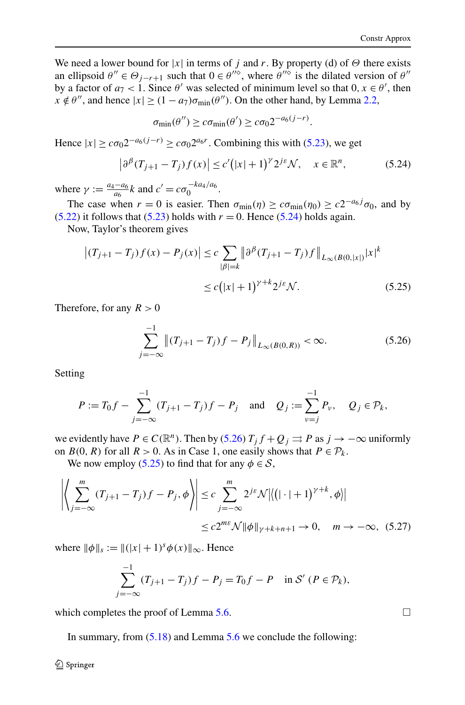<span id="page-29-0"></span>We need a lower bound for  $|x|$  in terms of *j* and *r*. By property (d) of  $\Theta$  there exists an ellipsoid  $\theta'' \in \Theta_{j-r+1}$  such that  $0 \in \theta^{j\delta}$ , where  $\theta^{j\delta}$  is the dilated version of  $\theta''$ by a factor of  $a_7 < 1$ . Since  $\theta'$  was selected of minimum level so that  $0, x \in \theta'$ , then  $x \notin \theta''$ , and hence  $|x| \geq (1 - a_7)\sigma_{\min}(\theta'')$ . On the other hand, by Lemma [2.2](#page-5-0),

$$
\sigma_{\min}(\theta'') \geq c \sigma_{\min}(\theta') \geq c \sigma_0 2^{-a_6(j-r)}.
$$

Hence  $|x| \geq c\sigma_0 2^{-a_6(j-r)} \geq c\sigma_0 2^{a_6r}$ . Combining this with [\(5.23\)](#page-28-0), we get

$$
\left|\partial^{\beta}(T_{j+1}-T_j)f(x)\right| \le c'(|x|+1)^{\gamma}2^{j\varepsilon}\mathcal{N}, \quad x \in \mathbb{R}^n, \tag{5.24}
$$

where  $\gamma := \frac{a_4 - a_6}{a_6} k$  and  $c' = c \sigma_0^{-k a_4/a_6}$ .

The case when  $r = 0$  is easier. Then  $\sigma_{\min}(\eta) \ge c\sigma_{\min}(\eta_0) \ge c2^{-a_0j}\sigma_0$ , and by  $(5.22)$  it follows that  $(5.23)$  holds with  $r = 0$ . Hence  $(5.24)$  holds again.

Now, Taylor's theorem gives

$$
\left| (T_{j+1} - T_j) f(x) - P_j(x) \right| \le c \sum_{|\beta|=k} \left\| \partial^{\beta} (T_{j+1} - T_j) f \right\|_{L_{\infty}(B(0,|x|)} |x|^k
$$
  

$$
\le c \left( |x| + 1 \right)^{\gamma + k} 2^{j\varepsilon} \mathcal{N}.
$$
 (5.25)

Therefore, for any  $R > 0$ 

$$
\sum_{j=-\infty}^{-1} \left\| (T_{j+1} - T_j)f - P_j \right\|_{L_{\infty}(B(0,R))} < \infty.
$$
 (5.26)

Setting

$$
P := T_0 f - \sum_{j=-\infty}^{-1} (T_{j+1} - T_j) f - P_j \text{ and } Q_j := \sum_{\nu=j}^{-1} P_{\nu}, Q_j \in \mathcal{P}_k,
$$

we evidently have  $P \in C(\mathbb{R}^n)$ . Then by (5.26)  $T_j f + Q_j \Rightarrow P$  as  $j \to -\infty$  uniformly on  $B(0, R)$  for all  $R > 0$ . As in Case 1, one easily shows that  $P \in \mathcal{P}_k$ .

We now employ (5.25) to find that for any  $\phi \in S$ ,

$$
\left| \left\langle \sum_{j=-\infty}^{m} (T_{j+1} - T_j) f - P_j, \phi \right\rangle \right| \leq c \sum_{j=-\infty}^{m} 2^{j\epsilon} \mathcal{N} \left| \left\langle (|\cdot|+1)^{\gamma+k}, \phi \right\rangle \right|
$$
  

$$
\leq c 2^{m\epsilon} \mathcal{N} \|\phi\|_{\gamma+k+n+1} \to 0, \quad m \to -\infty, \quad (5.27)
$$

where  $\|\phi\|_{s} := \|(x+1)^{s}\phi(x)\|_{\infty}$ . Hence

$$
\sum_{j=-\infty}^{-1} (T_{j+1} - T_j) f - P_j = T_0 f - P \quad \text{in } \mathcal{S}' \ (P \in \mathcal{P}_k),
$$

which completes the proof of Lemma [5.6](#page-27-0).

In summary, from  $(5.18)$  and Lemma  $5.6$  we conclude the following:

 $\Box$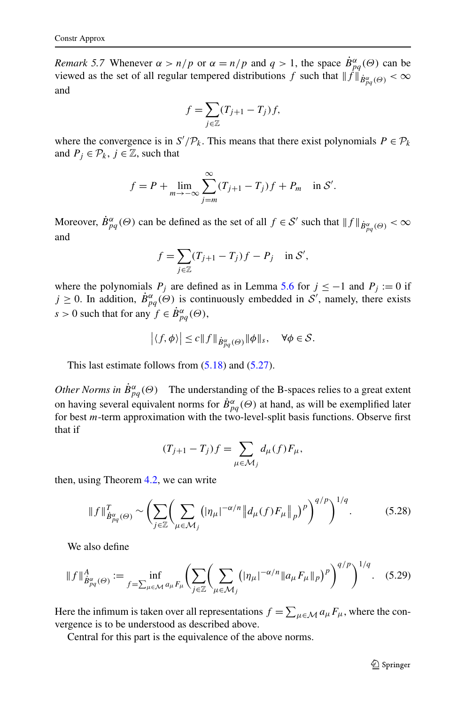<span id="page-30-0"></span>*Remark 5.7* Whenever  $\alpha > n/p$  or  $\alpha = n/p$  and  $q > 1$ , the space  $\dot{B}^{\alpha}_{pq}(\Theta)$  can be viewed as the set of all regular tempered distributions *f* such that  $||f||_{\dot{B}^{\alpha}_{pq}(\Theta)} < \infty$ and

$$
f = \sum_{j \in \mathbb{Z}} (T_{j+1} - T_j) f,
$$

where the convergence is in  $S'/P_k$ . This means that there exist polynomials  $P \in P_k$ and  $P_j \in \mathcal{P}_k$ ,  $j \in \mathbb{Z}$ , such that

$$
f = P + \lim_{m \to -\infty} \sum_{j=m}^{\infty} (T_{j+1} - T_j) f + P_m
$$
 in S'.

Moreover,  $\dot{B}^{\alpha}_{pq}(\Theta)$  can be defined as the set of all  $f \in S'$  such that  $||f||_{\dot{B}^{\alpha}_{pq}(\Theta)} < \infty$ and

$$
f = \sum_{j \in \mathbb{Z}} (T_{j+1} - T_j) f - P_j \quad \text{in } \mathcal{S}',
$$

where the polynomials  $P_j$  are defined as in Lemma [5.6](#page-27-0) for  $j \le -1$  and  $P_j := 0$  if  $j \geq 0$ . In addition,  $\dot{B}^{\alpha}_{pq}(\Theta)$  is continuously embedded in S', namely, there exists  $s > 0$  such that for any  $f \in \dot{B}^{\alpha}_{pq}(\Theta)$ ,

$$
\left| \langle f, \phi \rangle \right| \leq c \| f \|_{\dot{B}^{\alpha}_{pq}(\Theta)} \| \phi \|_{s}, \quad \forall \phi \in \mathcal{S}.
$$

This last estimate follows from [\(5.18\)](#page-27-0) and ([5.27](#page-29-0)).

*Other Norms in*  $\dot{B}^{\alpha}_{pq}(\Theta)$  The understanding of the B-spaces relies to a great extent on having several equivalent norms for  $\dot{B}^{\alpha}_{pq}(\Theta)$  at hand, as will be exemplified later for best *m*-term approximation with the two-level-split basis functions. Observe first that if

$$
(T_{j+1} - T_j)f = \sum_{\mu \in \mathcal{M}_j} d_{\mu}(f) F_{\mu},
$$

then, using Theorem [4.2,](#page-21-0) we can write

$$
\|f\|_{\dot{B}^{\alpha}_{pq}(\Theta)}^T \sim \left(\sum_{j\in\mathbb{Z}} \left(\sum_{\mu\in\mathcal{M}_j} \left(|\eta_{\mu}|^{-\alpha/n} \|d_{\mu}(f)F_{\mu}\|_{p}\right)^p\right)^{q/p}\right)^{1/q}.\tag{5.28}
$$

We also define

$$
\|f\|_{\dot{B}^{\alpha}_{pq}(\Theta)}^A := \inf_{f=\sum_{\mu \in \mathcal{M}} a_{\mu} F_{\mu}} \left( \sum_{j \in \mathbb{Z}} \left( \sum_{\mu \in \mathcal{M}_j} \left( |\eta_{\mu}|^{-\alpha/n} \| a_{\mu} F_{\mu} \|_{p} \right)^p \right)^{q/p} \right)^{1/q} . \quad (5.29)
$$

Here the infimum is taken over all representations  $f = \sum_{\mu \in \mathcal{M}} a_{\mu} F_{\mu}$ , where the convergence is to be understood as described above.

Central for this part is the equivalence of the above norms.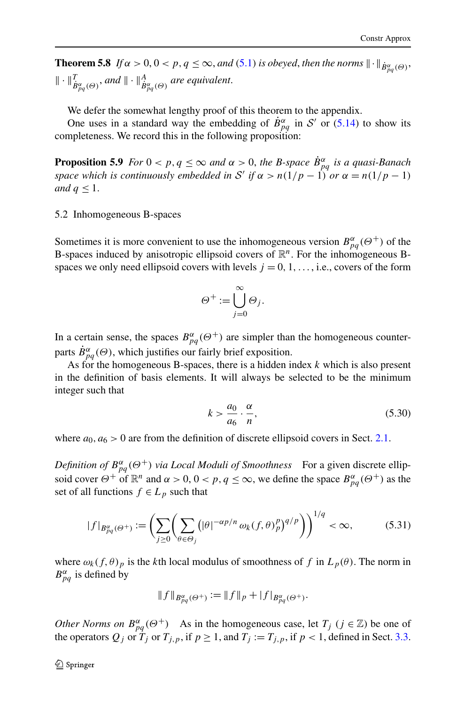<span id="page-31-0"></span>**Theorem 5.8** *If*  $\alpha > 0, 0 < p, q \le \infty$ , and ([5.1](#page-22-0)) is obeyed, then the norms  $\| \cdot \|_{\dot{B}^{\alpha}_{pq}(\Theta)}$ ,  $\|\cdot\|_{\dot{B}^{\alpha}_{pq}(\Theta)}^T$ , and  $\|\cdot\|_{\dot{B}^{\alpha}_{pq}(\Theta)}^A$  are equivalent.

We defer the somewhat lengthy proof of this theorem to the appendix.

One uses in a standard way the embedding of  $\dot{B}_{pq}^{\alpha}$  in S' or ([5.14](#page-26-0)) to show its completeness. We record this in the following proposition:

**Proposition 5.9** *For*  $0 < p, q \le \infty$  *and*  $\alpha > 0$ *, the B-space*  $\dot{B}_{pq}^{\alpha}$  *is a quasi-Banach space which is continuously embedded in S' if*  $\alpha > n(1/p - 1)$  *or*  $\alpha = n(1/p - 1)$ *and*  $q \leq 1$ .

## 5.2 Inhomogeneous B-spaces

Sometimes it is more convenient to use the inhomogeneous version  $B^{\alpha}_{pq}(\Theta^+)$  of the B-spaces induced by anisotropic ellipsoid covers of  $\mathbb{R}^n$ . For the inhomogeneous Bspaces we only need ellipsoid covers with levels  $j = 0, 1, \ldots$ , i.e., covers of the form

$$
\Theta^+ := \bigcup_{j=0}^{\infty} \Theta_j.
$$

In a certain sense, the spaces  $B_{pq}^{\alpha}(\Theta^+)$  are simpler than the homogeneous counterparts  $\dot{B}^{\alpha}_{pq}(\Theta)$ , which justifies our fairly brief exposition.

As for the homogeneous B-spaces, there is a hidden index *k* which is also present in the definition of basis elements. It will always be selected to be the minimum integer such that

$$
k > \frac{a_0}{a_6} \cdot \frac{\alpha}{n},\tag{5.30}
$$

where  $a_0, a_6 > 0$  are from the definition of discrete ellipsoid covers in Sect. [2.1](#page-4-0).

*Definition of*  $B^{\alpha}_{pq}(\Theta^+)$  *via Local Moduli of Smoothness* For a given discrete ellipsoid cover  $\Theta^+$  of  $\mathbb{R}^n$  and  $\alpha > 0$ ,  $0 < p$ ,  $q \leq \infty$ , we define the space  $B^{\alpha}_{pq}(\Theta^+)$  as the set of all functions  $f \in L_p$  such that

$$
|f|_{B_{pq}^{\alpha}(\Theta^{+})} := \left(\sum_{j\geq 0} \left(\sum_{\theta \in \Theta_j} \left(|\theta|^{-\alpha p/n} \omega_k(f, \theta)_p^p\right)^{q/p}\right)\right)^{1/q} < \infty,\tag{5.31}
$$

where  $\omega_k(f, \theta)_p$  is the *k*th local modulus of smoothness of f in  $L_p(\theta)$ . The norm in  $B_{pq}^{\alpha}$  is defined by

$$
||f||_{B^{\alpha}_{pq}(\Theta^+)} := ||f||_p + |f|_{B^{\alpha}_{pq}(\Theta^+)}.
$$

*Other Norms on*  $B_{pq}^{\alpha}(\Theta^+)$  As in the homogeneous case, let  $T_j$  ( $j \in \mathbb{Z}$ ) be one of the operators  $Q_j$  or  $T_j$  or  $T_{j,p}$ , if  $p \ge 1$ , and  $T_j := T_{j,p}$ , if  $p < 1$ , defined in Sect. [3.3](#page-16-0).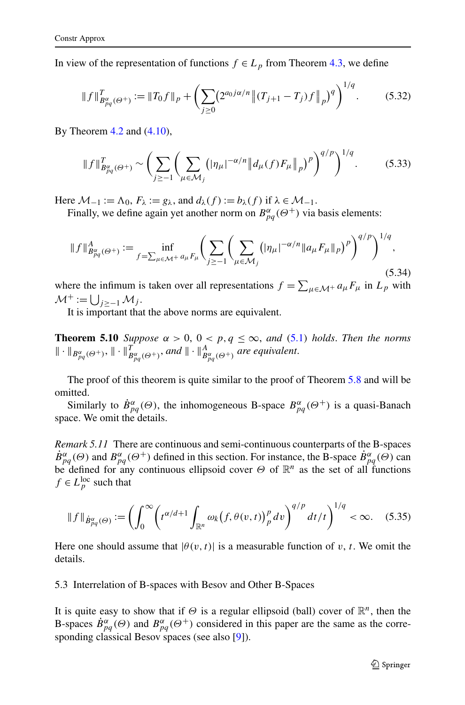<span id="page-32-0"></span>In view of the representation of functions  $f \in L_p$  from Theorem [4.3](#page-21-0), we define

$$
\|f\|_{B_{pq}^{\alpha}(\Theta^+)}^T := \|T_0 f\|_p + \left(\sum_{j\geq 0} \left(2^{a_0 j \alpha/n} \left\|(T_{j+1} - T_j)f\right\|_p\right)^q\right)^{1/q}.\tag{5.32}
$$

By Theorem  $4.2$  and  $(4.10)$  $(4.10)$ ,

$$
\|f\|_{B_{pq}^{\alpha}(\Theta^{+})}^{T} \sim \left(\sum_{j\ge-1} \left(\sum_{\mu\in\mathcal{M}_{j}} (|\eta_{\mu}|^{-\alpha/n} \|d_{\mu}(f)F_{\mu}\|_{p})^{p}\right)^{q/p}\right)^{1/q}.
$$
 (5.33)

Here  $\mathcal{M}_{-1} := \Lambda_0$ ,  $F_{\lambda} := g_{\lambda}$ , and  $d_{\lambda}(f) := b_{\lambda}(f)$  if  $\lambda \in \mathcal{M}_{-1}$ .

Finally, we define again yet another norm on  $B^{\alpha}_{pq}(\Theta^+)$  via basis elements:

$$
\|f\|_{B_{pq}^{\alpha}(\Theta^+)}^A := \inf_{f=\sum_{\mu \in \mathcal{M}^+} a_{\mu} F_{\mu}} \bigg( \sum_{j \ge -1} \bigg( \sum_{\mu \in \mathcal{M}_j} (|\eta_{\mu}|^{-\alpha/n} \|a_{\mu} F_{\mu}\|_p)^p \bigg)^{q/p} \bigg)^{1/q}, \tag{5.34}
$$

where the infimum is taken over all representations  $f = \sum_{\mu \in \mathcal{M}^+} a_{\mu} F_{\mu}$  in  $L_p$  with  $\mathcal{M}^+ := \bigcup_{j \geq -1} \mathcal{M}_j$ .

It is important that the above norms are equivalent.

**Theorem [5.1](#page-22-0)0** *Suppose*  $\alpha > 0$ ,  $0 < p, q \le \infty$ , and (5.1) *holds*. *Then the norms*  $\|\cdot\|_{B^{\alpha}_{pq}(\Theta^+)}^n$ ,  $\|\cdot\|_{B^{\alpha}_{pq}(\Theta^+)}^T$  *and*  $\|\cdot\|_{B^{\alpha}_{pq}(\Theta^+)}^A$  *are equivalent.* 

The proof of this theorem is quite similar to the proof of Theorem [5.8](#page-31-0) and will be omitted.

Similarly to  $\dot{B}^{\alpha}_{pq}(\Theta)$ , the inhomogeneous B-space  $B^{\alpha}_{pq}(\Theta^+)$  is a quasi-Banach space. We omit the details.

*Remark 5.11* There are continuous and semi-continuous counterparts of the B-spaces  $\dot{B}^{\alpha}_{pq}(\Theta)$  and  $B^{\alpha}_{pq}(\Theta^+)$  defined in this section. For instance, the B-space  $\dot{B}^{\alpha}_{pq}(\Theta)$  can be defined for any continuous ellipsoid cover  $\Theta$  of  $\mathbb{R}^n$  as the set of all functions  $f \in L_p^{\text{loc}}$  such that

$$
\|f\|_{\dot{B}^{\alpha}_{pq}(\Theta)} := \left(\int_0^\infty \left(t^{\alpha/d+1} \int_{\mathbb{R}^n} \omega_k \big(f, \theta(v,t)\big)_p^p \, dv\right)^{q/p} \, dt/t\right)^{1/q} < \infty. \tag{5.35}
$$

Here one should assume that  $|\theta(v, t)|$  is a measurable function of *v*, *t*. We omit the details.

## 5.3 Interrelation of B-spaces with Besov and Other B-Spaces

It is quite easy to show that if  $\Theta$  is a regular ellipsoid (ball) cover of  $\mathbb{R}^n$ , then the B-spaces  $\dot{B}^{\alpha}_{pq}(\Theta)$  and  $B^{\alpha}_{pq}(\Theta^+)$  considered in this paper are the same as the corre-sponding classical Besov spaces (see also [\[9](#page-44-0)]).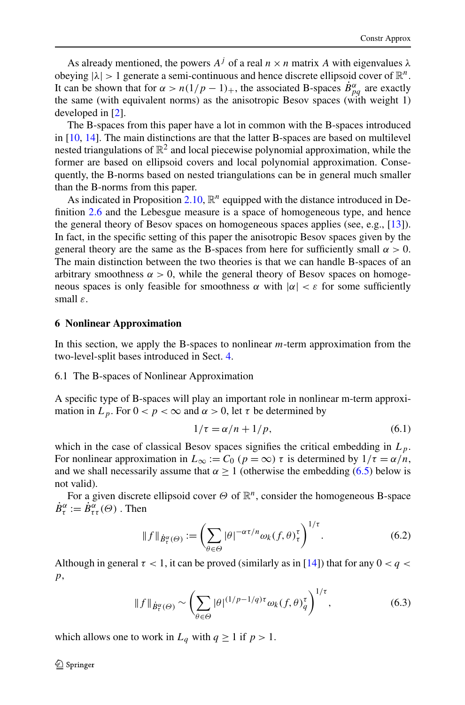<span id="page-33-0"></span>As already mentioned, the powers  $A^{j}$  of a real  $n \times n$  matrix A with eigenvalues  $\lambda$ obeying  $|\lambda| > 1$  generate a semi-continuous and hence discrete ellipsoid cover of  $\mathbb{R}^n$ . It can be shown that for  $\alpha > n(1/p - 1)_+$ , the associated B-spaces  $\dot{B}^{\alpha}_{pq}$  are exactly the same (with equivalent norms) as the anisotropic Besov spaces (with weight 1) developed in [\[2](#page-44-0)].

The B-spaces from this paper have a lot in common with the B-spaces introduced in [\[10](#page-45-0), [14](#page-45-0)]. The main distinctions are that the latter B-spaces are based on multilevel nested triangulations of  $\mathbb{R}^2$  and local piecewise polynomial approximation, while the former are based on ellipsoid covers and local polynomial approximation. Consequently, the B-norms based on nested triangulations can be in general much smaller than the B-norms from this paper.

As indicated in Proposition  $2.10$ ,  $\mathbb{R}^n$  equipped with the distance introduced in Definition [2.6](#page-9-0) and the Lebesgue measure is a space of homogeneous type, and hence the general theory of Besov spaces on homogeneous spaces applies (see, e.g., [\[13](#page-45-0)]). In fact, in the specific setting of this paper the anisotropic Besov spaces given by the general theory are the same as the B-spaces from here for sufficiently small  $\alpha > 0$ . The main distinction between the two theories is that we can handle B-spaces of an arbitrary smoothness  $\alpha > 0$ , while the general theory of Besov spaces on homogeneous spaces is only feasible for smoothness  $\alpha$  with  $|\alpha| < \varepsilon$  for some sufficiently small *ε*.

#### **6 Nonlinear Approximation**

In this section, we apply the B-spaces to nonlinear *m*-term approximation from the two-level-split bases introduced in Sect. [4](#page-20-0).

#### 6.1 The B-spaces of Nonlinear Approximation

A specific type of B-spaces will play an important role in nonlinear m-term approximation in  $L_p$ . For  $0 < p < \infty$  and  $\alpha > 0$ , let  $\tau$  be determined by

$$
1/\tau = \alpha/n + 1/p,\tag{6.1}
$$

which in the case of classical Besov spaces signifies the critical embedding in  $L<sub>p</sub>$ . For nonlinear approximation in  $L_{\infty} := C_0$  ( $p = \infty$ )  $\tau$  is determined by  $1/\tau = \alpha/n$ , and we shall necessarily assume that  $\alpha \ge 1$  (otherwise the embedding ([6.5](#page-34-0)) below is not valid).

For a given discrete ellipsoid cover *Θ* of R*n*, consider the homogeneous B-space  $\dot{B}^{\alpha}_{\tau} := \dot{B}^{\alpha}_{\tau \tau}(\Theta)$ . Then

$$
\|f\|_{\dot{B}_{\tau}^{\alpha}(\Theta)} := \left(\sum_{\theta \in \Theta} |\theta|^{-\alpha \tau/n} \omega_k(f, \theta)_{\tau}^{\tau}\right)^{1/\tau}.
$$
 (6.2)

Although in general  $\tau < 1$ , it can be proved (similarly as in [[14\]](#page-45-0)) that for any  $0 < q <$ *p*,

$$
\|f\|_{\dot{B}^{\alpha}_{\tau}(\Theta)} \sim \left(\sum_{\theta \in \Theta} |\theta|^{(1/p-1/q)\tau} \omega_k(f,\theta)_{q}^{\tau}\right)^{1/\tau},\tag{6.3}
$$

which allows one to work in  $L_q$  with  $q \ge 1$  if  $p > 1$ .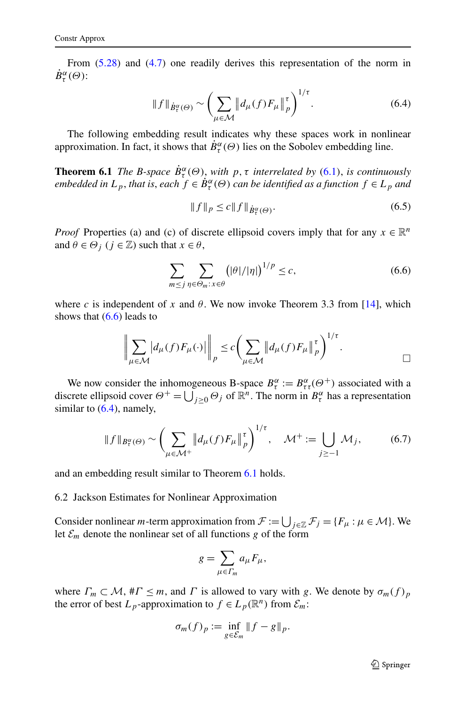<span id="page-34-0"></span>From [\(5.28\)](#page-30-0) and ([4.7](#page-21-0)) one readily derives this representation of the norm in  $\dot{B}^{\alpha}_{\tau}(\Theta)$ :

$$
\|f\|_{\dot{B}_{t}^{\alpha}(\Theta)} \sim \left(\sum_{\mu \in \mathcal{M}} \left\|d_{\mu}(f)F_{\mu}\right\|_{p}^{\tau}\right)^{1/\tau}.
$$
 (6.4)

The following embedding result indicates why these spaces work in nonlinear approximation. In fact, it shows that  $\dot{B}^{\alpha}_{\tau}(\Theta)$  lies on the Sobolev embedding line.

**Theorem [6.1](#page-33-0)** *The B-space*  $\dot{B}^{\alpha}_{\tau}(\Theta)$ , *with*  $p, \tau$  *interrelated by* (6.1), *is continuously embedded in*  $L_p$ , *that is, each*  $f \in \dot{B}^\alpha_\tau(\Theta)$  *can be identified as a function*  $f \in L_p$  *and* 

$$
||f||_p \le c||f||_{\dot{B}^{\alpha}_{\tau}(\Theta)}.
$$
\n(6.5)

*Proof* Properties (a) and (c) of discrete ellipsoid covers imply that for any  $x \in \mathbb{R}^n$ and  $\theta \in \Theta_i$  ( $j \in \mathbb{Z}$ ) such that  $x \in \theta$ ,

$$
\sum_{m \le j} \sum_{\eta \in \Theta_m : x \in \theta} \left( |\theta|/|\eta| \right)^{1/p} \le c,\tag{6.6}
$$

where *c* is independent of *x* and  $\theta$ . We now invoke Theorem 3.3 from [\[14](#page-45-0)], which shows that  $(6.6)$  leads to

$$
\left\| \sum_{\mu \in \mathcal{M}} \left| d_{\mu}(f) F_{\mu}(\cdot) \right| \right\|_{p} \leq c \left( \sum_{\mu \in \mathcal{M}} \left\| d_{\mu}(f) F_{\mu} \right\|_{p}^{\tau} \right)^{1/\tau}.
$$

We now consider the inhomogeneous B-space  $B^{\alpha}_{\tau} := B^{\alpha}_{\tau\tau}(\Theta^{+})$  associated with a discrete ellipsoid cover  $\Theta^+ = \bigcup_{j\geq 0} \Theta_j$  of  $\mathbb{R}^n$ . The norm in  $B^{\alpha}_{\tau}$  has a representation similar to  $(6.4)$ , namely,

$$
\|f\|_{B^{\alpha}_{\tau}(\Theta)} \sim \left(\sum_{\mu \in \mathcal{M}^+} \left\|d_{\mu}(f)F_{\mu}\right\|_{p}^{\tau}\right)^{1/\tau}, \quad \mathcal{M}^+ := \bigcup_{j \ge -1} \mathcal{M}_j,\tag{6.7}
$$

and an embedding result similar to Theorem 6.1 holds.

#### 6.2 Jackson Estimates for Nonlinear Approximation

Consider nonlinear *m*-term approximation from  $\mathcal{F} := \bigcup_{j \in \mathbb{Z}} \mathcal{F}_j = \{F_\mu : \mu \in \mathcal{M}\}\.$  We let  $\mathcal{E}_m$  denote the nonlinear set of all functions *g* of the form

$$
g=\sum_{\mu\in\varGamma_m}a_\mu F_\mu,
$$

where  $\Gamma_m \subset \mathcal{M}$ ,  $\# \Gamma \leq m$ , and  $\Gamma$  is allowed to vary with *g*. We denote by  $\sigma_m(f)_p$ the error of best  $L_p$ -approximation to  $f \in L_p(\mathbb{R}^n)$  from  $\mathcal{E}_m$ :

$$
\sigma_m(f)_p := \inf_{g \in \mathcal{E}_m} \|f - g\|_p.
$$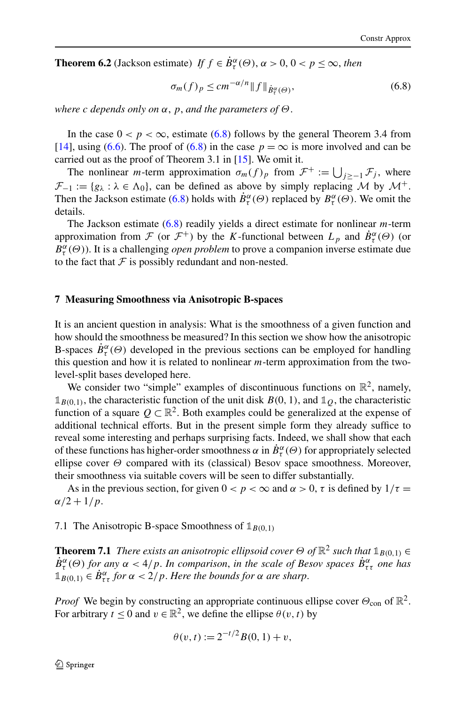<span id="page-35-0"></span>**Theorem 6.2** (Jackson estimate) *If*  $f \in \dot{B}^{\alpha}_{\tau}(\Theta)$ ,  $\alpha > 0$ ,  $0 < p \leq \infty$ , *then* 

$$
\sigma_m(f)_p \le cm^{-\alpha/n} \|f\|_{\dot{B}^{\alpha}_t(\Theta)},\tag{6.8}
$$

*where c depends only on α*, *p*, *and the parameters of Θ*.

In the case  $0 < p < \infty$ , estimate (6.8) follows by the general Theorem 3.4 from [\[14](#page-45-0)], using [\(6.6\)](#page-34-0). The proof of (6.8) in the case  $p = \infty$  is more involved and can be carried out as the proof of Theorem 3.1 in [\[15](#page-45-0)]. We omit it.

The nonlinear *m*-term approximation  $\sigma_m(f)_p$  from  $\mathcal{F}^+ := \bigcup_{j \geq -1} \mathcal{F}_j$ , where  $\mathcal{F}_{-1} := \{g_{\lambda} : \lambda \in \Lambda_0\}$ , can be defined as above by simply replacing M by  $\mathcal{M}^+$ . Then the Jackson estimate (6.8) holds with  $\dot{B}^{\alpha}_{\tau}(\Theta)$  replaced by  $B^{\alpha}_{\tau}(\Theta)$ . We omit the details.

The Jackson estimate (6.8) readily yields a direct estimate for nonlinear *m*-term approximation from  $\mathcal F$  (or  $\mathcal F^+$ ) by the *K*-functional between  $L_p$  and  $\dot{B}^\alpha_\tau(\Theta)$  (or  $B^{\alpha}_{\tau}(\Theta)$ ). It is a challenging *open problem* to prove a companion inverse estimate due to the fact that  $F$  is possibly redundant and non-nested.

#### **7 Measuring Smoothness via Anisotropic B-spaces**

It is an ancient question in analysis: What is the smoothness of a given function and how should the smoothness be measured? In this section we show how the anisotropic B-spaces  $\dot{B}^{\alpha}_{\tau}(\Theta)$  developed in the previous sections can be employed for handling this question and how it is related to nonlinear *m*-term approximation from the twolevel-split bases developed here.

We consider two "simple" examples of discontinuous functions on  $\mathbb{R}^2$ , namely,  $\mathbb{1}_{B(0,1)}$ , the characteristic function of the unit disk  $B(0,1)$ , and  $\mathbb{1}_Q$ , the characteristic function of a square  $Q \subset \mathbb{R}^2$ . Both examples could be generalized at the expense of additional technical efforts. But in the present simple form they already suffice to reveal some interesting and perhaps surprising facts. Indeed, we shall show that each of these functions has higher-order smoothness  $\alpha$  in  $\dot{B}^{\alpha}_{\tau}(\Theta)$  for appropriately selected ellipse cover *Θ* compared with its (classical) Besov space smoothness. Moreover, their smoothness via suitable covers will be seen to differ substantially.

As in the previous section, for given  $0 < p < \infty$  and  $\alpha > 0$ ,  $\tau$  is defined by  $1/\tau =$  $\alpha/2 + 1/p$ .

7.1 The Anisotropic B-space Smoothness of  $\mathbb{1}_{B(0,1)}$ 

**Theorem 7.1** *There exists an anisotropic ellipsoid cover*  $\Theta$  *of*  $\mathbb{R}^2$  *such that*  $\mathbb{1}_{B(0,1)} \in$  $\dot{B}^{\alpha}_{\tau}(\Theta)$  *for any*  $\alpha < 4/p$ . In comparison, in the scale of Besov spaces  $\dot{B}^{\alpha}_{\tau\tau}$  one has  $\mathbb{1}_{B(0,1)} \in \dot{B}_{\tau\tau}^{\alpha}$  *for*  $\alpha < 2/p$ *. Here the bounds for*  $\alpha$  *are sharp.* 

*Proof* We begin by constructing an appropriate continuous ellipse cover  $\Theta_{\rm con}$  of  $\mathbb{R}^2$ . For arbitrary  $t \le 0$  and  $v \in \mathbb{R}^2$ , we define the ellipse  $\theta(v, t)$  by

$$
\theta(v, t) := 2^{-t/2} B(0, 1) + v,
$$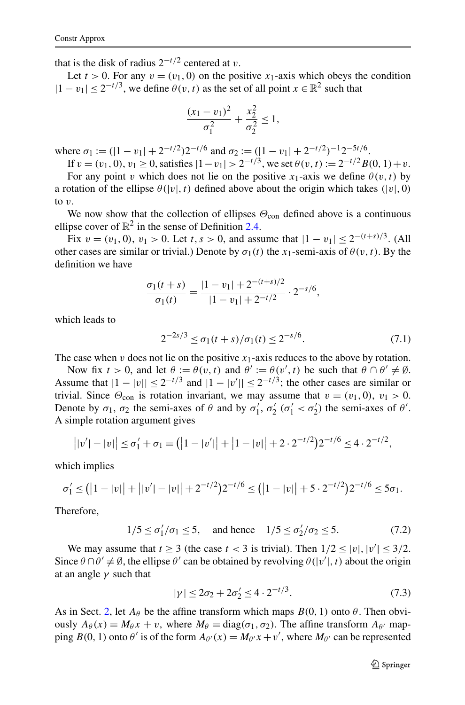<span id="page-36-0"></span>that is the disk of radius  $2^{-t/2}$  centered at *v*.

Let  $t > 0$ . For any  $v = (v_1, 0)$  on the positive  $x_1$ -axis which obeys the condition  $|1 - v_1| < 2^{-t/3}$ , we define  $\theta(v, t)$  as the set of all point  $x \in \mathbb{R}^2$  such that

$$
\frac{(x_1 - v_1)^2}{\sigma_1^2} + \frac{x_2^2}{\sigma_2^2} \le 1,
$$

where  $\sigma_1 := (|1 - v_1| + 2^{-t/2})2^{-t/6}$  and  $\sigma_2 := (|1 - v_1| + 2^{-t/2})^{-1}2^{-5t/6}.$ 

If 
$$
v = (v_1, 0), v_1 \ge 0
$$
, satisfies  $|1 - v_1| > 2^{-t/3}$ , we set  $\theta(v, t) := 2^{-t/2} B(0, 1) + v$ .

For any point *v* which does not lie on the positive *x*<sub>1</sub>-axis we define  $\theta(v, t)$  by a rotation of the ellipse  $\theta(|v|, t)$  defined above about the origin which takes  $(|v|, 0)$ to *v*.

We now show that the collection of ellipses  $\Theta_{\text{con}}$  defined above is a continuous ellipse cover of  $\mathbb{R}^2$  in the sense of Definition [2.4.](#page-7-0)

Fix  $v = (v_1, 0), v_1 > 0$ . Let  $t, s > 0$ , and assume that  $|1 - v_1| \leq 2^{-(t+s)/3}$ . (All other cases are similar or trivial.) Denote by  $\sigma_1(t)$  the  $x_1$ -semi-axis of  $\theta(v, t)$ . By the definition we have

$$
\frac{\sigma_1(t+s)}{\sigma_1(t)} = \frac{|1-v_1| + 2^{-(t+s)/2}}{|1-v_1| + 2^{-t/2}} \cdot 2^{-s/6},
$$

which leads to

$$
2^{-2s/3} \le \sigma_1(t+s)/\sigma_1(t) \le 2^{-s/6}.\tag{7.1}
$$

The case when  $v$  does not lie on the positive  $x_1$ -axis reduces to the above by rotation.

Now fix  $t > 0$ , and let  $\theta := \theta(v, t)$  and  $\theta' := \theta(v', t)$  be such that  $\theta \cap \theta' \neq \emptyset$ . Assume that  $|1 - |v|| \le 2^{-t/3}$  and  $|1 - |v'|| \le 2^{-t/3}$ ; the other cases are similar or trivial. Since  $\Theta_{\text{con}}$  is rotation invariant, we may assume that  $v = (v_1, 0), v_1 > 0$ . Denote by  $\sigma_1$ ,  $\sigma_2$  the semi-axes of  $\theta$  and by  $\sigma'_1$ ,  $\sigma'_2$  ( $\sigma'_1 < \sigma'_2$ ) the semi-axes of  $\theta'$ . A simple rotation argument gives

$$
||v'|-|v|| \leq \sigma'_1 + \sigma_1 = (|1-|v'| + |1-|v|| + 2 \cdot 2^{-t/2})2^{-t/6} \leq 4 \cdot 2^{-t/2},
$$

which implies

$$
\sigma_1' \leq (|1 - |v|| + |v'|- |v|| + 2^{-t/2})2^{-t/6} \leq (|1 - |v|| + 5 \cdot 2^{-t/2})2^{-t/6} \leq 5\sigma_1.
$$

Therefore,

$$
1/5 \le \sigma_1'/\sigma_1 \le 5, \quad \text{and hence} \quad 1/5 \le \sigma_2'/\sigma_2 \le 5. \tag{7.2}
$$

We may assume that  $t \ge 3$  (the case  $t < 3$  is trivial). Then  $1/2 \le |v|, |v'| \le 3/2$ . Since  $\theta \cap \theta' \neq \emptyset$ , the ellipse  $\theta'$  can be obtained by revolving  $\theta(|v'|, t)$  about the origin at an angle *γ* such that

$$
|\gamma| \le 2\sigma_2 + 2\sigma'_2 \le 4 \cdot 2^{-t/3}.\tag{7.3}
$$

As in Sect. [2,](#page-3-0) let  $A_{\theta}$  be the affine transform which maps  $B(0, 1)$  onto  $\theta$ . Then obviously  $A_{\theta}(x) = M_{\theta}x + v$ , where  $M_{\theta} = \text{diag}(\sigma_1, \sigma_2)$ . The affine transform  $A_{\theta}$  mapping  $B(0, 1)$  onto  $\theta'$  is of the form  $A_{\theta}(x) = M_{\theta'}x + v'$ , where  $M_{\theta'}$  can be represented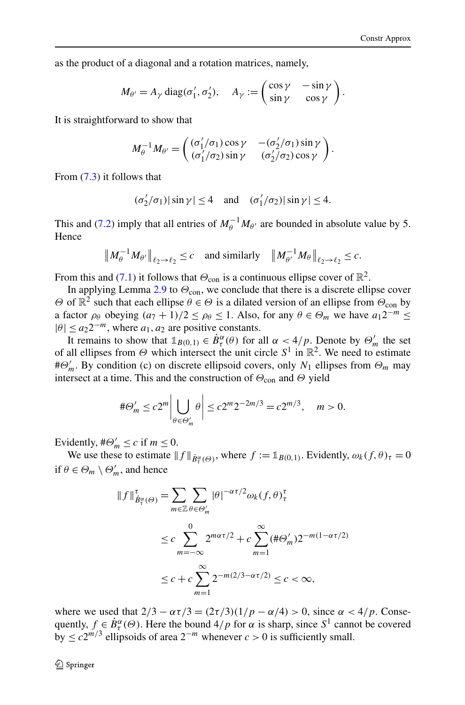as the product of a diagonal and a rotation matrices, namely,

$$
M_{\theta'} = A_{\gamma} \operatorname{diag}(\sigma'_1, \sigma'_2), \quad A_{\gamma} := \begin{pmatrix} \cos \gamma & -\sin \gamma \\ \sin \gamma & \cos \gamma \end{pmatrix}.
$$

It is straightforward to show that

$$
M_{\theta}^{-1} M_{\theta'} = \begin{pmatrix} (\sigma'_1/\sigma_1) \cos \gamma & -(\sigma'_2/\sigma_1) \sin \gamma \\ (\sigma'_1/\sigma_2) \sin \gamma & (\sigma'_2/\sigma_2) \cos \gamma \end{pmatrix}.
$$

From [\(7.3\)](#page-36-0) it follows that

$$
(\sigma_2'/\sigma_1)|\sin\gamma| \le 4 \quad \text{and} \quad (\sigma_1'/\sigma_2)|\sin\gamma| \le 4.
$$

This and ([7.2](#page-36-0)) imply that all entries of  $M_{\theta}^{-1}M_{\theta}$  are bounded in absolute value by 5. Hence

$$
\left\|M_{\theta}^{-1}M_{\theta'}\right\|_{\ell_2\to\ell_2}\leq c\quad\text{and similarly}\quad\left\|M_{\theta'}^{-1}M_{\theta}\right\|_{\ell_2\to\ell_2}\leq c.
$$

From this and ([7.1](#page-36-0)) it follows that  $\Theta_{con}$  is a continuous ellipse cover of  $\mathbb{R}^2$ .

In applying Lemma [2.9](#page-10-0) to  $\Theta_{\text{con}}$ , we conclude that there is a discrete ellipse cover *Θ* of  $\mathbb{R}^2$  such that each ellipse  $θ ∈ Θ$  is a dilated version of an ellipse from  $Θ_{con}$  by a factor  $\rho_\theta$  obeying  $(a_7 + 1)/2 \le \rho_\theta \le 1$ . Also, for any  $\theta \in \Theta_m$  we have  $a_1 2^{-m} \le$  $|\theta| \le a_2 2^{-m}$ , where  $a_1, a_2$  are positive constants.

It remains to show that  $\mathbb{1}_{B(0,1)} \in \dot{B}^{\alpha}_{\tau}(\theta)$  for all  $\alpha < 4/p$ . Denote by  $\Theta'_{m}$  the set of all ellipses from  $\Theta$  which intersect the unit circle  $S^1$  in  $\mathbb{R}^2$ . We need to estimate #*Θ <sup>m</sup>*. By condition (c) on discrete ellipsoid covers, only *N*<sup>1</sup> ellipses from *Θm* may intersect at a time. This and the construction of  $\Theta_{\text{con}}$  and  $\Theta$  yield

$$
\#\Theta'_{m} \le c2^{m} \left| \bigcup_{\theta \in \Theta'_{m}} \theta \right| \le c2^{m} 2^{-2m/3} = c2^{m/3}, \quad m > 0.
$$

Evidently,  $\#\Theta_m' \le c$  if  $m \le 0$ .

*f <sup>τ</sup>*

We use these to estimate  $|| f ||_{\dot{B}^{\alpha}_{\tau}(\Theta)}$ , where  $f := \mathbb{1}_{B(0,1)}$ . Evidently,  $\omega_k(f, \theta)_{\tau} = 0$ if  $\theta \in \Theta_m \setminus \Theta'_m$ , and hence

$$
f\|_{\dot{B}_{\tau}^{\alpha}(\Theta)}^{\tau} = \sum_{m \in \mathbb{Z}} \sum_{\theta \in \Theta'_{m}} |\theta|^{-\alpha \tau/2} \omega_{k}(f, \theta)_{\tau}^{\tau}
$$
  

$$
\leq c \sum_{m = -\infty}^{0} 2^{m\alpha \tau/2} + c \sum_{m = 1}^{\infty} (\#\Theta'_{m}) 2^{-m(1 - \alpha \tau/2)}
$$
  

$$
\leq c + c \sum_{m = 1}^{\infty} 2^{-m(2/3 - \alpha \tau/2)} \leq c < \infty,
$$

where we used that  $2/3 - ατ/3 = (2τ/3)(1/p − α/4) > 0$ , since *α* < 4*/p*. Consequently,  $f \in \dot{B}^{\alpha}_{\tau}(\Theta)$ . Here the bound  $4/p$  for  $\alpha$  is sharp, since  $S^1$  cannot be covered by  $\leq c2^{m/3}$  ellipsoids of area  $2^{-m}$  whenever *c* > 0 is sufficiently small.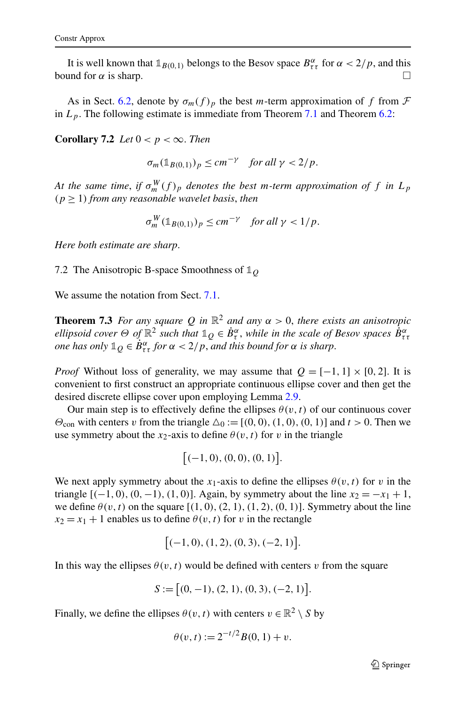<span id="page-38-0"></span>It is well known that  $\mathbb{1}_{B(0,1)}$  belongs to the Besov space  $B^{\alpha}_{\tau\tau}$  for  $\alpha < 2/p$ , and this bound for  $\alpha$  is sharp.  $\square$ 

As in Sect. [6.2](#page-34-0), denote by  $\sigma_m(f)_p$  the best *m*-term approximation of f from  $\mathcal F$ in  $L_p$ . The following estimate is immediate from Theorem [7.1](#page-35-0) and Theorem [6.2:](#page-35-0)

**Corollary 7.2** *Let*  $0 < p < \infty$ *. Then* 

 $\sigma_m(\mathbb{1}_{B(0,1)})_p \leq cm^{-\gamma}$  *for all*  $\gamma < 2/p$ .

*At the same time, if*  $\sigma_m^W(f)_p$  *denotes the best m-term approximation of f in*  $L_p$  $(p \geq 1)$  *from any reasonable wavelet basis, then* 

$$
\sigma_m^W(\mathbb{1}_{B(0,1)})_p \le cm^{-\gamma} \quad \text{for all } \gamma < 1/p.
$$

*Here both estimate are sharp*.

7.2 The Anisotropic B-space Smoothness of **1***<sup>Q</sup>*

We assume the notation from Sect. [7.1](#page-35-0).

**Theorem 7.3** *For any square*  $Q$  *in*  $\mathbb{R}^2$  *and any*  $\alpha > 0$ *, there exists an anisotropic ellipsoid cover*  $\Theta$  *of*  $\mathbb{R}^2$  *such that*  $\mathbb{1}_Q \in \dot{B}^\alpha_\tau$ *, while in the scale of Besov spaces*  $\dot{B}^\alpha_{\tau\tau}$ *one has only*  $\mathbb{1}_Q \in \dot{B}^{\alpha}_{\tau\tau}$  *for*  $\alpha < 2/p$ *, and this bound for*  $\alpha$  *is sharp.* 

*Proof* Without loss of generality, we may assume that  $Q = [-1, 1] \times [0, 2]$ . It is convenient to first construct an appropriate continuous ellipse cover and then get the desired discrete ellipse cover upon employing Lemma [2.9](#page-10-0).

Our main step is to effectively define the ellipses  $\theta(v, t)$  of our continuous cover *Θ*<sub>con</sub> with centers *v* from the triangle  $\Delta_0 := [(0, 0), (1, 0), (0, 1)]$  and  $t > 0$ . Then we use symmetry about the  $x_2$ -axis to define  $\theta(v, t)$  for *v* in the triangle

$$
[(-1,0), (0,0), (0,1)].
$$

We next apply symmetry about the *x*<sub>1</sub>-axis to define the ellipses  $\theta(v, t)$  for *v* in the triangle  $[(-1, 0), (0, -1), (1, 0)]$ . Again, by symmetry about the line  $x_2 = -x_1 + 1$ , we define  $\theta(v, t)$  on the square  $[(1, 0), (2, 1), (1, 2), (0, 1)]$ . Symmetry about the line  $x_2 = x_1 + 1$  enables us to define  $\theta(v, t)$  for *v* in the rectangle

$$
[-1, 0), (1, 2), (0, 3), (-2, 1)].
$$

In this way the ellipses  $\theta(v, t)$  would be defined with centers *v* from the square

$$
S := [(0, -1), (2, 1), (0, 3), (-2, 1)].
$$

Finally, we define the ellipses  $\theta(v, t)$  with centers  $v \in \mathbb{R}^2 \setminus S$  by

$$
\theta(v, t) := 2^{-t/2} B(0, 1) + v.
$$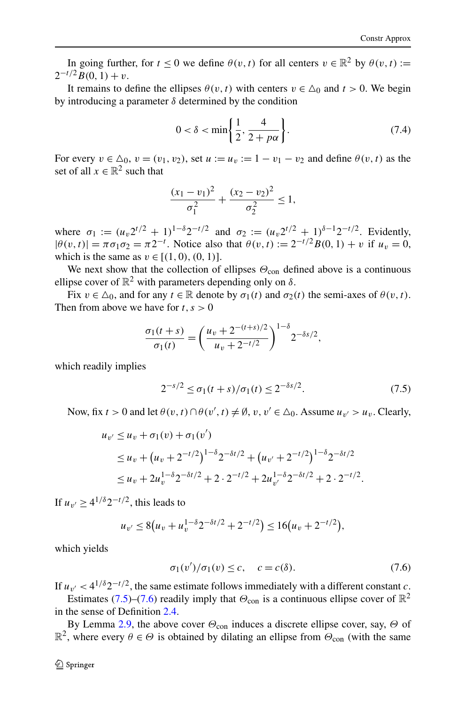<span id="page-39-0"></span>In going further, for  $t \le 0$  we define  $\theta(v, t)$  for all centers  $v \in \mathbb{R}^2$  by  $\theta(v, t) :=$  $2^{-t/2}B(0, 1) + v$ .

It remains to define the ellipses  $\theta(v, t)$  with centers  $v \in \Delta_0$  and  $t > 0$ . We begin by introducing a parameter *δ* determined by the condition

$$
0 < \delta < \min\left\{\frac{1}{2}, \frac{4}{2+p\alpha}\right\}.\tag{7.4}
$$

For every  $v \in \Delta_0$ ,  $v = (v_1, v_2)$ , set  $u := u_v := 1 - v_1 - v_2$  and define  $\theta(v, t)$  as the set of all  $x \in \mathbb{R}^2$  such that

$$
\frac{(x_1 - v_1)^2}{\sigma_1^2} + \frac{(x_2 - v_2)^2}{\sigma_2^2} \le 1,
$$

where  $\sigma_1 := (u_1 2^{t/2} + 1)^{1-\delta} 2^{-t/2}$  and  $\sigma_2 := (u_1 2^{t/2} + 1)^{\delta-1} 2^{-t/2}$ . Evidently,  $|\theta(v, t)| = \pi \sigma_1 \sigma_2 = \pi 2^{-t}$ . Notice also that  $\theta(v, t) := 2^{-t/2} B(0, 1) + v$  if  $u_v = 0$ , which is the same as  $v \in [(1, 0), (0, 1)].$ 

We next show that the collection of ellipses  $\Theta_{\text{con}}$  defined above is a continuous ellipse cover of  $\mathbb{R}^2$  with parameters depending only on  $\delta$ .

Fix  $v \in \Delta_0$ , and for any  $t \in \mathbb{R}$  denote by  $\sigma_1(t)$  and  $\sigma_2(t)$  the semi-axes of  $\theta(v, t)$ . Then from above we have for  $t, s > 0$ 

$$
\frac{\sigma_1(t+s)}{\sigma_1(t)} = \left(\frac{u_v + 2^{-(t+s)/2}}{u_v + 2^{-t/2}}\right)^{1-\delta} 2^{-\delta s/2},
$$

which readily implies

$$
2^{-s/2} \le \sigma_1(t+s)/\sigma_1(t) \le 2^{-\delta s/2}.
$$
 (7.5)

Now, fix  $t > 0$  and let  $\theta(v, t) \cap \theta(v', t) \neq \emptyset$ ,  $v, v' \in \Delta_0$ . Assume  $u_{v'} > u_v$ . Clearly,

$$
u_{v'} \le u_v + \sigma_1(v) + \sigma_1(v')
$$
  
\n
$$
\le u_v + (u_v + 2^{-t/2})^{1-\delta} 2^{-\delta t/2} + (u_{v'} + 2^{-t/2})^{1-\delta} 2^{-\delta t/2}
$$
  
\n
$$
\le u_v + 2u_v^{1-\delta} 2^{-\delta t/2} + 2 \cdot 2^{-t/2} + 2u_{v'}^{1-\delta} 2^{-\delta t/2} + 2 \cdot 2^{-t/2}.
$$

If  $u_{\nu} > 4^{1/\delta} 2^{-t/2}$ , this leads to

$$
u_{v'} \le 8(u_v + u_v^{1-\delta} 2^{-\delta t/2} + 2^{-t/2}) \le 16(u_v + 2^{-t/2}),
$$

which yields

$$
\sigma_1(v')/\sigma_1(v) \le c, \quad c = c(\delta). \tag{7.6}
$$

If  $u_{\nu'} < 4^{1/\delta} 2^{-t/2}$ , the same estimate follows immediately with a different constant *c*.

Estimates (7.5)–(7.6) readily imply that  $\Theta_{\text{con}}$  is a continuous ellipse cover of  $\mathbb{R}^2$ in the sense of Definition [2.4.](#page-7-0)

By Lemma [2.9](#page-10-0), the above cover  $\Theta_{\text{con}}$  induces a discrete ellipse cover, say,  $\Theta$  of  $\mathbb{R}^2$ , where every  $\theta \in \Theta$  is obtained by dilating an ellipse from  $\Theta_{\text{con}}$  (with the same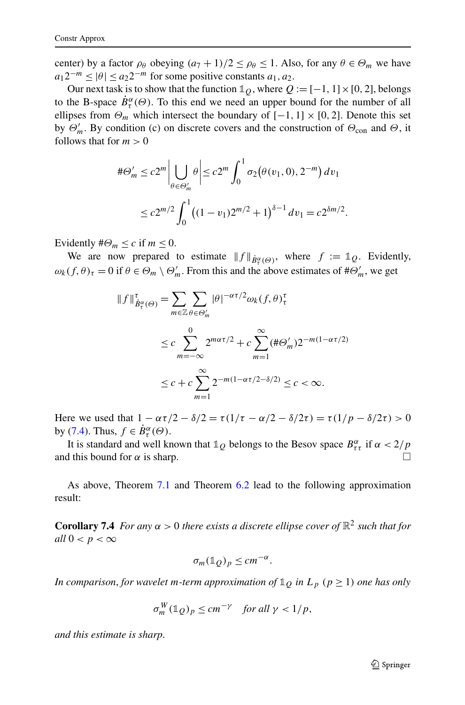center) by a factor  $\rho_{\theta}$  obeying  $(a_7 + 1)/2 \le \rho_{\theta} \le 1$ . Also, for any  $\theta \in \Theta_m$  we have  $a_1 2^{-m}$  <  $|\theta|$  <  $a_2 2^{-m}$  for some positive constants  $a_1, a_2$ .

Our next task is to show that the function  $\mathbb{1}_Q$ , where  $Q := [-1, 1] \times [0, 2]$ , belongs to the B-space  $\dot{B}^{\alpha}_{\tau}(\Theta)$ . To this end we need an upper bound for the number of all ellipses from  $\Theta_m$  which intersect the boundary of  $[-1, 1] \times [0, 2]$ . Denote this set by  $\Theta'_m$ . By condition (c) on discrete covers and the construction of  $\Theta_{con}$  and  $\Theta$ , it follows that for  $m > 0$ 

$$
\#\Theta'_{m} \le c2^{m} \Big| \bigcup_{\theta \in \Theta'_{m}} \theta \Big| \le c2^{m} \int_{0}^{1} \sigma_{2}(\theta(v_{1}, 0), 2^{-m}) dv_{1}
$$
  

$$
\le c2^{m/2} \int_{0}^{1} ((1 - v_{1})2^{m/2} + 1)^{\delta - 1} dv_{1} = c2^{\delta m/2}.
$$

Evidently  $\#\Theta_m \leq c$  if  $m \leq 0$ .

We are now prepared to estimate  $||f||_{\dot{B}^{\alpha}_{\tau}(\Theta)}$ , where  $f := \mathbb{1}_Q$ . Evidently,  $\omega_k(f, \theta)_{\tau} = 0$  if  $\theta \in \Theta_m \setminus \Theta'_m$ . From this and the above estimates of  $\theta \neq \Theta'_m$ , we get

$$
\|f\|_{\dot{B}_{\tau}^{\alpha}(\Theta)}^{\tau} = \sum_{m \in \mathbb{Z}} \sum_{\theta \in \Theta'_{m}} |\theta|^{-\alpha \tau/2} \omega_{k}(f, \theta)_{\tau}^{\tau}
$$
  

$$
\leq c \sum_{m=-\infty}^{0} 2^{m\alpha \tau/2} + c \sum_{m=1}^{\infty} (\# \Theta'_{m}) 2^{-m(1-\alpha \tau/2)}
$$
  

$$
\leq c + c \sum_{m=1}^{\infty} 2^{-m(1-\alpha \tau/2-\delta/2)} \leq c < \infty.
$$

Here we used that  $1 - \alpha \tau/2 - \delta/2 = \tau(1/\tau - \alpha/2 - \delta/2\tau) = \tau(1/p - \delta/2\tau) > 0$ by ([7.4](#page-39-0)). Thus,  $f \in \dot{B}^{\alpha}_{\tau}(\Theta)$ .

It is standard and well known that  $\mathbb{1}_Q$  belongs to the Besov space  $B_{\tau\tau}^{\alpha}$  if  $\alpha < 2/p$ and this bound for  $\alpha$  is sharp.  $\square$ 

As above, Theorem [7.1](#page-35-0) and Theorem [6.2](#page-35-0) lead to the following approximation result:

**Corollary 7.4** *For any*  $\alpha > 0$  *there exists a discrete ellipse cover of*  $\mathbb{R}^2$  *such that for all*  $0 < p < \infty$ 

$$
\sigma_m(\mathbb{1}_Q)_p \leq c m^{-\alpha}.
$$

*In comparison, for wavelet m-term approximation of*  $\mathbb{1}_Q$  *in*  $L_p$  ( $p \ge 1$ ) *one has only* 

$$
\sigma_m^W(\mathbb{1}_Q)_p \le cm^{-\gamma} \quad \text{for all } \gamma < 1/p,
$$

*and this estimate is sharp*.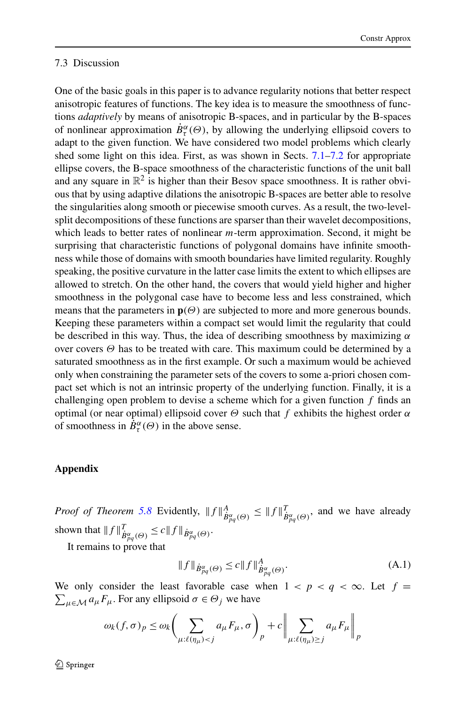## <span id="page-41-0"></span>7.3 Discussion

One of the basic goals in this paper is to advance regularity notions that better respect anisotropic features of functions. The key idea is to measure the smoothness of functions *adaptively* by means of anisotropic B-spaces, and in particular by the B-spaces of nonlinear approximation  $\dot{B}^{\alpha}_{\tau}(\Theta)$ , by allowing the underlying ellipsoid covers to adapt to the given function. We have considered two model problems which clearly shed some light on this idea. First, as was shown in Sects. [7.1](#page-35-0)[–7.2](#page-38-0) for appropriate ellipse covers, the B-space smoothness of the characteristic functions of the unit ball and any square in  $\mathbb{R}^2$  is higher than their Besov space smoothness. It is rather obvious that by using adaptive dilations the anisotropic B-spaces are better able to resolve the singularities along smooth or piecewise smooth curves. As a result, the two-levelsplit decompositions of these functions are sparser than their wavelet decompositions, which leads to better rates of nonlinear *m*-term approximation. Second, it might be surprising that characteristic functions of polygonal domains have infinite smoothness while those of domains with smooth boundaries have limited regularity. Roughly speaking, the positive curvature in the latter case limits the extent to which ellipses are allowed to stretch. On the other hand, the covers that would yield higher and higher smoothness in the polygonal case have to become less and less constrained, which means that the parameters in  $\mathbf{p}(\Theta)$  are subjected to more and more generous bounds. Keeping these parameters within a compact set would limit the regularity that could be described in this way. Thus, the idea of describing smoothness by maximizing *α* over covers *Θ* has to be treated with care. This maximum could be determined by a saturated smoothness as in the first example. Or such a maximum would be achieved only when constraining the parameter sets of the covers to some a-priori chosen compact set which is not an intrinsic property of the underlying function. Finally, it is a challenging open problem to devise a scheme which for a given function *f* finds an optimal (or near optimal) ellipsoid cover *Θ* such that *f* exhibits the highest order *α* of smoothness in  $\dot{B}^{\alpha}_{\tau}(\Theta)$  in the above sense.

## **Appendix**

*Proof of Theorem [5.8](#page-31-0)* Evidently,  $||f||^A_{\dot{B}^{\alpha}_{pq}(\Theta)} \leq ||f||^T_{\dot{B}^{\alpha}_{pq}(\Theta)}$ , and we have already shown that  $||f||^T_{\dot{B}^{\alpha}_{pq}(\Theta)} \leq c||f||_{\dot{B}^{\alpha}_{pq}(\Theta)}$ .

It remains to prove that

$$
||f||_{\dot{B}^{\alpha}_{pq}(\Theta)} \le c||f||^{A}_{\dot{B}^{\alpha}_{pq}(\Theta)}.
$$
\n(A.1)

We only consider the least favorable case when  $1 < p < q < \infty$ . Let  $f =$  $\sum_{\mu \in \mathcal{M}} a_{\mu} F_{\mu}$ . For any ellipsoid  $\sigma \in \Theta_j$  we have

$$
\omega_k(f,\sigma)_p \le \omega_k \bigg(\sum_{\mu:\ell(\eta_\mu) < j} a_\mu F_\mu, \sigma\bigg)_p + c \bigg\|\sum_{\mu:\ell(\eta_\mu) \ge j} a_\mu F_\mu\bigg\|_p
$$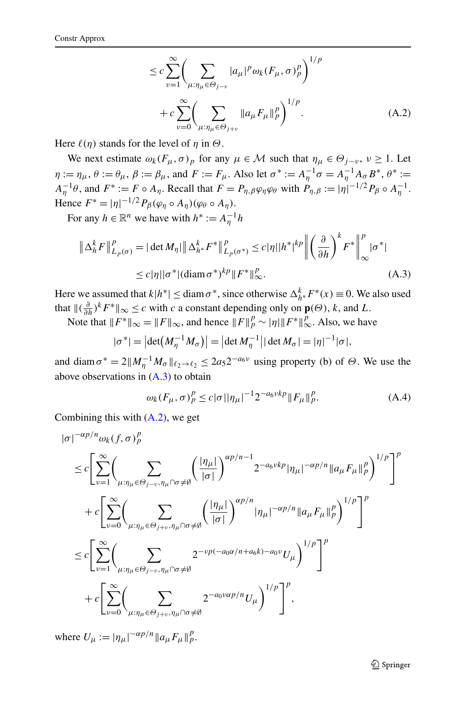$$
\leq c \sum_{\nu=1}^{\infty} \left( \sum_{\mu:\eta_{\mu}\in\Theta_{j-\nu}} |a_{\mu}|^p \omega_k(F_{\mu}, \sigma)_p^p \right)^{1/p} \n+ c \sum_{\nu=0}^{\infty} \left( \sum_{\mu:\eta_{\mu}\in\Theta_{j+\nu}} ||a_{\mu}F_{\mu}||_p^p \right)^{1/p}.
$$
\n(A.2)

Here  $\ell(\eta)$  stands for the level of  $\eta$  in  $\Theta$ .

We next estimate  $\omega_k(F_\mu, \sigma)_p$  for any  $\mu \in \mathcal{M}$  such that  $\eta_\mu \in \Theta_{j-\nu}, \nu \ge 1$ . Let  $\eta := \eta_{\mu}, \theta := \theta_{\mu}, \beta := \beta_{\mu}, \text{ and } F := F_{\mu}.$  Also let  $\sigma^* := A_{\eta}^{-1} \sigma = A_{\eta}^{-1} A_{\sigma} B^*, \theta^* :=$  $A_{\eta}^{-1}\theta$ , and  $F^* := F \circ A_{\eta}$ . Recall that  $F = P_{\eta,\beta}\varphi_{\eta}\varphi_{\theta}$  with  $P_{\eta,\beta} := |\eta|^{-1/2} P_{\beta} \circ A_{\eta}^{-1}$ . Hence  $F^* = |\eta|^{-1/2} P_\beta(\varphi_\eta \circ A_\eta)(\varphi_\theta \circ A_\eta).$ 

For any  $h \in \mathbb{R}^n$  we have with  $h^* := A_{\eta}^{-1}h$ 

$$
\|\Delta_h^k F\|_{L_p(\sigma)}^p = |\det M_\eta| \|\Delta_{h^*}^k F^*\|_{L_p(\sigma^*)}^p \le c|\eta| |h^*|^{kp} \left\| \left(\frac{\partial}{\partial h}\right)^k F^*\right\|_{\infty}^p |\sigma^*|
$$
  

$$
\le c|\eta| |\sigma^*| (\operatorname{diam} \sigma^*)^{kp} \|F^*\|_{\infty}^p. \tag{A.3}
$$

Here we assumed that  $k|h^*| \leq \text{diam } \sigma^*$ , since otherwise  $\Delta_{h^*}^k F^*(x) \equiv 0$ . We also used that  $\|(\frac{\partial}{\partial h})^k F^* \|_{\infty} \le c$  with *c* a constant depending only on  $\mathbf{p}(\Theta)$ , *k*, and *L*.

Note that  $||F^*||_{\infty} = ||F||_{\infty}$ , and hence  $||F||_p^p \sim |\eta||F^*||_{\infty}^p$ . Also, we have

$$
|\sigma^*| = |\det(M_{\eta}^{-1} M_{\sigma})| = |\det M_{\eta}^{-1}| |\det M_{\sigma}| = |\eta|^{-1} |\sigma|,
$$

and diam  $\sigma^* = 2||M_{\eta}^{-1}M_{\sigma}||_{\ell_2 \to \ell_2} \le 2a_5 2^{-a_6 \nu}$  using property (b) of  $\Theta$ . We use the above observations in  $(A.3)$  to obtain

$$
\omega_k(F_{\mu}, \sigma)^p_p \le c|\sigma||\eta_{\mu}|^{-1} 2^{-a_6 \nu k p} \|F_{\mu}\|_p^p. \tag{A.4}
$$

Combining this with (A.2), we get

$$
\begin{split} |\sigma|^{-\alpha p/n} \omega_k(f, \sigma)_p^p \\ & \leq c \Bigg[ \sum_{\nu=1}^{\infty} \Bigg( \sum_{\mu:\eta_{\mu} \in \Theta_{j-\nu}, \eta_{\mu} \cap \sigma \neq \emptyset} \Big( \frac{|\eta_{\mu}|}{|\sigma|} \Bigg)^{\alpha p/n - 1} 2^{-a_6 \nu k p} |\eta_{\mu}|^{-\alpha p/n} ||a_{\mu} F_{\mu}||_p^p \Bigg)^{1/p} \Bigg]^p \\ & + c \Bigg[ \sum_{\nu=0}^{\infty} \Bigg( \sum_{\mu:\eta_{\mu} \in \Theta_{j+\nu}, \eta_{\mu} \cap \sigma \neq \emptyset} \Big( \frac{|\eta_{\mu}|}{|\sigma|} \Bigg)^{\alpha p/n} |\eta_{\mu}|^{-\alpha p/n} ||a_{\mu} F_{\mu}||_p^p \Bigg)^{1/p} \Bigg]^p \\ & \leq c \Bigg[ \sum_{\nu=1}^{\infty} \Bigg( \sum_{\mu:\eta_{\mu} \in \Theta_{j-\nu}, \eta_{\mu} \cap \sigma \neq \emptyset} 2^{-\nu p(-a_0 \alpha/n + a_6 k) - a_0 \nu} U_{\mu} \Bigg)^{1/p} \Bigg]^p \\ & + c \Bigg[ \sum_{\nu=0}^{\infty} \Bigg( \sum_{\mu:\eta_{\mu} \in \Theta_{j+\nu}, \eta_{\mu} \cap \sigma \neq \emptyset} 2^{-a_0 \nu \alpha p/n} U_{\mu} \Bigg)^{1/p} \Bigg]^p, \end{split}
$$

where  $U_{\mu} := |\eta_{\mu}|^{-\alpha p/n} ||a_{\mu} F_{\mu}||_{p}^{p}$ .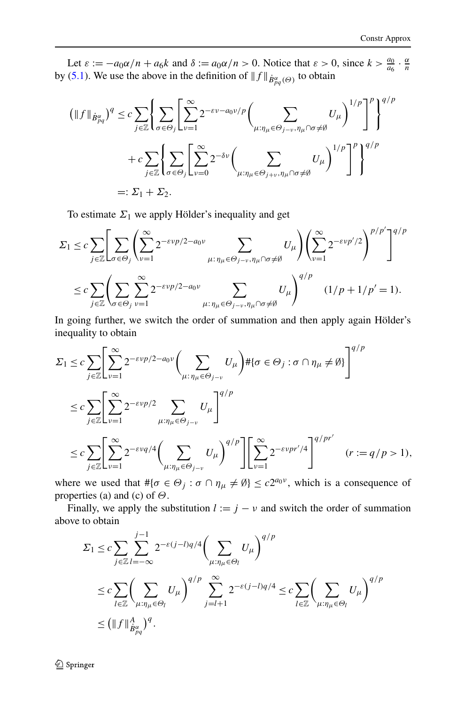Let  $\varepsilon := -a_0\alpha/n + a_6k$  and  $\delta := a_0\alpha/n > 0$ . Notice that  $\varepsilon > 0$ , since  $k > \frac{a_0}{a_6} \cdot \frac{\alpha}{n}$ by ([5.1](#page-22-0)). We use the above in the definition of  $|| f ||_{\dot{B}^{\alpha}_{pq}(\Theta)}$  to obtain

$$
(\|f\|_{\dot{B}^{\alpha}_{pq}})^{q} \leq c \sum_{j\in\mathbb{Z}} \left\{ \sum_{\sigma\in\Theta_{j}} \left[ \sum_{\nu=1}^{\infty} 2^{-\varepsilon\nu - a_0\nu/p} \left( \sum_{\mu:\eta_{\mu}\in\Theta_{j-\nu},\eta_{\mu}\cap\sigma\neq\emptyset} U_{\mu} \right)^{1/p} \right]^{p} \right\}^{q/p}
$$

$$
+ c \sum_{j\in\mathbb{Z}} \left\{ \sum_{\sigma\in\Theta_{j}} \left[ \sum_{\nu=0}^{\infty} 2^{-\delta\nu} \left( \sum_{\mu:\eta_{\mu}\in\Theta_{j+\nu},\eta_{\mu}\cap\sigma\neq\emptyset} U_{\mu} \right)^{1/p} \right]^{p} \right\}^{q/p}
$$

$$
=: \Sigma_{1} + \Sigma_{2}.
$$

To estimate  $\Sigma_1$  we apply Hölder's inequality and get

$$
\Sigma_1 \leq c \sum_{j \in \mathbb{Z}} \left[ \sum_{\sigma \in \Theta_j} \left( \sum_{\nu=1}^{\infty} 2^{-\varepsilon \nu p/2 - a_0 \nu} \sum_{\mu : \eta_{\mu} \in \Theta_{j-\nu}, \eta_{\mu} \cap \sigma \neq \emptyset} U_{\mu} \right) \left( \sum_{\nu=1}^{\infty} 2^{-\varepsilon \nu p'/2} \right)^{p/p'} \right]^{q/p}
$$
  

$$
\leq c \sum_{j \in \mathbb{Z}} \left( \sum_{\sigma \in \Theta_j} \sum_{\nu=1}^{\infty} 2^{-\varepsilon \nu p/2 - a_0 \nu} \sum_{\mu : \eta_{\mu} \in \Theta_{j-\nu}, \eta_{\mu} \cap \sigma \neq \emptyset} U_{\mu} \right)^{q/p} (1/p + 1/p' = 1).
$$

In going further, we switch the order of summation and then apply again Hölder's inequality to obtain

$$
\Sigma_1 \leq c \sum_{j \in \mathbb{Z}} \left[ \sum_{\nu=1}^{\infty} 2^{-\varepsilon \nu p/2 - a_0 \nu} \left( \sum_{\mu : \eta_{\mu} \in \Theta_{j-\nu}} U_{\mu} \right) \# \{\sigma \in \Theta_j : \sigma \cap \eta_{\mu} \neq \emptyset\} \right]^{q/p}
$$
  

$$
\leq c \sum_{j \in \mathbb{Z}} \left[ \sum_{\nu=1}^{\infty} 2^{-\varepsilon \nu p/2} \sum_{\mu : \eta_{\mu} \in \Theta_{j-\nu}} U_{\mu} \right]^{q/p}
$$
  

$$
\leq c \sum_{j \in \mathbb{Z}} \left[ \sum_{\nu=1}^{\infty} 2^{-\varepsilon \nu q/4} \left( \sum_{\mu : \eta_{\mu} \in \Theta_{j-\nu}} U_{\mu} \right)^{q/p} \right] \left[ \sum_{\nu=1}^{\infty} 2^{-\varepsilon \nu p r'/4} \right]^{q/p r'} (r := q/p > 1),
$$

where we used that  $\# {\sigma \in \Theta_j : \sigma \cap \eta_\mu \neq \emptyset} \leq c2^{a_0 \nu}$ , which is a consequence of properties (a) and (c) of *Θ*.

Finally, we apply the substitution  $l := j - v$  and switch the order of summation above to obtain

$$
\Sigma_1 \leq c \sum_{j \in \mathbb{Z}} \sum_{l=-\infty}^{j-1} 2^{-\varepsilon(j-l)q/4} \left(\sum_{\mu:\eta_{\mu} \in \Theta_l} U_{\mu}\right)^{q/p}
$$
  
\n
$$
\leq c \sum_{l \in \mathbb{Z}} \left(\sum_{\mu:\eta_{\mu} \in \Theta_l} U_{\mu}\right)^{q/p} \sum_{j=l+1}^{\infty} 2^{-\varepsilon(j-l)q/4} \leq c \sum_{l \in \mathbb{Z}} \left(\sum_{\mu:\eta_{\mu} \in \Theta_l} U_{\mu}\right)^{q/p}
$$
  
\n
$$
\leq \left(\|f\|_{\dot{B}^{\alpha}_{pq}}^4\right)^q.
$$

2 Springer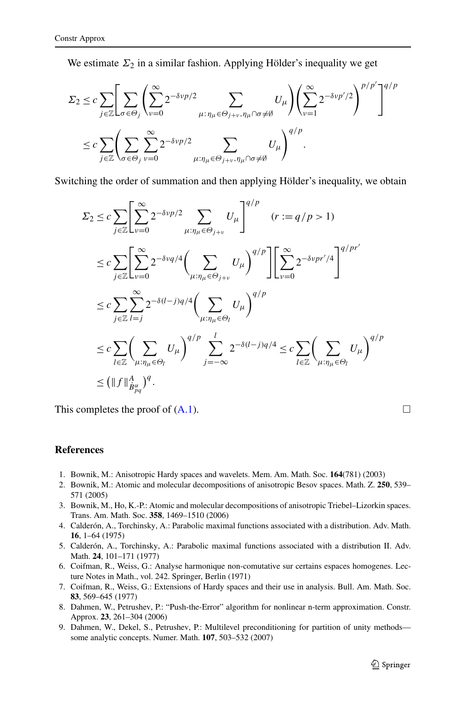<span id="page-44-0"></span>We estimate  $\Sigma_2$  in a similar fashion. Applying Hölder's inequality we get

$$
\Sigma_2 \leq c \sum_{j \in \mathbb{Z}} \left[ \sum_{\sigma \in \Theta_j} \left( \sum_{\nu=0}^{\infty} 2^{-\delta \nu p/2} \sum_{\mu : \eta_{\mu} \in \Theta_{j+\nu}, \eta_{\mu} \cap \sigma \neq \emptyset} U_{\mu} \right) \left( \sum_{\nu=1}^{\infty} 2^{-\delta \nu p'/2} \right)^{p/p'} \right]^{q/p}
$$
  

$$
\leq c \sum_{j \in \mathbb{Z}} \left( \sum_{\sigma \in \Theta_j} \sum_{\nu=0}^{\infty} 2^{-\delta \nu p/2} \sum_{\mu : \eta_{\mu} \in \Theta_{j+\nu}, \eta_{\mu} \cap \sigma \neq \emptyset} U_{\mu} \right)^{q/p}.
$$

Switching the order of summation and then applying Hölder's inequality, we obtain

$$
\Sigma_2 \le c \sum_{j \in \mathbb{Z}} \left[ \sum_{\nu=0}^{\infty} 2^{-\delta \nu p/2} \sum_{\mu:\eta_{\mu} \in \Theta_{j+\nu}} U_{\mu} \right]^{q/p} \quad (r := q/p > 1)
$$
  
\n
$$
\le c \sum_{j \in \mathbb{Z}} \left[ \sum_{\nu=0}^{\infty} 2^{-\delta \nu q/4} \left( \sum_{\mu:\eta_{\mu} \in \Theta_{j+\nu}} U_{\mu} \right)^{q/p} \right] \left[ \sum_{\nu=0}^{\infty} 2^{-\delta \nu pr'/4} \right]^{q/pr'}
$$
  
\n
$$
\le c \sum_{j \in \mathbb{Z}} \sum_{l=j}^{\infty} 2^{-\delta (l-j)q/4} \left( \sum_{\mu:\eta_{\mu} \in \Theta_l} U_{\mu} \right)^{q/p}
$$
  
\n
$$
\le c \sum_{l \in \mathbb{Z}} \left( \sum_{\mu:\eta_{\mu} \in \Theta_l} U_{\mu} \right)^{q/p} \sum_{j=-\infty}^{l} 2^{-\delta (l-j)q/4} \le c \sum_{l \in \mathbb{Z}} \left( \sum_{\mu:\eta_{\mu} \in \Theta_l} U_{\mu} \right)^{q/p}
$$
  
\n
$$
\le \left( \|f\|_{\dot{B}^{\alpha}_{pq}}^A \right)^q.
$$

This completes the proof of  $(A.1)$  $(A.1)$  $(A.1)$ .

#### **References**

- 1. Bownik, M.: Anisotropic Hardy spaces and wavelets. Mem. Am. Math. Soc. **164**(781) (2003)
- 2. Bownik, M.: Atomic and molecular decompositions of anisotropic Besov spaces. Math. Z. **250**, 539– 571 (2005)
- 3. Bownik, M., Ho, K.-P.: Atomic and molecular decompositions of anisotropic Triebel–Lizorkin spaces. Trans. Am. Math. Soc. **358**, 1469–1510 (2006)
- 4. Calderón, A., Torchinsky, A.: Parabolic maximal functions associated with a distribution. Adv. Math. **16**, 1–64 (1975)
- 5. Calderón, A., Torchinsky, A.: Parabolic maximal functions associated with a distribution II. Adv. Math. **24**, 101–171 (1977)
- 6. Coifman, R., Weiss, G.: Analyse harmonique non-comutative sur certains espaces homogenes. Lecture Notes in Math., vol. 242. Springer, Berlin (1971)
- 7. Coifman, R., Weiss, G.: Extensions of Hardy spaces and their use in analysis. Bull. Am. Math. Soc. **83**, 569–645 (1977)
- 8. Dahmen, W., Petrushev, P.: "Push-the-Error" algorithm for nonlinear n-term approximation. Constr. Approx. **23**, 261–304 (2006)
- 9. Dahmen, W., Dekel, S., Petrushev, P.: Multilevel preconditioning for partition of unity methods some analytic concepts. Numer. Math. **107**, 503–532 (2007)